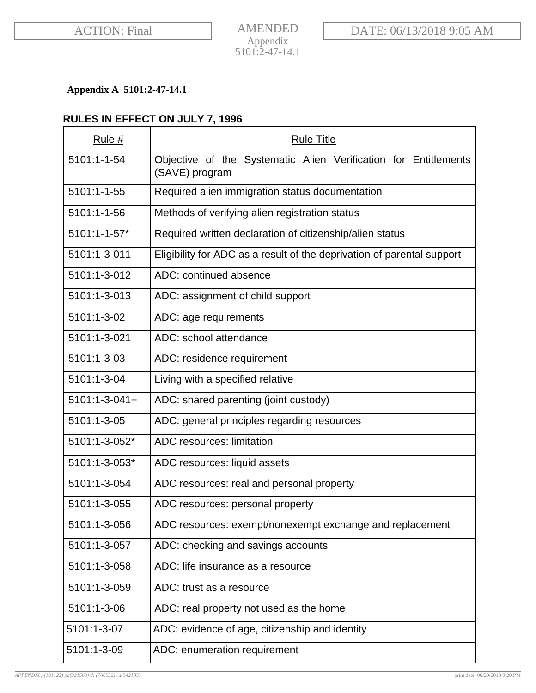# **Appendix A 5101:2-47-14.1**

# **RULES IN EFFECT ON JULY 7, 1996**

| Rule #               | <b>Rule Title</b>                                                                 |
|----------------------|-----------------------------------------------------------------------------------|
| 5101:1-1-54          | Objective of the Systematic Alien Verification for Entitlements<br>(SAVE) program |
| 5101:1-1-55          | Required alien immigration status documentation                                   |
| 5101:1-1-56          | Methods of verifying alien registration status                                    |
| 5101:1-1-57*         | Required written declaration of citizenship/alien status                          |
| 5101:1-3-011         | Eligibility for ADC as a result of the deprivation of parental support            |
| 5101:1-3-012         | ADC: continued absence                                                            |
| 5101:1-3-013         | ADC: assignment of child support                                                  |
| 5101:1-3-02          | ADC: age requirements                                                             |
| 5101:1-3-021         | ADC: school attendance                                                            |
| 5101:1-3-03          | ADC: residence requirement                                                        |
| 5101:1-3-04          | Living with a specified relative                                                  |
| $5101:1 - 3 - 041 +$ | ADC: shared parenting (joint custody)                                             |
| 5101:1-3-05          | ADC: general principles regarding resources                                       |
| 5101:1-3-052*        | ADC resources: limitation                                                         |
| 5101:1-3-053*        | ADC resources: liquid assets                                                      |
| 5101:1-3-054         | ADC resources: real and personal property                                         |
| 5101:1-3-055         | ADC resources: personal property                                                  |
| 5101:1-3-056         | ADC resources: exempt/nonexempt exchange and replacement                          |
| 5101:1-3-057         | ADC: checking and savings accounts                                                |
| 5101:1-3-058         | ADC: life insurance as a resource                                                 |
| 5101:1-3-059         | ADC: trust as a resource                                                          |
| 5101:1-3-06          | ADC: real property not used as the home                                           |
| 5101:1-3-07          | ADC: evidence of age, citizenship and identity                                    |
| 5101:1-3-09          | ADC: enumeration requirement                                                      |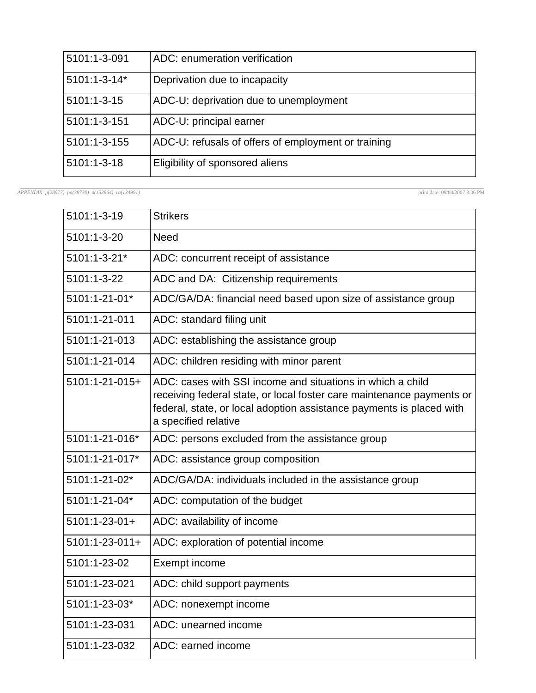| 5101:1-3-091      | ADC: enumeration verification                       |
|-------------------|-----------------------------------------------------|
| 5101:1-3-14*      | Deprivation due to incapacity                       |
| $5101:1 - 3 - 15$ | ADC-U: deprivation due to unemployment              |
| 5101:1-3-151      | ADC-U: principal earner                             |
| 5101:1-3-155      | ADC-U: refusals of offers of employment or training |
| $5101:1 - 3 - 18$ | Eligibility of sponsored aliens                     |

*APPENDIX p(28977) pa(38730) d(153864) ra(134991)* print date: 09/04/2007 3:06 PM

| 5101:1-3-19          | <b>Strikers</b>                                                                                                                                                                                                                     |
|----------------------|-------------------------------------------------------------------------------------------------------------------------------------------------------------------------------------------------------------------------------------|
| 5101:1-3-20          | <b>Need</b>                                                                                                                                                                                                                         |
| 5101:1-3-21*         | ADC: concurrent receipt of assistance                                                                                                                                                                                               |
| 5101:1-3-22          | ADC and DA: Citizenship requirements                                                                                                                                                                                                |
| 5101:1-21-01*        | ADC/GA/DA: financial need based upon size of assistance group                                                                                                                                                                       |
| 5101:1-21-011        | ADC: standard filing unit                                                                                                                                                                                                           |
| 5101:1-21-013        | ADC: establishing the assistance group                                                                                                                                                                                              |
| 5101:1-21-014        | ADC: children residing with minor parent                                                                                                                                                                                            |
| 5101:1-21-015+       | ADC: cases with SSI income and situations in which a child<br>receiving federal state, or local foster care maintenance payments or<br>federal, state, or local adoption assistance payments is placed with<br>a specified relative |
| 5101:1-21-016*       | ADC: persons excluded from the assistance group                                                                                                                                                                                     |
| 5101:1-21-017*       | ADC: assistance group composition                                                                                                                                                                                                   |
| 5101:1-21-02*        | ADC/GA/DA: individuals included in the assistance group                                                                                                                                                                             |
| 5101:1-21-04*        | ADC: computation of the budget                                                                                                                                                                                                      |
| $5101:1 - 23 - 01 +$ | ADC: availability of income                                                                                                                                                                                                         |
| $5101:1-23-011+$     | ADC: exploration of potential income                                                                                                                                                                                                |
| 5101:1-23-02         | Exempt income                                                                                                                                                                                                                       |
| 5101:1-23-021        | ADC: child support payments                                                                                                                                                                                                         |
| 5101:1-23-03*        | ADC: nonexempt income                                                                                                                                                                                                               |
| 5101:1-23-031        | ADC: unearned income                                                                                                                                                                                                                |
| 5101:1-23-032        | ADC: earned income                                                                                                                                                                                                                  |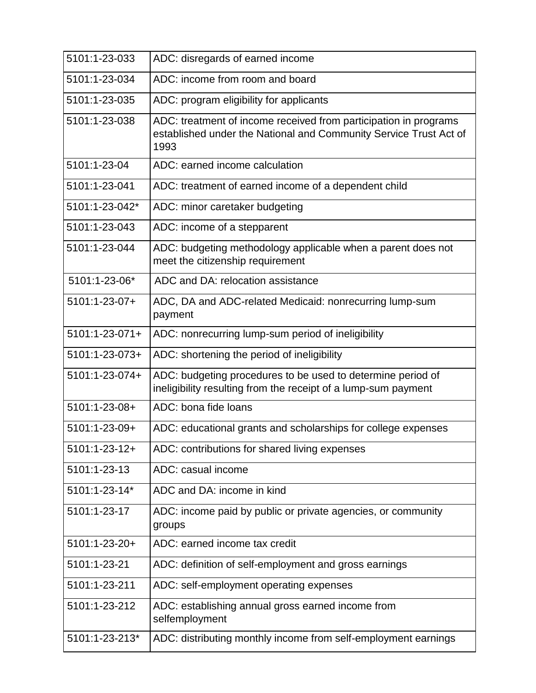| 5101:1-23-033        | ADC: disregards of earned income                                                                                                              |
|----------------------|-----------------------------------------------------------------------------------------------------------------------------------------------|
| 5101:1-23-034        | ADC: income from room and board                                                                                                               |
| 5101:1-23-035        | ADC: program eligibility for applicants                                                                                                       |
| 5101:1-23-038        | ADC: treatment of income received from participation in programs<br>established under the National and Community Service Trust Act of<br>1993 |
| 5101:1-23-04         | ADC: earned income calculation                                                                                                                |
| 5101:1-23-041        | ADC: treatment of earned income of a dependent child                                                                                          |
| 5101:1-23-042*       | ADC: minor caretaker budgeting                                                                                                                |
| 5101:1-23-043        | ADC: income of a stepparent                                                                                                                   |
| 5101:1-23-044        | ADC: budgeting methodology applicable when a parent does not<br>meet the citizenship requirement                                              |
| 5101:1-23-06*        | ADC and DA: relocation assistance                                                                                                             |
| 5101:1-23-07+        | ADC, DA and ADC-related Medicaid: nonrecurring lump-sum<br>payment                                                                            |
| $5101:1-23-071+$     | ADC: nonrecurring lump-sum period of ineligibility                                                                                            |
| 5101:1-23-073+       | ADC: shortening the period of ineligibility                                                                                                   |
| 5101:1-23-074+       | ADC: budgeting procedures to be used to determine period of<br>ineligibility resulting from the receipt of a lump-sum payment                 |
| 5101:1-23-08+        | ADC: bona fide loans                                                                                                                          |
| 5101:1-23-09+        | ADC: educational grants and scholarships for college expenses                                                                                 |
| $5101:1 - 23 - 12 +$ | ADC: contributions for shared living expenses                                                                                                 |
| 5101:1-23-13         | ADC: casual income                                                                                                                            |
| 5101:1-23-14*        | ADC and DA: income in kind                                                                                                                    |
| 5101:1-23-17         | ADC: income paid by public or private agencies, or community<br>groups                                                                        |
| 5101:1-23-20+        | ADC: earned income tax credit                                                                                                                 |
| 5101:1-23-21         | ADC: definition of self-employment and gross earnings                                                                                         |
| 5101:1-23-211        | ADC: self-employment operating expenses                                                                                                       |
| 5101:1-23-212        | ADC: establishing annual gross earned income from<br>selfemployment                                                                           |
| 5101:1-23-213*       | ADC: distributing monthly income from self-employment earnings                                                                                |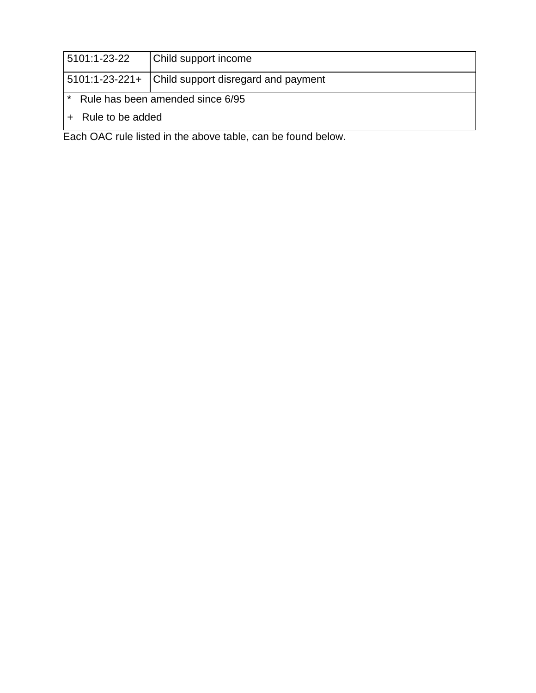| 15101:1-23-22                    | Child support income                               |  |
|----------------------------------|----------------------------------------------------|--|
|                                  | 5101:1-23-221+ Child support disregard and payment |  |
| Rule has been amended since 6/95 |                                                    |  |
| Rule to be added                 |                                                    |  |

Each OAC rule listed in the above table, can be found below.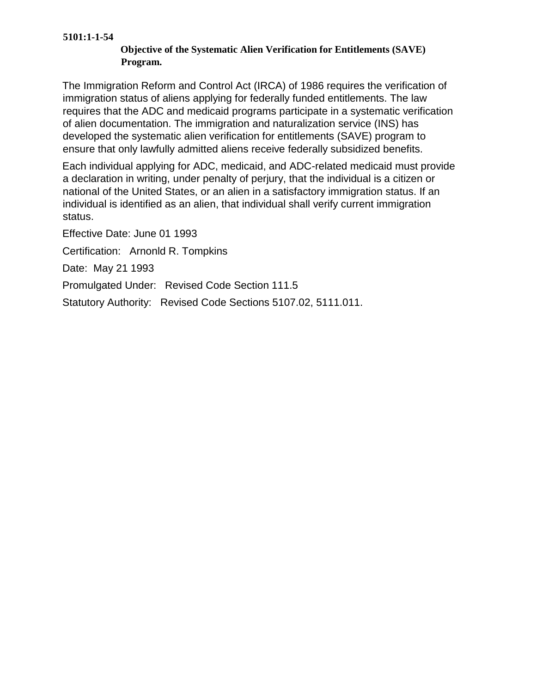#### **5101:1-1-54**

## **Objective of the Systematic Alien Verification for Entitlements (SAVE) Program.**

The Immigration Reform and Control Act (IRCA) of 1986 requires the verification of immigration status of aliens applying for federally funded entitlements. The law requires that the ADC and medicaid programs participate in a systematic verification of alien documentation. The immigration and naturalization service (INS) has developed the systematic alien verification for entitlements (SAVE) program to ensure that only lawfully admitted aliens receive federally subsidized benefits.

Each individual applying for ADC, medicaid, and ADC-related medicaid must provide a declaration in writing, under penalty of perjury, that the individual is a citizen or national of the United States, or an alien in a satisfactory immigration status. If an individual is identified as an alien, that individual shall verify current immigration status.

Effective Date: June 01 1993

Certification: Arnonld R. Tompkins

Date: May 21 1993

Promulgated Under: Revised Code Section 111.5

Statutory Authority: Revised Code Sections 5107.02, 5111.011.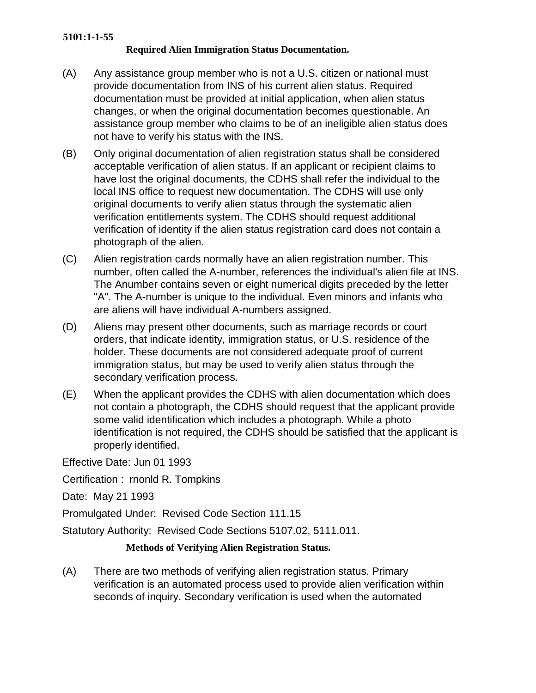### **5101:1-1-55**

### **Required Alien Immigration Status Documentation.**

- (A) Any assistance group member who is not a U.S. citizen or national must provide documentation from INS of his current alien status. Required documentation must be provided at initial application, when alien status changes, or when the original documentation becomes questionable. An assistance group member who claims to be of an ineligible alien status does not have to verify his status with the INS.
- (B) Only original documentation of alien registration status shall be considered acceptable verification of alien status. If an applicant or recipient claims to have lost the original documents, the CDHS shall refer the individual to the local INS office to request new documentation. The CDHS will use only original documents to verify alien status through the systematic alien verification entitlements system. The CDHS should request additional verification of identity if the alien status registration card does not contain a photograph of the alien.
- (C) Alien registration cards normally have an alien registration number. This number, often called the A-number, references the individual's alien file at INS. The Anumber contains seven or eight numerical digits preceded by the letter "A". The A-number is unique to the individual. Even minors and infants who are aliens will have individual A-numbers assigned.
- (D) Aliens may present other documents, such as marriage records or court orders, that indicate identity, immigration status, or U.S. residence of the holder. These documents are not considered adequate proof of current immigration status, but may be used to verify alien status through the secondary verification process.
- (E) When the applicant provides the CDHS with alien documentation which does not contain a photograph, the CDHS should request that the applicant provide some valid identification which includes a photograph. While a photo identification is not required, the CDHS should be satisfied that the applicant is properly identified.

Effective Date: Jun 01 1993

Certification : rnonld R. Tompkins

Date: May 21 1993

Promulgated Under: Revised Code Section 111.15

Statutory Authority: Revised Code Sections 5107.02, 5111.011.

# **Methods of Verifying Alien Registration Status.**

(A) There are two methods of verifying alien registration status. Primary verification is an automated process used to provide alien verification within seconds of inquiry. Secondary verification is used when the automated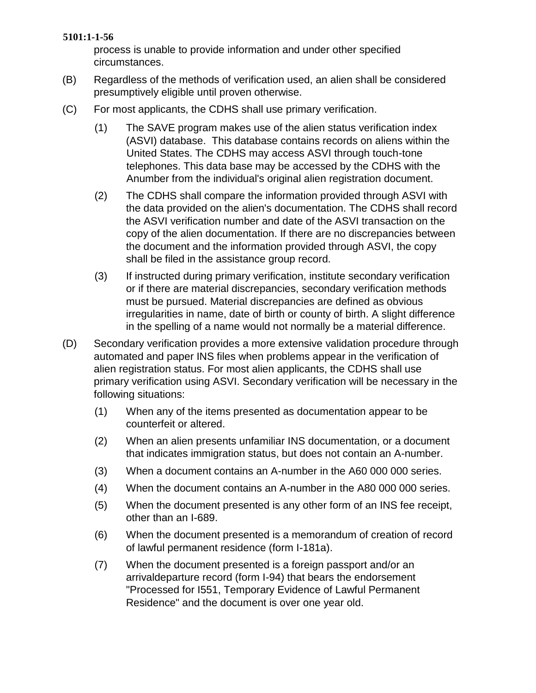### **5101:1-1-56**

process is unable to provide information and under other specified circumstances.

- (B) Regardless of the methods of verification used, an alien shall be considered presumptively eligible until proven otherwise.
- (C) For most applicants, the CDHS shall use primary verification.
	- (1) The SAVE program makes use of the alien status verification index (ASVI) database. This database contains records on aliens within the United States. The CDHS may access ASVI through touch-tone telephones. This data base may be accessed by the CDHS with the Anumber from the individual's original alien registration document.
	- (2) The CDHS shall compare the information provided through ASVI with the data provided on the alien's documentation. The CDHS shall record the ASVI verification number and date of the ASVI transaction on the copy of the alien documentation. If there are no discrepancies between the document and the information provided through ASVI, the copy shall be filed in the assistance group record.
	- (3) If instructed during primary verification, institute secondary verification or if there are material discrepancies, secondary verification methods must be pursued. Material discrepancies are defined as obvious irregularities in name, date of birth or county of birth. A slight difference in the spelling of a name would not normally be a material difference.
- (D) Secondary verification provides a more extensive validation procedure through automated and paper INS files when problems appear in the verification of alien registration status. For most alien applicants, the CDHS shall use primary verification using ASVI. Secondary verification will be necessary in the following situations:
	- (1) When any of the items presented as documentation appear to be counterfeit or altered.
	- (2) When an alien presents unfamiliar INS documentation, or a document that indicates immigration status, but does not contain an A-number.
	- (3) When a document contains an A-number in the A60 000 000 series.
	- (4) When the document contains an A-number in the A80 000 000 series.
	- (5) When the document presented is any other form of an INS fee receipt, other than an I-689.
	- (6) When the document presented is a memorandum of creation of record of lawful permanent residence (form I-181a).
	- (7) When the document presented is a foreign passport and/or an arrivaldeparture record (form I-94) that bears the endorsement "Processed for I551, Temporary Evidence of Lawful Permanent Residence" and the document is over one year old.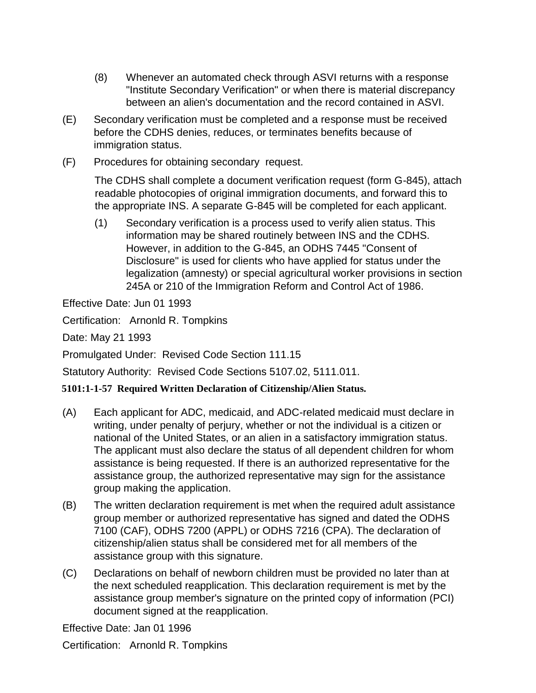- (8) Whenever an automated check through ASVI returns with a response "Institute Secondary Verification" or when there is material discrepancy between an alien's documentation and the record contained in ASVI.
- (E) Secondary verification must be completed and a response must be received before the CDHS denies, reduces, or terminates benefits because of immigration status.
- (F) Procedures for obtaining secondary request.

The CDHS shall complete a document verification request (form G-845), attach readable photocopies of original immigration documents, and forward this to the appropriate INS. A separate G-845 will be completed for each applicant.

(1) Secondary verification is a process used to verify alien status. This information may be shared routinely between INS and the CDHS. However, in addition to the G-845, an ODHS 7445 "Consent of Disclosure" is used for clients who have applied for status under the legalization (amnesty) or special agricultural worker provisions in section 245A or 210 of the Immigration Reform and Control Act of 1986.

Effective Date: Jun 01 1993

Certification: Arnonld R. Tompkins

Date: May 21 1993

Promulgated Under: Revised Code Section 111.15

Statutory Authority: Revised Code Sections 5107.02, 5111.011.

# **5101:1-1-57 Required Written Declaration of Citizenship/Alien Status.**

- (A) Each applicant for ADC, medicaid, and ADC-related medicaid must declare in writing, under penalty of perjury, whether or not the individual is a citizen or national of the United States, or an alien in a satisfactory immigration status. The applicant must also declare the status of all dependent children for whom assistance is being requested. If there is an authorized representative for the assistance group, the authorized representative may sign for the assistance group making the application.
- (B) The written declaration requirement is met when the required adult assistance group member or authorized representative has signed and dated the ODHS 7100 (CAF), ODHS 7200 (APPL) or ODHS 7216 (CPA). The declaration of citizenship/alien status shall be considered met for all members of the assistance group with this signature.
- (C) Declarations on behalf of newborn children must be provided no later than at the next scheduled reapplication. This declaration requirement is met by the assistance group member's signature on the printed copy of information (PCI) document signed at the reapplication.

Effective Date: Jan 01 1996

Certification: Arnonld R. Tompkins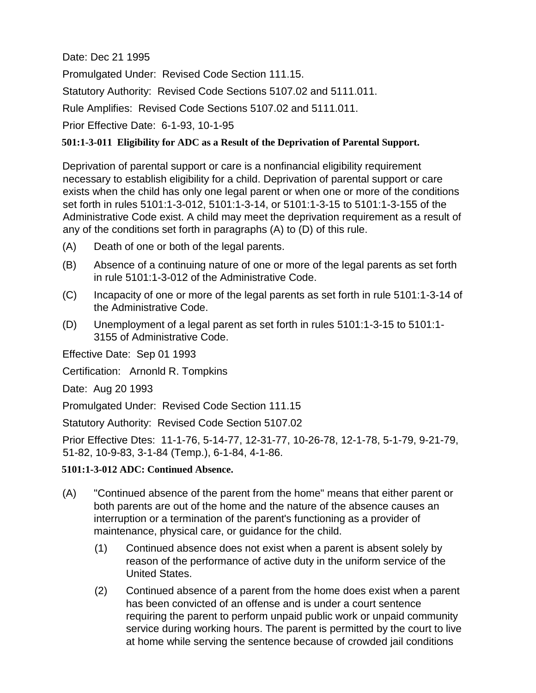Date: Dec 21 1995

Promulgated Under: Revised Code Section 111.15.

Statutory Authority: Revised Code Sections 5107.02 and 5111.011.

Rule Amplifies: Revised Code Sections 5107.02 and 5111.011.

Prior Effective Date: 6-1-93, 10-1-95

# **501:1-3-011 Eligibility for ADC as a Result of the Deprivation of Parental Support.**

Deprivation of parental support or care is a nonfinancial eligibility requirement necessary to establish eligibility for a child. Deprivation of parental support or care exists when the child has only one legal parent or when one or more of the conditions set forth in rules 5101:1-3-012, 5101:1-3-14, or 5101:1-3-15 to 5101:1-3-155 of the Administrative Code exist. A child may meet the deprivation requirement as a result of any of the conditions set forth in paragraphs (A) to (D) of this rule.

- (A) Death of one or both of the legal parents.
- (B) Absence of a continuing nature of one or more of the legal parents as set forth in rule 5101:1-3-012 of the Administrative Code.
- (C) Incapacity of one or more of the legal parents as set forth in rule 5101:1-3-14 of the Administrative Code.
- (D) Unemployment of a legal parent as set forth in rules 5101:1-3-15 to 5101:1- 3155 of Administrative Code.

Effective Date: Sep 01 1993

Certification: Arnonld R. Tompkins

Date: Aug 20 1993

Promulgated Under: Revised Code Section 111.15

Statutory Authority: Revised Code Section 5107.02

Prior Effective Dtes: 11-1-76, 5-14-77, 12-31-77, 10-26-78, 12-1-78, 5-1-79, 9-21-79, 51-82, 10-9-83, 3-1-84 (Temp.), 6-1-84, 4-1-86.

# **5101:1-3-012 ADC: Continued Absence.**

- (A) "Continued absence of the parent from the home" means that either parent or both parents are out of the home and the nature of the absence causes an interruption or a termination of the parent's functioning as a provider of maintenance, physical care, or guidance for the child.
	- (1) Continued absence does not exist when a parent is absent solely by reason of the performance of active duty in the uniform service of the United States.
	- (2) Continued absence of a parent from the home does exist when a parent has been convicted of an offense and is under a court sentence requiring the parent to perform unpaid public work or unpaid community service during working hours. The parent is permitted by the court to live at home while serving the sentence because of crowded jail conditions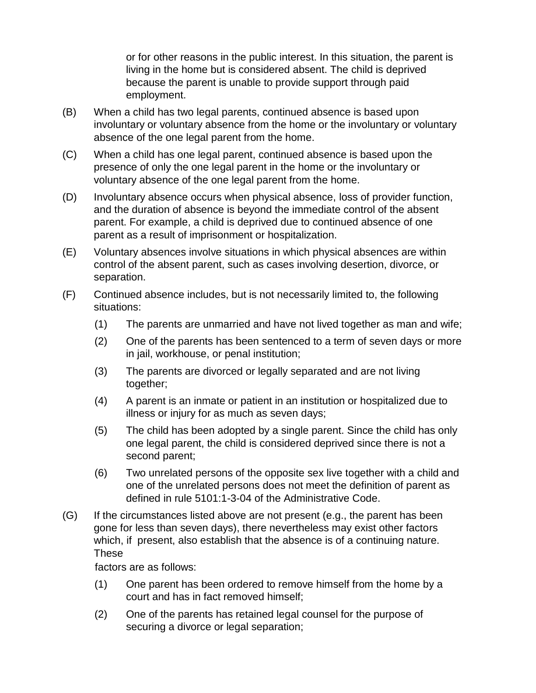or for other reasons in the public interest. In this situation, the parent is living in the home but is considered absent. The child is deprived because the parent is unable to provide support through paid employment.

- (B) When a child has two legal parents, continued absence is based upon involuntary or voluntary absence from the home or the involuntary or voluntary absence of the one legal parent from the home.
- (C) When a child has one legal parent, continued absence is based upon the presence of only the one legal parent in the home or the involuntary or voluntary absence of the one legal parent from the home.
- (D) Involuntary absence occurs when physical absence, loss of provider function, and the duration of absence is beyond the immediate control of the absent parent. For example, a child is deprived due to continued absence of one parent as a result of imprisonment or hospitalization.
- (E) Voluntary absences involve situations in which physical absences are within control of the absent parent, such as cases involving desertion, divorce, or separation.
- (F) Continued absence includes, but is not necessarily limited to, the following situations:
	- (1) The parents are unmarried and have not lived together as man and wife;
	- (2) One of the parents has been sentenced to a term of seven days or more in jail, workhouse, or penal institution;
	- (3) The parents are divorced or legally separated and are not living together;
	- (4) A parent is an inmate or patient in an institution or hospitalized due to illness or injury for as much as seven days;
	- (5) The child has been adopted by a single parent. Since the child has only one legal parent, the child is considered deprived since there is not a second parent;
	- (6) Two unrelated persons of the opposite sex live together with a child and one of the unrelated persons does not meet the definition of parent as defined in rule 5101:1-3-04 of the Administrative Code.
- (G) If the circumstances listed above are not present (e.g., the parent has been gone for less than seven days), there nevertheless may exist other factors which, if present, also establish that the absence is of a continuing nature. These

factors are as follows:

- (1) One parent has been ordered to remove himself from the home by a court and has in fact removed himself;
- (2) One of the parents has retained legal counsel for the purpose of securing a divorce or legal separation;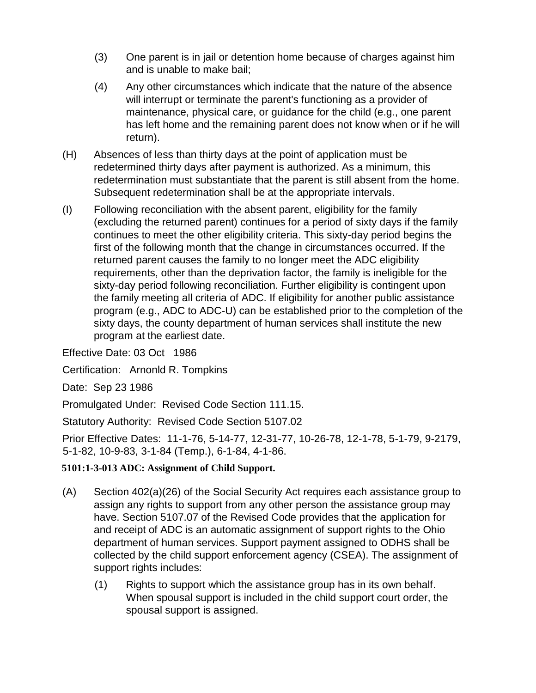- (3) One parent is in jail or detention home because of charges against him and is unable to make bail;
- (4) Any other circumstances which indicate that the nature of the absence will interrupt or terminate the parent's functioning as a provider of maintenance, physical care, or guidance for the child (e.g., one parent has left home and the remaining parent does not know when or if he will return).
- (H) Absences of less than thirty days at the point of application must be redetermined thirty days after payment is authorized. As a minimum, this redetermination must substantiate that the parent is still absent from the home. Subsequent redetermination shall be at the appropriate intervals.
- (I) Following reconciliation with the absent parent, eligibility for the family (excluding the returned parent) continues for a period of sixty days if the family continues to meet the other eligibility criteria. This sixty-day period begins the first of the following month that the change in circumstances occurred. If the returned parent causes the family to no longer meet the ADC eligibility requirements, other than the deprivation factor, the family is ineligible for the sixty-day period following reconciliation. Further eligibility is contingent upon the family meeting all criteria of ADC. If eligibility for another public assistance program (e.g., ADC to ADC-U) can be established prior to the completion of the sixty days, the county department of human services shall institute the new program at the earliest date.

Effective Date: 03 Oct 1986

Certification: Arnonld R. Tompkins

Date: Sep 23 1986

Promulgated Under: Revised Code Section 111.15.

Statutory Authority: Revised Code Section 5107.02

Prior Effective Dates: 11-1-76, 5-14-77, 12-31-77, 10-26-78, 12-1-78, 5-1-79, 9-2179, 5-1-82, 10-9-83, 3-1-84 (Temp.), 6-1-84, 4-1-86.

# **5101:1-3-013 ADC: Assignment of Child Support.**

- (A) Section 402(a)(26) of the Social Security Act requires each assistance group to assign any rights to support from any other person the assistance group may have. Section 5107.07 of the Revised Code provides that the application for and receipt of ADC is an automatic assignment of support rights to the Ohio department of human services. Support payment assigned to ODHS shall be collected by the child support enforcement agency (CSEA). The assignment of support rights includes:
	- (1) Rights to support which the assistance group has in its own behalf. When spousal support is included in the child support court order, the spousal support is assigned.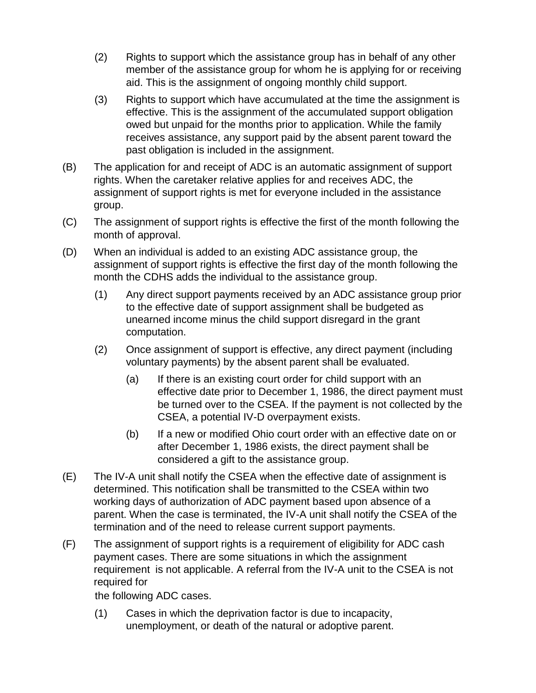- (2) Rights to support which the assistance group has in behalf of any other member of the assistance group for whom he is applying for or receiving aid. This is the assignment of ongoing monthly child support.
- (3) Rights to support which have accumulated at the time the assignment is effective. This is the assignment of the accumulated support obligation owed but unpaid for the months prior to application. While the family receives assistance, any support paid by the absent parent toward the past obligation is included in the assignment.
- (B) The application for and receipt of ADC is an automatic assignment of support rights. When the caretaker relative applies for and receives ADC, the assignment of support rights is met for everyone included in the assistance group.
- (C) The assignment of support rights is effective the first of the month following the month of approval.
- (D) When an individual is added to an existing ADC assistance group, the assignment of support rights is effective the first day of the month following the month the CDHS adds the individual to the assistance group.
	- (1) Any direct support payments received by an ADC assistance group prior to the effective date of support assignment shall be budgeted as unearned income minus the child support disregard in the grant computation.
	- (2) Once assignment of support is effective, any direct payment (including voluntary payments) by the absent parent shall be evaluated.
		- (a) If there is an existing court order for child support with an effective date prior to December 1, 1986, the direct payment must be turned over to the CSEA. If the payment is not collected by the CSEA, a potential IV-D overpayment exists.
		- (b) If a new or modified Ohio court order with an effective date on or after December 1, 1986 exists, the direct payment shall be considered a gift to the assistance group.
- (E) The IV-A unit shall notify the CSEA when the effective date of assignment is determined. This notification shall be transmitted to the CSEA within two working days of authorization of ADC payment based upon absence of a parent. When the case is terminated, the IV-A unit shall notify the CSEA of the termination and of the need to release current support payments.
- (F) The assignment of support rights is a requirement of eligibility for ADC cash payment cases. There are some situations in which the assignment requirement is not applicable. A referral from the IV-A unit to the CSEA is not required for

the following ADC cases.

(1) Cases in which the deprivation factor is due to incapacity, unemployment, or death of the natural or adoptive parent.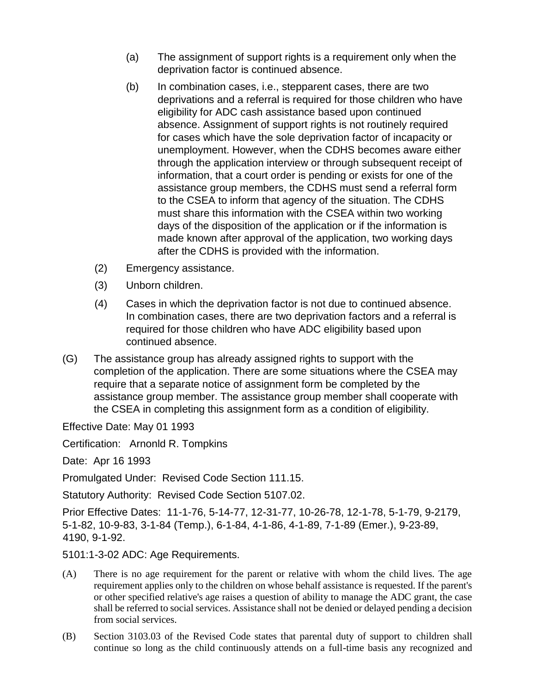- (a) The assignment of support rights is a requirement only when the deprivation factor is continued absence.
- (b) In combination cases, i.e., stepparent cases, there are two deprivations and a referral is required for those children who have eligibility for ADC cash assistance based upon continued absence. Assignment of support rights is not routinely required for cases which have the sole deprivation factor of incapacity or unemployment. However, when the CDHS becomes aware either through the application interview or through subsequent receipt of information, that a court order is pending or exists for one of the assistance group members, the CDHS must send a referral form to the CSEA to inform that agency of the situation. The CDHS must share this information with the CSEA within two working days of the disposition of the application or if the information is made known after approval of the application, two working days after the CDHS is provided with the information.
- (2) Emergency assistance.
- (3) Unborn children.
- (4) Cases in which the deprivation factor is not due to continued absence. In combination cases, there are two deprivation factors and a referral is required for those children who have ADC eligibility based upon continued absence.
- (G) The assistance group has already assigned rights to support with the completion of the application. There are some situations where the CSEA may require that a separate notice of assignment form be completed by the assistance group member. The assistance group member shall cooperate with the CSEA in completing this assignment form as a condition of eligibility.

Effective Date: May 01 1993

Certification: Arnonld R. Tompkins

Date: Apr 16 1993

Promulgated Under: Revised Code Section 111.15.

Statutory Authority: Revised Code Section 5107.02.

Prior Effective Dates: 11-1-76, 5-14-77, 12-31-77, 10-26-78, 12-1-78, 5-1-79, 9-2179, 5-1-82, 10-9-83, 3-1-84 (Temp.), 6-1-84, 4-1-86, 4-1-89, 7-1-89 (Emer.), 9-23-89, 4190, 9-1-92.

5101:1-3-02 ADC: Age Requirements.

- (A) There is no age requirement for the parent or relative with whom the child lives. The age requirement applies only to the children on whose behalf assistance is requested. If the parent's or other specified relative's age raises a question of ability to manage the ADC grant, the case shall be referred to social services. Assistance shall not be denied or delayed pending a decision from social services.
- (B) Section 3103.03 of the Revised Code states that parental duty of support to children shall continue so long as the child continuously attends on a full-time basis any recognized and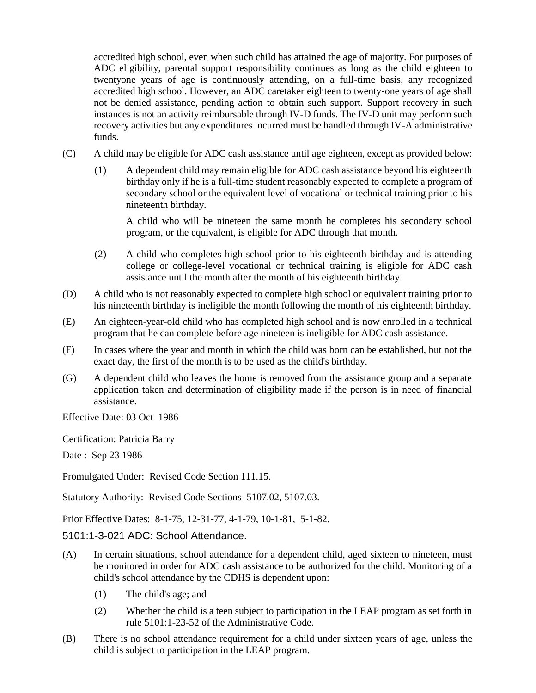accredited high school, even when such child has attained the age of majority. For purposes of ADC eligibility, parental support responsibility continues as long as the child eighteen to twentyone years of age is continuously attending, on a full-time basis, any recognized accredited high school. However, an ADC caretaker eighteen to twenty-one years of age shall not be denied assistance, pending action to obtain such support. Support recovery in such instances is not an activity reimbursable through IV-D funds. The IV-D unit may perform such recovery activities but any expenditures incurred must be handled through IV-A administrative funds.

- (C) A child may be eligible for ADC cash assistance until age eighteen, except as provided below:
	- (1) A dependent child may remain eligible for ADC cash assistance beyond his eighteenth birthday only if he is a full-time student reasonably expected to complete a program of secondary school or the equivalent level of vocational or technical training prior to his nineteenth birthday.

A child who will be nineteen the same month he completes his secondary school program, or the equivalent, is eligible for ADC through that month.

- (2) A child who completes high school prior to his eighteenth birthday and is attending college or college-level vocational or technical training is eligible for ADC cash assistance until the month after the month of his eighteenth birthday.
- (D) A child who is not reasonably expected to complete high school or equivalent training prior to his nineteenth birthday is ineligible the month following the month of his eighteenth birthday.
- (E) An eighteen-year-old child who has completed high school and is now enrolled in a technical program that he can complete before age nineteen is ineligible for ADC cash assistance.
- (F) In cases where the year and month in which the child was born can be established, but not the exact day, the first of the month is to be used as the child's birthday.
- (G) A dependent child who leaves the home is removed from the assistance group and a separate application taken and determination of eligibility made if the person is in need of financial assistance.

Effective Date: 03 Oct 1986

Certification: Patricia Barry

Date : Sep 23 1986

Promulgated Under: Revised Code Section 111.15.

Statutory Authority: Revised Code Sections 5107.02, 5107.03.

Prior Effective Dates: 8-1-75, 12-31-77, 4-1-79, 10-1-81, 5-1-82.

5101:1-3-021 ADC: School Attendance.

- (A) In certain situations, school attendance for a dependent child, aged sixteen to nineteen, must be monitored in order for ADC cash assistance to be authorized for the child. Monitoring of a child's school attendance by the CDHS is dependent upon:
	- (1) The child's age; and
	- (2) Whether the child is a teen subject to participation in the LEAP program as set forth in rule 5101:1-23-52 of the Administrative Code.
- (B) There is no school attendance requirement for a child under sixteen years of age, unless the child is subject to participation in the LEAP program.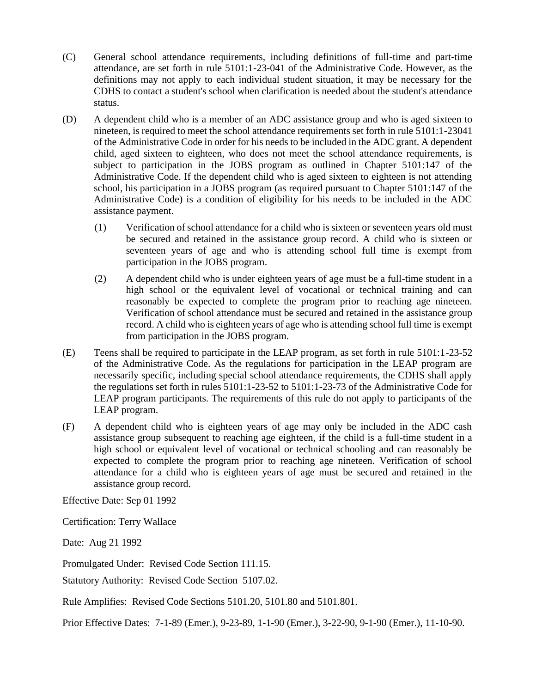- (C) General school attendance requirements, including definitions of full-time and part-time attendance, are set forth in rule 5101:1-23-041 of the Administrative Code. However, as the definitions may not apply to each individual student situation, it may be necessary for the CDHS to contact a student's school when clarification is needed about the student's attendance status.
- (D) A dependent child who is a member of an ADC assistance group and who is aged sixteen to nineteen, is required to meet the school attendance requirements set forth in rule 5101:1-23041 of the Administrative Code in order for his needs to be included in the ADC grant. A dependent child, aged sixteen to eighteen, who does not meet the school attendance requirements, is subject to participation in the JOBS program as outlined in Chapter 5101:147 of the Administrative Code. If the dependent child who is aged sixteen to eighteen is not attending school, his participation in a JOBS program (as required pursuant to Chapter 5101:147 of the Administrative Code) is a condition of eligibility for his needs to be included in the ADC assistance payment.
	- (1) Verification of school attendance for a child who is sixteen or seventeen years old must be secured and retained in the assistance group record. A child who is sixteen or seventeen years of age and who is attending school full time is exempt from participation in the JOBS program.
	- (2) A dependent child who is under eighteen years of age must be a full-time student in a high school or the equivalent level of vocational or technical training and can reasonably be expected to complete the program prior to reaching age nineteen. Verification of school attendance must be secured and retained in the assistance group record. A child who is eighteen years of age who is attending school full time is exempt from participation in the JOBS program.
- (E) Teens shall be required to participate in the LEAP program, as set forth in rule 5101:1-23-52 of the Administrative Code. As the regulations for participation in the LEAP program are necessarily specific, including special school attendance requirements, the CDHS shall apply the regulations set forth in rules 5101:1-23-52 to 5101:1-23-73 of the Administrative Code for LEAP program participants. The requirements of this rule do not apply to participants of the LEAP program.
- (F) A dependent child who is eighteen years of age may only be included in the ADC cash assistance group subsequent to reaching age eighteen, if the child is a full-time student in a high school or equivalent level of vocational or technical schooling and can reasonably be expected to complete the program prior to reaching age nineteen. Verification of school attendance for a child who is eighteen years of age must be secured and retained in the assistance group record.

Effective Date: Sep 01 1992

Certification: Terry Wallace

Date: Aug 21 1992

Promulgated Under: Revised Code Section 111.15.

Statutory Authority: Revised Code Section 5107.02.

Rule Amplifies: Revised Code Sections 5101.20, 5101.80 and 5101.801.

Prior Effective Dates: 7-1-89 (Emer.), 9-23-89, 1-1-90 (Emer.), 3-22-90, 9-1-90 (Emer.), 11-10-90.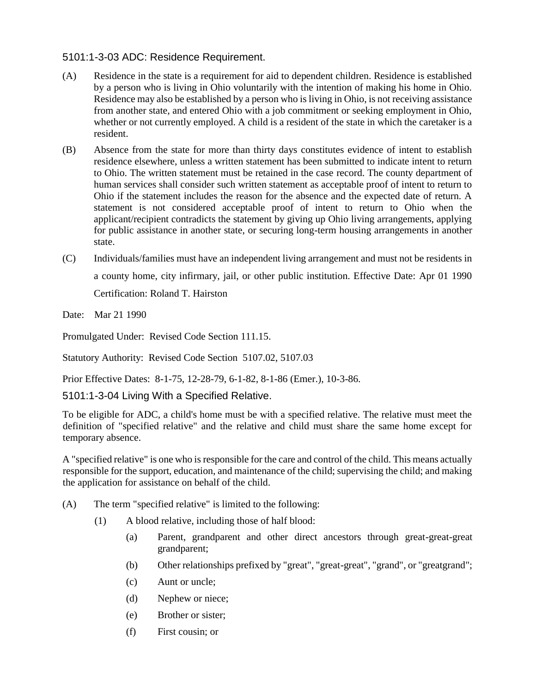### 5101:1-3-03 ADC: Residence Requirement.

- (A) Residence in the state is a requirement for aid to dependent children. Residence is established by a person who is living in Ohio voluntarily with the intention of making his home in Ohio. Residence may also be established by a person who is living in Ohio, is not receiving assistance from another state, and entered Ohio with a job commitment or seeking employment in Ohio, whether or not currently employed. A child is a resident of the state in which the caretaker is a resident.
- (B) Absence from the state for more than thirty days constitutes evidence of intent to establish residence elsewhere, unless a written statement has been submitted to indicate intent to return to Ohio. The written statement must be retained in the case record. The county department of human services shall consider such written statement as acceptable proof of intent to return to Ohio if the statement includes the reason for the absence and the expected date of return. A statement is not considered acceptable proof of intent to return to Ohio when the applicant/recipient contradicts the statement by giving up Ohio living arrangements, applying for public assistance in another state, or securing long-term housing arrangements in another state.
- (C) Individuals/families must have an independent living arrangement and must not be residents in a county home, city infirmary, jail, or other public institution. Effective Date: Apr 01 1990 Certification: Roland T. Hairston

Date: Mar 21 1990

Promulgated Under: Revised Code Section 111.15.

Statutory Authority: Revised Code Section 5107.02, 5107.03

Prior Effective Dates: 8-1-75, 12-28-79, 6-1-82, 8-1-86 (Emer.), 10-3-86.

# 5101:1-3-04 Living With a Specified Relative.

To be eligible for ADC, a child's home must be with a specified relative. The relative must meet the definition of "specified relative" and the relative and child must share the same home except for temporary absence.

A "specified relative" is one who is responsible for the care and control of the child. This means actually responsible for the support, education, and maintenance of the child; supervising the child; and making the application for assistance on behalf of the child.

- (A) The term "specified relative" is limited to the following:
	- (1) A blood relative, including those of half blood:
		- (a) Parent, grandparent and other direct ancestors through great-great-great grandparent;
		- (b) Other relationships prefixed by "great", "great-great", "grand", or "greatgrand";
		- (c) Aunt or uncle;
		- (d) Nephew or niece;
		- (e) Brother or sister;
		- (f) First cousin; or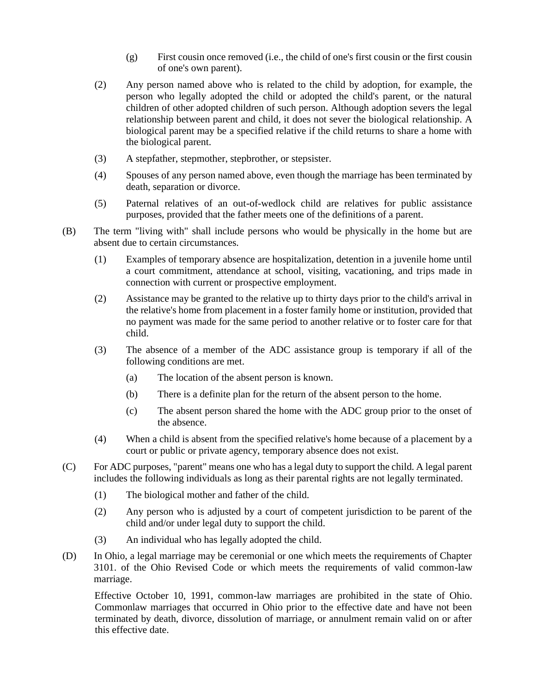- (g) First cousin once removed (i.e., the child of one's first cousin or the first cousin of one's own parent).
- (2) Any person named above who is related to the child by adoption, for example, the person who legally adopted the child or adopted the child's parent, or the natural children of other adopted children of such person. Although adoption severs the legal relationship between parent and child, it does not sever the biological relationship. A biological parent may be a specified relative if the child returns to share a home with the biological parent.
- (3) A stepfather, stepmother, stepbrother, or stepsister.
- (4) Spouses of any person named above, even though the marriage has been terminated by death, separation or divorce.
- (5) Paternal relatives of an out-of-wedlock child are relatives for public assistance purposes, provided that the father meets one of the definitions of a parent.
- (B) The term "living with" shall include persons who would be physically in the home but are absent due to certain circumstances.
	- (1) Examples of temporary absence are hospitalization, detention in a juvenile home until a court commitment, attendance at school, visiting, vacationing, and trips made in connection with current or prospective employment.
	- (2) Assistance may be granted to the relative up to thirty days prior to the child's arrival in the relative's home from placement in a foster family home or institution, provided that no payment was made for the same period to another relative or to foster care for that child.
	- (3) The absence of a member of the ADC assistance group is temporary if all of the following conditions are met.
		- (a) The location of the absent person is known.
		- (b) There is a definite plan for the return of the absent person to the home.
		- (c) The absent person shared the home with the ADC group prior to the onset of the absence.
	- (4) When a child is absent from the specified relative's home because of a placement by a court or public or private agency, temporary absence does not exist.
- (C) For ADC purposes, "parent" means one who has a legal duty to support the child. A legal parent includes the following individuals as long as their parental rights are not legally terminated.
	- (1) The biological mother and father of the child.
	- (2) Any person who is adjusted by a court of competent jurisdiction to be parent of the child and/or under legal duty to support the child.
	- (3) An individual who has legally adopted the child.
- (D) In Ohio, a legal marriage may be ceremonial or one which meets the requirements of Chapter 3101. of the Ohio Revised Code or which meets the requirements of valid common-law marriage.

Effective October 10, 1991, common-law marriages are prohibited in the state of Ohio. Commonlaw marriages that occurred in Ohio prior to the effective date and have not been terminated by death, divorce, dissolution of marriage, or annulment remain valid on or after this effective date.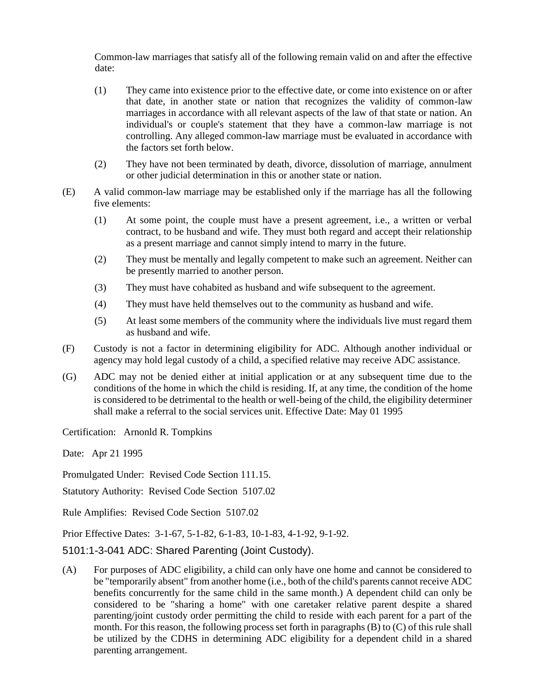Common-law marriages that satisfy all of the following remain valid on and after the effective date:

- (1) They came into existence prior to the effective date, or come into existence on or after that date, in another state or nation that recognizes the validity of common-law marriages in accordance with all relevant aspects of the law of that state or nation. An individual's or couple's statement that they have a common-law marriage is not controlling. Any alleged common-law marriage must be evaluated in accordance with the factors set forth below.
- (2) They have not been terminated by death, divorce, dissolution of marriage, annulment or other judicial determination in this or another state or nation.
- (E) A valid common-law marriage may be established only if the marriage has all the following five elements:
	- (1) At some point, the couple must have a present agreement, i.e., a written or verbal contract, to be husband and wife. They must both regard and accept their relationship as a present marriage and cannot simply intend to marry in the future.
	- (2) They must be mentally and legally competent to make such an agreement. Neither can be presently married to another person.
	- (3) They must have cohabited as husband and wife subsequent to the agreement.
	- (4) They must have held themselves out to the community as husband and wife.
	- (5) At least some members of the community where the individuals live must regard them as husband and wife.
- (F) Custody is not a factor in determining eligibility for ADC. Although another individual or agency may hold legal custody of a child, a specified relative may receive ADC assistance.
- (G) ADC may not be denied either at initial application or at any subsequent time due to the conditions of the home in which the child is residing. If, at any time, the condition of the home is considered to be detrimental to the health or well-being of the child, the eligibility determiner shall make a referral to the social services unit. Effective Date: May 01 1995

Certification: Arnonld R. Tompkins

Date: Apr 21 1995

Promulgated Under: Revised Code Section 111.15.

Statutory Authority: Revised Code Section 5107.02

Rule Amplifies: Revised Code Section 5107.02

Prior Effective Dates: 3-1-67, 5-1-82, 6-1-83, 10-1-83, 4-1-92, 9-1-92.

5101:1-3-041 ADC: Shared Parenting (Joint Custody).

(A) For purposes of ADC eligibility, a child can only have one home and cannot be considered to be "temporarily absent" from another home (i.e., both of the child's parents cannot receive ADC benefits concurrently for the same child in the same month.) A dependent child can only be considered to be "sharing a home" with one caretaker relative parent despite a shared parenting/joint custody order permitting the child to reside with each parent for a part of the month. For this reason, the following process set forth in paragraphs (B) to (C) of this rule shall be utilized by the CDHS in determining ADC eligibility for a dependent child in a shared parenting arrangement.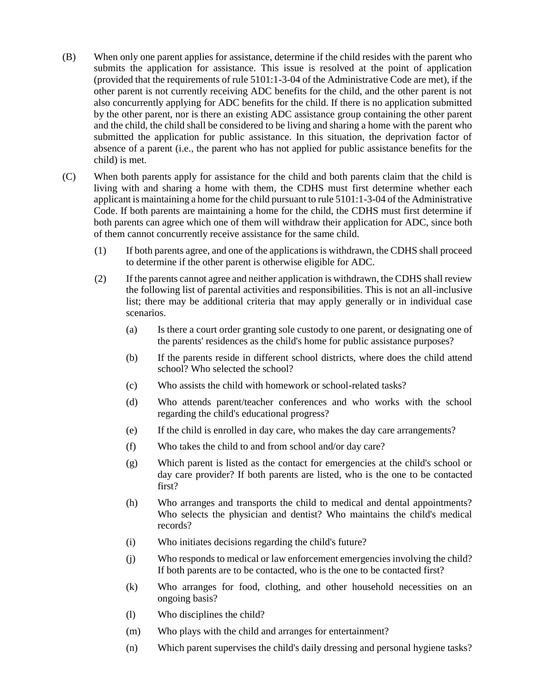- (B) When only one parent applies for assistance, determine if the child resides with the parent who submits the application for assistance. This issue is resolved at the point of application (provided that the requirements of rule 5101:1-3-04 of the Administrative Code are met), if the other parent is not currently receiving ADC benefits for the child, and the other parent is not also concurrently applying for ADC benefits for the child. If there is no application submitted by the other parent, nor is there an existing ADC assistance group containing the other parent and the child, the child shall be considered to be living and sharing a home with the parent who submitted the application for public assistance. In this situation, the deprivation factor of absence of a parent (i.e., the parent who has not applied for public assistance benefits for the child) is met.
- (C) When both parents apply for assistance for the child and both parents claim that the child is living with and sharing a home with them, the CDHS must first determine whether each applicant is maintaining a home for the child pursuant to rule 5101:1-3-04 of the Administrative Code. If both parents are maintaining a home for the child, the CDHS must first determine if both parents can agree which one of them will withdraw their application for ADC, since both of them cannot concurrently receive assistance for the same child.
	- (1) If both parents agree, and one of the applications is withdrawn, the CDHS shall proceed to determine if the other parent is otherwise eligible for ADC.
	- (2) If the parents cannot agree and neither application is withdrawn, the CDHS shall review the following list of parental activities and responsibilities. This is not an all-inclusive list; there may be additional criteria that may apply generally or in individual case scenarios.
		- (a) Is there a court order granting sole custody to one parent, or designating one of the parents' residences as the child's home for public assistance purposes?
		- (b) If the parents reside in different school districts, where does the child attend school? Who selected the school?
		- (c) Who assists the child with homework or school-related tasks?
		- (d) Who attends parent/teacher conferences and who works with the school regarding the child's educational progress?
		- (e) If the child is enrolled in day care, who makes the day care arrangements?
		- (f) Who takes the child to and from school and/or day care?
		- (g) Which parent is listed as the contact for emergencies at the child's school or day care provider? If both parents are listed, who is the one to be contacted first?
		- (h) Who arranges and transports the child to medical and dental appointments? Who selects the physician and dentist? Who maintains the child's medical records?
		- (i) Who initiates decisions regarding the child's future?
		- (j) Who responds to medical or law enforcement emergencies involving the child? If both parents are to be contacted, who is the one to be contacted first?
		- (k) Who arranges for food, clothing, and other household necessities on an ongoing basis?
		- (l) Who disciplines the child?
		- (m) Who plays with the child and arranges for entertainment?
		- (n) Which parent supervises the child's daily dressing and personal hygiene tasks?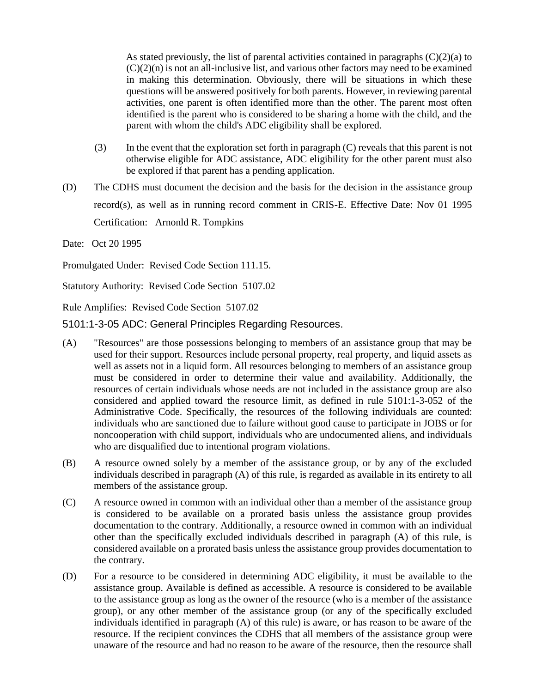As stated previously, the list of parental activities contained in paragraphs  $(C)(2)(a)$  to  $(C)(2)(n)$  is not an all-inclusive list, and various other factors may need to be examined in making this determination. Obviously, there will be situations in which these questions will be answered positively for both parents. However, in reviewing parental activities, one parent is often identified more than the other. The parent most often identified is the parent who is considered to be sharing a home with the child, and the parent with whom the child's ADC eligibility shall be explored.

- (3) In the event that the exploration set forth in paragraph (C) reveals that this parent is not otherwise eligible for ADC assistance, ADC eligibility for the other parent must also be explored if that parent has a pending application.
- (D) The CDHS must document the decision and the basis for the decision in the assistance group record(s), as well as in running record comment in CRIS-E. Effective Date: Nov 01 1995 Certification: Arnonld R. Tompkins

Date: Oct 20 1995

Promulgated Under: Revised Code Section 111.15.

Statutory Authority: Revised Code Section 5107.02

Rule Amplifies: Revised Code Section 5107.02

5101:1-3-05 ADC: General Principles Regarding Resources.

- (A) "Resources" are those possessions belonging to members of an assistance group that may be used for their support. Resources include personal property, real property, and liquid assets as well as assets not in a liquid form. All resources belonging to members of an assistance group must be considered in order to determine their value and availability. Additionally, the resources of certain individuals whose needs are not included in the assistance group are also considered and applied toward the resource limit, as defined in rule 5101:1-3-052 of the Administrative Code. Specifically, the resources of the following individuals are counted: individuals who are sanctioned due to failure without good cause to participate in JOBS or for noncooperation with child support, individuals who are undocumented aliens, and individuals who are disqualified due to intentional program violations.
- (B) A resource owned solely by a member of the assistance group, or by any of the excluded individuals described in paragraph (A) of this rule, is regarded as available in its entirety to all members of the assistance group.
- (C) A resource owned in common with an individual other than a member of the assistance group is considered to be available on a prorated basis unless the assistance group provides documentation to the contrary. Additionally, a resource owned in common with an individual other than the specifically excluded individuals described in paragraph (A) of this rule, is considered available on a prorated basis unless the assistance group provides documentation to the contrary.
- (D) For a resource to be considered in determining ADC eligibility, it must be available to the assistance group. Available is defined as accessible. A resource is considered to be available to the assistance group as long as the owner of the resource (who is a member of the assistance group), or any other member of the assistance group (or any of the specifically excluded individuals identified in paragraph (A) of this rule) is aware, or has reason to be aware of the resource. If the recipient convinces the CDHS that all members of the assistance group were unaware of the resource and had no reason to be aware of the resource, then the resource shall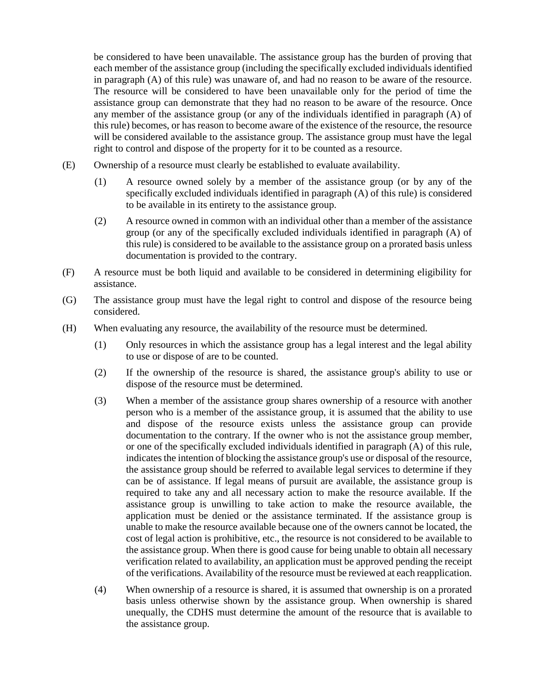be considered to have been unavailable. The assistance group has the burden of proving that each member of the assistance group (including the specifically excluded individuals identified in paragraph (A) of this rule) was unaware of, and had no reason to be aware of the resource. The resource will be considered to have been unavailable only for the period of time the assistance group can demonstrate that they had no reason to be aware of the resource. Once any member of the assistance group (or any of the individuals identified in paragraph (A) of this rule) becomes, or has reason to become aware of the existence of the resource, the resource will be considered available to the assistance group. The assistance group must have the legal right to control and dispose of the property for it to be counted as a resource.

- (E) Ownership of a resource must clearly be established to evaluate availability.
	- (1) A resource owned solely by a member of the assistance group (or by any of the specifically excluded individuals identified in paragraph (A) of this rule) is considered to be available in its entirety to the assistance group.
	- (2) A resource owned in common with an individual other than a member of the assistance group (or any of the specifically excluded individuals identified in paragraph (A) of this rule) is considered to be available to the assistance group on a prorated basis unless documentation is provided to the contrary.
- (F) A resource must be both liquid and available to be considered in determining eligibility for assistance.
- (G) The assistance group must have the legal right to control and dispose of the resource being considered.
- (H) When evaluating any resource, the availability of the resource must be determined.
	- (1) Only resources in which the assistance group has a legal interest and the legal ability to use or dispose of are to be counted.
	- (2) If the ownership of the resource is shared, the assistance group's ability to use or dispose of the resource must be determined.
	- (3) When a member of the assistance group shares ownership of a resource with another person who is a member of the assistance group, it is assumed that the ability to use and dispose of the resource exists unless the assistance group can provide documentation to the contrary. If the owner who is not the assistance group member, or one of the specifically excluded individuals identified in paragraph (A) of this rule, indicates the intention of blocking the assistance group's use or disposal of the resource, the assistance group should be referred to available legal services to determine if they can be of assistance. If legal means of pursuit are available, the assistance group is required to take any and all necessary action to make the resource available. If the assistance group is unwilling to take action to make the resource available, the application must be denied or the assistance terminated. If the assistance group is unable to make the resource available because one of the owners cannot be located, the cost of legal action is prohibitive, etc., the resource is not considered to be available to the assistance group. When there is good cause for being unable to obtain all necessary verification related to availability, an application must be approved pending the receipt of the verifications. Availability of the resource must be reviewed at each reapplication.
	- (4) When ownership of a resource is shared, it is assumed that ownership is on a prorated basis unless otherwise shown by the assistance group. When ownership is shared unequally, the CDHS must determine the amount of the resource that is available to the assistance group.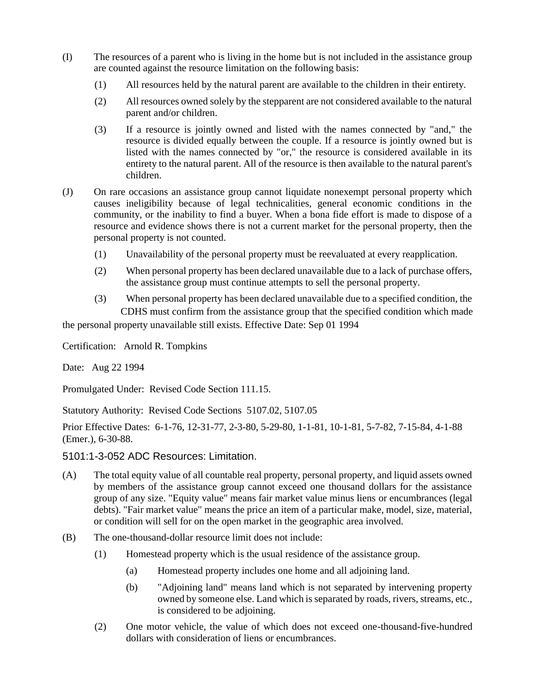- (I) The resources of a parent who is living in the home but is not included in the assistance group are counted against the resource limitation on the following basis:
	- (1) All resources held by the natural parent are available to the children in their entirety.
	- (2) All resources owned solely by the stepparent are not considered available to the natural parent and/or children.
	- (3) If a resource is jointly owned and listed with the names connected by "and," the resource is divided equally between the couple. If a resource is jointly owned but is listed with the names connected by "or," the resource is considered available in its entirety to the natural parent. All of the resource is then available to the natural parent's children.
- (J) On rare occasions an assistance group cannot liquidate nonexempt personal property which causes ineligibility because of legal technicalities, general economic conditions in the community, or the inability to find a buyer. When a bona fide effort is made to dispose of a resource and evidence shows there is not a current market for the personal property, then the personal property is not counted.
	- (1) Unavailability of the personal property must be reevaluated at every reapplication.
	- (2) When personal property has been declared unavailable due to a lack of purchase offers, the assistance group must continue attempts to sell the personal property.
	- (3) When personal property has been declared unavailable due to a specified condition, the CDHS must confirm from the assistance group that the specified condition which made

the personal property unavailable still exists. Effective Date: Sep 01 1994

Certification: Arnold R. Tompkins

Date: Aug 22 1994

Promulgated Under: Revised Code Section 111.15.

Statutory Authority: Revised Code Sections 5107.02, 5107.05

Prior Effective Dates: 6-1-76, 12-31-77, 2-3-80, 5-29-80, 1-1-81, 10-1-81, 5-7-82, 7-15-84, 4-1-88 (Emer.), 6-30-88.

5101:1-3-052 ADC Resources: Limitation.

- (A) The total equity value of all countable real property, personal property, and liquid assets owned by members of the assistance group cannot exceed one thousand dollars for the assistance group of any size. "Equity value" means fair market value minus liens or encumbrances (legal debts). "Fair market value" means the price an item of a particular make, model, size, material, or condition will sell for on the open market in the geographic area involved.
- (B) The one-thousand-dollar resource limit does not include:
	- (1) Homestead property which is the usual residence of the assistance group.
		- (a) Homestead property includes one home and all adjoining land.
		- (b) "Adjoining land" means land which is not separated by intervening property owned by someone else. Land which is separated by roads, rivers, streams, etc., is considered to be adjoining.
	- (2) One motor vehicle, the value of which does not exceed one-thousand-five-hundred dollars with consideration of liens or encumbrances.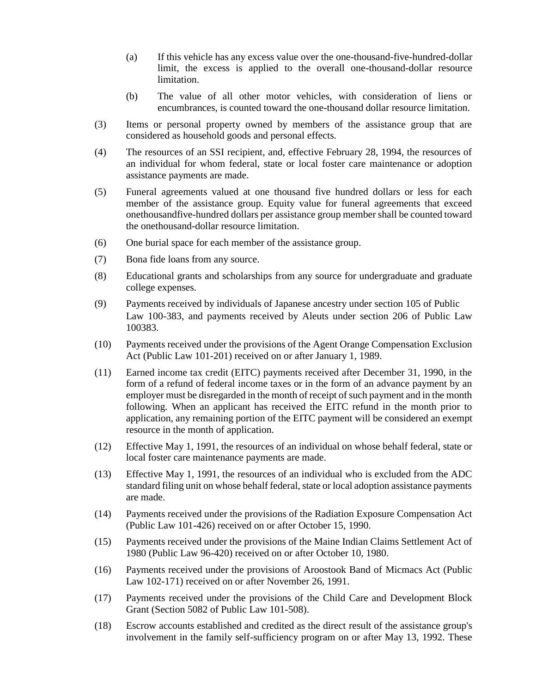- (a) If this vehicle has any excess value over the one-thousand-five-hundred-dollar limit, the excess is applied to the overall one-thousand-dollar resource limitation.
- (b) The value of all other motor vehicles, with consideration of liens or encumbrances, is counted toward the one-thousand dollar resource limitation.
- (3) Items or personal property owned by members of the assistance group that are considered as household goods and personal effects.
- (4) The resources of an SSI recipient, and, effective February 28, 1994, the resources of an individual for whom federal, state or local foster care maintenance or adoption assistance payments are made.
- (5) Funeral agreements valued at one thousand five hundred dollars or less for each member of the assistance group. Equity value for funeral agreements that exceed onethousandfive-hundred dollars per assistance group member shall be counted toward the onethousand-dollar resource limitation.
- (6) One burial space for each member of the assistance group.
- (7) Bona fide loans from any source.
- (8) Educational grants and scholarships from any source for undergraduate and graduate college expenses.
- (9) Payments received by individuals of Japanese ancestry under section 105 of Public Law 100-383, and payments received by Aleuts under section 206 of Public Law 100383.
- (10) Payments received under the provisions of the Agent Orange Compensation Exclusion Act (Public Law 101-201) received on or after January 1, 1989.
- (11) Earned income tax credit (EITC) payments received after December 31, 1990, in the form of a refund of federal income taxes or in the form of an advance payment by an employer must be disregarded in the month of receipt of such payment and in the month following. When an applicant has received the EITC refund in the month prior to application, any remaining portion of the EITC payment will be considered an exempt resource in the month of application.
- (12) Effective May 1, 1991, the resources of an individual on whose behalf federal, state or local foster care maintenance payments are made.
- (13) Effective May 1, 1991, the resources of an individual who is excluded from the ADC standard filing unit on whose behalf federal, state or local adoption assistance payments are made.
- (14) Payments received under the provisions of the Radiation Exposure Compensation Act (Public Law 101-426) received on or after October 15, 1990.
- (15) Payments received under the provisions of the Maine Indian Claims Settlement Act of 1980 (Public Law 96-420) received on or after October 10, 1980.
- (16) Payments received under the provisions of Aroostook Band of Micmacs Act (Public Law 102-171) received on or after November 26, 1991.
- (17) Payments received under the provisions of the Child Care and Development Block Grant (Section 5082 of Public Law 101-508).
- (18) Escrow accounts established and credited as the direct result of the assistance group's involvement in the family self-sufficiency program on or after May 13, 1992. These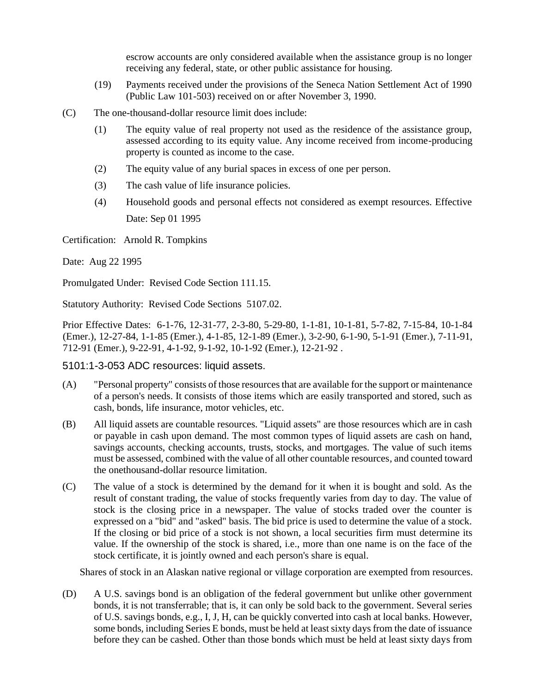escrow accounts are only considered available when the assistance group is no longer receiving any federal, state, or other public assistance for housing.

- (19) Payments received under the provisions of the Seneca Nation Settlement Act of 1990 (Public Law 101-503) received on or after November 3, 1990.
- (C) The one-thousand-dollar resource limit does include:
	- (1) The equity value of real property not used as the residence of the assistance group, assessed according to its equity value. Any income received from income-producing property is counted as income to the case.
	- (2) The equity value of any burial spaces in excess of one per person.
	- (3) The cash value of life insurance policies.
	- (4) Household goods and personal effects not considered as exempt resources. Effective Date: Sep 01 1995

Certification: Arnold R. Tompkins

Date: Aug 22 1995

Promulgated Under: Revised Code Section 111.15.

Statutory Authority: Revised Code Sections 5107.02.

Prior Effective Dates: 6-1-76, 12-31-77, 2-3-80, 5-29-80, 1-1-81, 10-1-81, 5-7-82, 7-15-84, 10-1-84 (Emer.), 12-27-84, 1-1-85 (Emer.), 4-1-85, 12-1-89 (Emer.), 3-2-90, 6-1-90, 5-1-91 (Emer.), 7-11-91, 712-91 (Emer.), 9-22-91, 4-1-92, 9-1-92, 10-1-92 (Emer.), 12-21-92 .

5101:1-3-053 ADC resources: liquid assets.

- (A) "Personal property" consists of those resources that are available for the support or maintenance of a person's needs. It consists of those items which are easily transported and stored, such as cash, bonds, life insurance, motor vehicles, etc.
- (B) All liquid assets are countable resources. "Liquid assets" are those resources which are in cash or payable in cash upon demand. The most common types of liquid assets are cash on hand, savings accounts, checking accounts, trusts, stocks, and mortgages. The value of such items must be assessed, combined with the value of all other countable resources, and counted toward the onethousand-dollar resource limitation.
- (C) The value of a stock is determined by the demand for it when it is bought and sold. As the result of constant trading, the value of stocks frequently varies from day to day. The value of stock is the closing price in a newspaper. The value of stocks traded over the counter is expressed on a "bid" and "asked" basis. The bid price is used to determine the value of a stock. If the closing or bid price of a stock is not shown, a local securities firm must determine its value. If the ownership of the stock is shared, i.e., more than one name is on the face of the stock certificate, it is jointly owned and each person's share is equal.

Shares of stock in an Alaskan native regional or village corporation are exempted from resources.

(D) A U.S. savings bond is an obligation of the federal government but unlike other government bonds, it is not transferrable; that is, it can only be sold back to the government. Several series of U.S. savings bonds, e.g., I, J, H, can be quickly converted into cash at local banks. However, some bonds, including Series E bonds, must be held at least sixty days from the date of issuance before they can be cashed. Other than those bonds which must be held at least sixty days from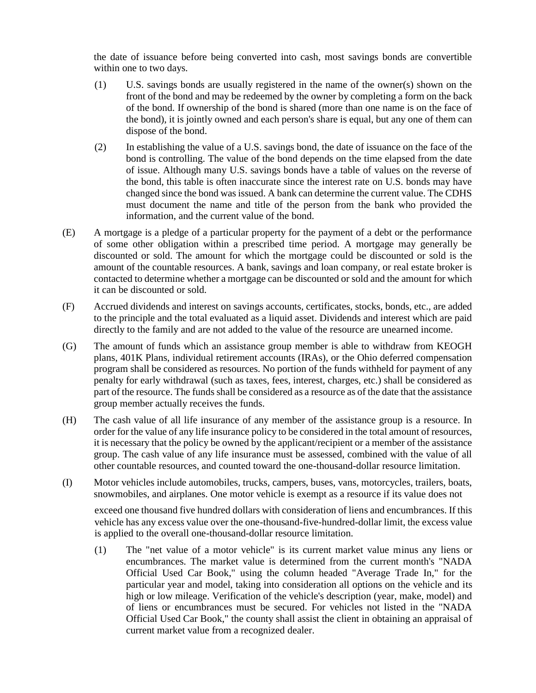the date of issuance before being converted into cash, most savings bonds are convertible within one to two days.

- (1) U.S. savings bonds are usually registered in the name of the owner(s) shown on the front of the bond and may be redeemed by the owner by completing a form on the back of the bond. If ownership of the bond is shared (more than one name is on the face of the bond), it is jointly owned and each person's share is equal, but any one of them can dispose of the bond.
- (2) In establishing the value of a U.S. savings bond, the date of issuance on the face of the bond is controlling. The value of the bond depends on the time elapsed from the date of issue. Although many U.S. savings bonds have a table of values on the reverse of the bond, this table is often inaccurate since the interest rate on U.S. bonds may have changed since the bond was issued. A bank can determine the current value. The CDHS must document the name and title of the person from the bank who provided the information, and the current value of the bond.
- (E) A mortgage is a pledge of a particular property for the payment of a debt or the performance of some other obligation within a prescribed time period. A mortgage may generally be discounted or sold. The amount for which the mortgage could be discounted or sold is the amount of the countable resources. A bank, savings and loan company, or real estate broker is contacted to determine whether a mortgage can be discounted or sold and the amount for which it can be discounted or sold.
- (F) Accrued dividends and interest on savings accounts, certificates, stocks, bonds, etc., are added to the principle and the total evaluated as a liquid asset. Dividends and interest which are paid directly to the family and are not added to the value of the resource are unearned income.
- (G) The amount of funds which an assistance group member is able to withdraw from KEOGH plans, 401K Plans, individual retirement accounts (IRAs), or the Ohio deferred compensation program shall be considered as resources. No portion of the funds withheld for payment of any penalty for early withdrawal (such as taxes, fees, interest, charges, etc.) shall be considered as part of the resource. The funds shall be considered as a resource as of the date that the assistance group member actually receives the funds.
- (H) The cash value of all life insurance of any member of the assistance group is a resource. In order for the value of any life insurance policy to be considered in the total amount of resources, it is necessary that the policy be owned by the applicant/recipient or a member of the assistance group. The cash value of any life insurance must be assessed, combined with the value of all other countable resources, and counted toward the one-thousand-dollar resource limitation.
- (I) Motor vehicles include automobiles, trucks, campers, buses, vans, motorcycles, trailers, boats, snowmobiles, and airplanes. One motor vehicle is exempt as a resource if its value does not

exceed one thousand five hundred dollars with consideration of liens and encumbrances. If this vehicle has any excess value over the one-thousand-five-hundred-dollar limit, the excess value is applied to the overall one-thousand-dollar resource limitation.

(1) The "net value of a motor vehicle" is its current market value minus any liens or encumbrances. The market value is determined from the current month's "NADA Official Used Car Book," using the column headed "Average Trade In," for the particular year and model, taking into consideration all options on the vehicle and its high or low mileage. Verification of the vehicle's description (year, make, model) and of liens or encumbrances must be secured. For vehicles not listed in the "NADA Official Used Car Book," the county shall assist the client in obtaining an appraisal of current market value from a recognized dealer.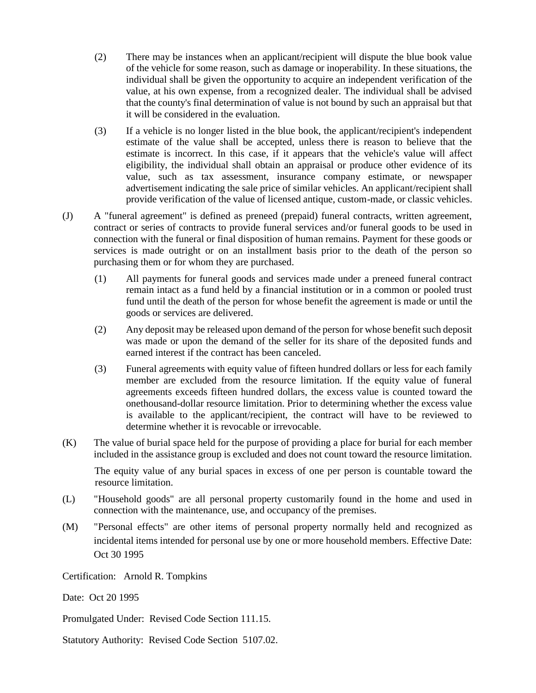- (2) There may be instances when an applicant/recipient will dispute the blue book value of the vehicle for some reason, such as damage or inoperability. In these situations, the individual shall be given the opportunity to acquire an independent verification of the value, at his own expense, from a recognized dealer. The individual shall be advised that the county's final determination of value is not bound by such an appraisal but that it will be considered in the evaluation.
- (3) If a vehicle is no longer listed in the blue book, the applicant/recipient's independent estimate of the value shall be accepted, unless there is reason to believe that the estimate is incorrect. In this case, if it appears that the vehicle's value will affect eligibility, the individual shall obtain an appraisal or produce other evidence of its value, such as tax assessment, insurance company estimate, or newspaper advertisement indicating the sale price of similar vehicles. An applicant/recipient shall provide verification of the value of licensed antique, custom-made, or classic vehicles.
- (J) A "funeral agreement" is defined as preneed (prepaid) funeral contracts, written agreement, contract or series of contracts to provide funeral services and/or funeral goods to be used in connection with the funeral or final disposition of human remains. Payment for these goods or services is made outright or on an installment basis prior to the death of the person so purchasing them or for whom they are purchased.
	- (1) All payments for funeral goods and services made under a preneed funeral contract remain intact as a fund held by a financial institution or in a common or pooled trust fund until the death of the person for whose benefit the agreement is made or until the goods or services are delivered.
	- (2) Any deposit may be released upon demand of the person for whose benefit such deposit was made or upon the demand of the seller for its share of the deposited funds and earned interest if the contract has been canceled.
	- (3) Funeral agreements with equity value of fifteen hundred dollars or less for each family member are excluded from the resource limitation. If the equity value of funeral agreements exceeds fifteen hundred dollars, the excess value is counted toward the onethousand-dollar resource limitation. Prior to determining whether the excess value is available to the applicant/recipient, the contract will have to be reviewed to determine whether it is revocable or irrevocable.
- (K) The value of burial space held for the purpose of providing a place for burial for each member included in the assistance group is excluded and does not count toward the resource limitation.

The equity value of any burial spaces in excess of one per person is countable toward the resource limitation.

- (L) "Household goods" are all personal property customarily found in the home and used in connection with the maintenance, use, and occupancy of the premises.
- (M) "Personal effects" are other items of personal property normally held and recognized as incidental items intended for personal use by one or more household members. Effective Date: Oct 30 1995

Certification: Arnold R. Tompkins

Date: Oct 20 1995

Promulgated Under: Revised Code Section 111.15.

Statutory Authority: Revised Code Section 5107.02.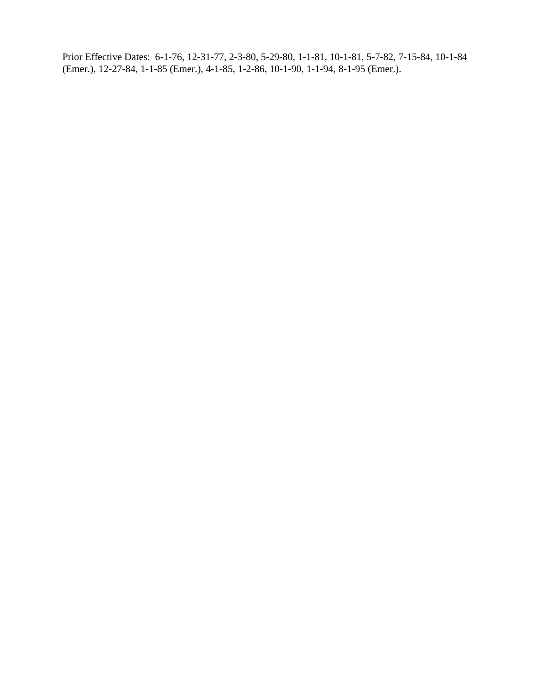Prior Effective Dates: 6-1-76, 12-31-77, 2-3-80, 5-29-80, 1-1-81, 10-1-81, 5-7-82, 7-15-84, 10-1-84 (Emer.), 12-27-84, 1-1-85 (Emer.), 4-1-85, 1-2-86, 10-1-90, 1-1-94, 8-1-95 (Emer.).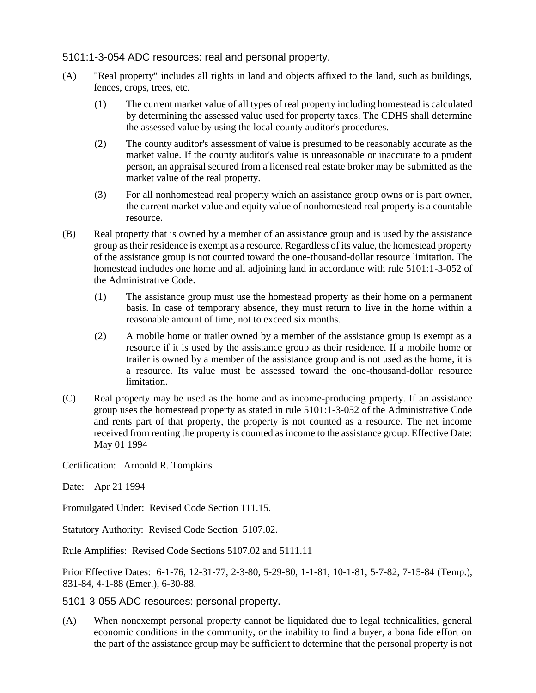#### 5101:1-3-054 ADC resources: real and personal property.

- (A) "Real property" includes all rights in land and objects affixed to the land, such as buildings, fences, crops, trees, etc.
	- (1) The current market value of all types of real property including homestead is calculated by determining the assessed value used for property taxes. The CDHS shall determine the assessed value by using the local county auditor's procedures.
	- (2) The county auditor's assessment of value is presumed to be reasonably accurate as the market value. If the county auditor's value is unreasonable or inaccurate to a prudent person, an appraisal secured from a licensed real estate broker may be submitted as the market value of the real property.
	- (3) For all nonhomestead real property which an assistance group owns or is part owner, the current market value and equity value of nonhomestead real property is a countable resource.
- (B) Real property that is owned by a member of an assistance group and is used by the assistance group as their residence is exempt as a resource. Regardless of its value, the homestead property of the assistance group is not counted toward the one-thousand-dollar resource limitation. The homestead includes one home and all adjoining land in accordance with rule 5101:1-3-052 of the Administrative Code.
	- (1) The assistance group must use the homestead property as their home on a permanent basis. In case of temporary absence, they must return to live in the home within a reasonable amount of time, not to exceed six months.
	- (2) A mobile home or trailer owned by a member of the assistance group is exempt as a resource if it is used by the assistance group as their residence. If a mobile home or trailer is owned by a member of the assistance group and is not used as the home, it is a resource. Its value must be assessed toward the one-thousand-dollar resource limitation.
- (C) Real property may be used as the home and as income-producing property. If an assistance group uses the homestead property as stated in rule 5101:1-3-052 of the Administrative Code and rents part of that property, the property is not counted as a resource. The net income received from renting the property is counted as income to the assistance group. Effective Date: May 01 1994

Certification: Arnonld R. Tompkins

Date: Apr 21 1994

Promulgated Under: Revised Code Section 111.15.

Statutory Authority: Revised Code Section 5107.02.

Rule Amplifies: Revised Code Sections 5107.02 and 5111.11

Prior Effective Dates: 6-1-76, 12-31-77, 2-3-80, 5-29-80, 1-1-81, 10-1-81, 5-7-82, 7-15-84 (Temp.), 831-84, 4-1-88 (Emer.), 6-30-88.

5101-3-055 ADC resources: personal property.

(A) When nonexempt personal property cannot be liquidated due to legal technicalities, general economic conditions in the community, or the inability to find a buyer, a bona fide effort on the part of the assistance group may be sufficient to determine that the personal property is not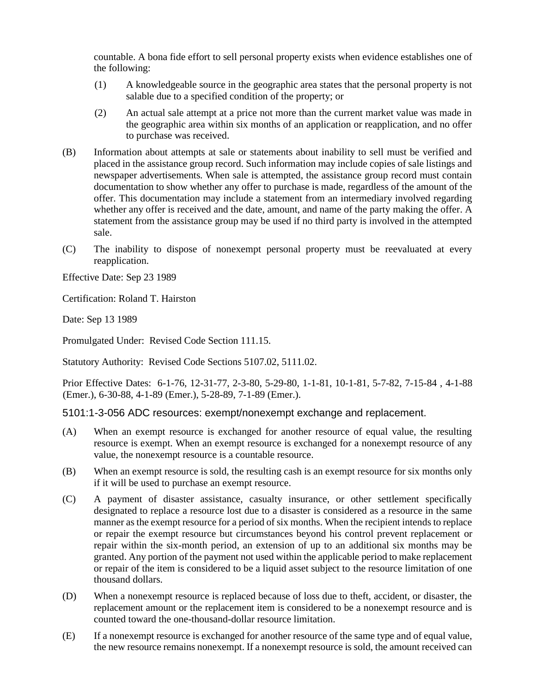countable. A bona fide effort to sell personal property exists when evidence establishes one of the following:

- (1) A knowledgeable source in the geographic area states that the personal property is not salable due to a specified condition of the property; or
- (2) An actual sale attempt at a price not more than the current market value was made in the geographic area within six months of an application or reapplication, and no offer to purchase was received.
- (B) Information about attempts at sale or statements about inability to sell must be verified and placed in the assistance group record. Such information may include copies of sale listings and newspaper advertisements. When sale is attempted, the assistance group record must contain documentation to show whether any offer to purchase is made, regardless of the amount of the offer. This documentation may include a statement from an intermediary involved regarding whether any offer is received and the date, amount, and name of the party making the offer. A statement from the assistance group may be used if no third party is involved in the attempted sale.
- (C) The inability to dispose of nonexempt personal property must be reevaluated at every reapplication.

Effective Date: Sep 23 1989

Certification: Roland T. Hairston

Date: Sep 13 1989

Promulgated Under: Revised Code Section 111.15.

Statutory Authority: Revised Code Sections 5107.02, 5111.02.

Prior Effective Dates: 6-1-76, 12-31-77, 2-3-80, 5-29-80, 1-1-81, 10-1-81, 5-7-82, 7-15-84 , 4-1-88 (Emer.), 6-30-88, 4-1-89 (Emer.), 5-28-89, 7-1-89 (Emer.).

5101:1-3-056 ADC resources: exempt/nonexempt exchange and replacement.

- (A) When an exempt resource is exchanged for another resource of equal value, the resulting resource is exempt. When an exempt resource is exchanged for a nonexempt resource of any value, the nonexempt resource is a countable resource.
- (B) When an exempt resource is sold, the resulting cash is an exempt resource for six months only if it will be used to purchase an exempt resource.
- (C) A payment of disaster assistance, casualty insurance, or other settlement specifically designated to replace a resource lost due to a disaster is considered as a resource in the same manner as the exempt resource for a period of six months. When the recipient intends to replace or repair the exempt resource but circumstances beyond his control prevent replacement or repair within the six-month period, an extension of up to an additional six months may be granted. Any portion of the payment not used within the applicable period to make replacement or repair of the item is considered to be a liquid asset subject to the resource limitation of one thousand dollars.
- (D) When a nonexempt resource is replaced because of loss due to theft, accident, or disaster, the replacement amount or the replacement item is considered to be a nonexempt resource and is counted toward the one-thousand-dollar resource limitation.
- (E) If a nonexempt resource is exchanged for another resource of the same type and of equal value, the new resource remains nonexempt. If a nonexempt resource is sold, the amount received can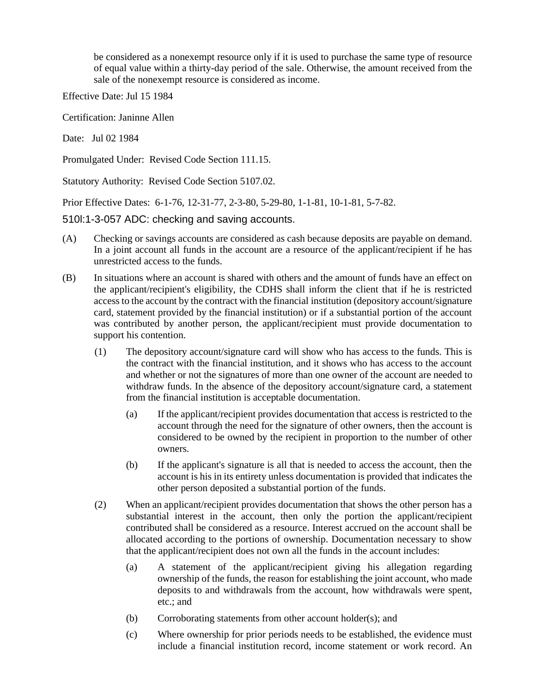be considered as a nonexempt resource only if it is used to purchase the same type of resource of equal value within a thirty-day period of the sale. Otherwise, the amount received from the sale of the nonexempt resource is considered as income.

Effective Date: Jul 15 1984

Certification: Janinne Allen

Date: Jul 02 1984

Promulgated Under: Revised Code Section 111.15.

Statutory Authority: Revised Code Section 5107.02.

Prior Effective Dates: 6-1-76, 12-31-77, 2-3-80, 5-29-80, 1-1-81, 10-1-81, 5-7-82.

510l:1-3-057 ADC: checking and saving accounts.

- (A) Checking or savings accounts are considered as cash because deposits are payable on demand. In a joint account all funds in the account are a resource of the applicant/recipient if he has unrestricted access to the funds.
- (B) In situations where an account is shared with others and the amount of funds have an effect on the applicant/recipient's eligibility, the CDHS shall inform the client that if he is restricted access to the account by the contract with the financial institution (depository account/signature card, statement provided by the financial institution) or if a substantial portion of the account was contributed by another person, the applicant/recipient must provide documentation to support his contention.
	- (1) The depository account/signature card will show who has access to the funds. This is the contract with the financial institution, and it shows who has access to the account and whether or not the signatures of more than one owner of the account are needed to withdraw funds. In the absence of the depository account/signature card, a statement from the financial institution is acceptable documentation.
		- (a) If the applicant/recipient provides documentation that access is restricted to the account through the need for the signature of other owners, then the account is considered to be owned by the recipient in proportion to the number of other owners.
		- (b) If the applicant's signature is all that is needed to access the account, then the account is his in its entirety unless documentation is provided that indicates the other person deposited a substantial portion of the funds.
	- (2) When an applicant/recipient provides documentation that shows the other person has a substantial interest in the account, then only the portion the applicant/recipient contributed shall be considered as a resource. Interest accrued on the account shall be allocated according to the portions of ownership. Documentation necessary to show that the applicant/recipient does not own all the funds in the account includes:
		- (a) A statement of the applicant/recipient giving his allegation regarding ownership of the funds, the reason for establishing the joint account, who made deposits to and withdrawals from the account, how withdrawals were spent, etc.; and
		- (b) Corroborating statements from other account holder(s); and
		- (c) Where ownership for prior periods needs to be established, the evidence must include a financial institution record, income statement or work record. An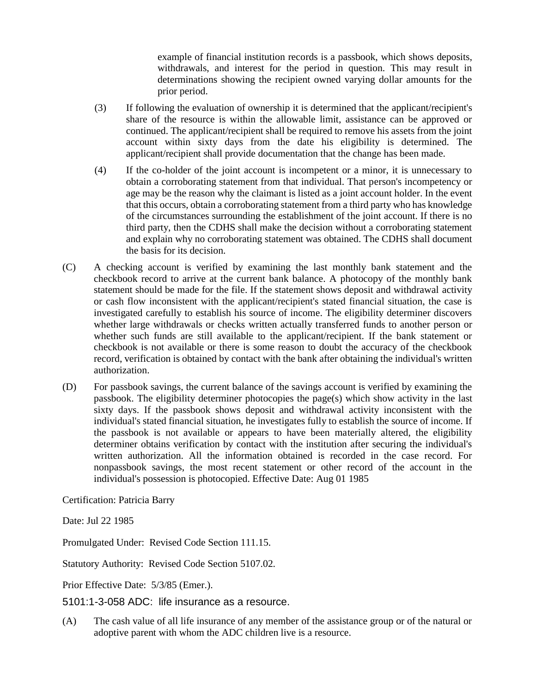example of financial institution records is a passbook, which shows deposits, withdrawals, and interest for the period in question. This may result in determinations showing the recipient owned varying dollar amounts for the prior period.

- (3) If following the evaluation of ownership it is determined that the applicant/recipient's share of the resource is within the allowable limit, assistance can be approved or continued. The applicant/recipient shall be required to remove his assets from the joint account within sixty days from the date his eligibility is determined. The applicant/recipient shall provide documentation that the change has been made.
- (4) If the co-holder of the joint account is incompetent or a minor, it is unnecessary to obtain a corroborating statement from that individual. That person's incompetency or age may be the reason why the claimant is listed as a joint account holder. In the event that this occurs, obtain a corroborating statement from a third party who has knowledge of the circumstances surrounding the establishment of the joint account. If there is no third party, then the CDHS shall make the decision without a corroborating statement and explain why no corroborating statement was obtained. The CDHS shall document the basis for its decision.
- (C) A checking account is verified by examining the last monthly bank statement and the checkbook record to arrive at the current bank balance. A photocopy of the monthly bank statement should be made for the file. If the statement shows deposit and withdrawal activity or cash flow inconsistent with the applicant/recipient's stated financial situation, the case is investigated carefully to establish his source of income. The eligibility determiner discovers whether large withdrawals or checks written actually transferred funds to another person or whether such funds are still available to the applicant/recipient. If the bank statement or checkbook is not available or there is some reason to doubt the accuracy of the checkbook record, verification is obtained by contact with the bank after obtaining the individual's written authorization.
- (D) For passbook savings, the current balance of the savings account is verified by examining the passbook. The eligibility determiner photocopies the page(s) which show activity in the last sixty days. If the passbook shows deposit and withdrawal activity inconsistent with the individual's stated financial situation, he investigates fully to establish the source of income. If the passbook is not available or appears to have been materially altered, the eligibility determiner obtains verification by contact with the institution after securing the individual's written authorization. All the information obtained is recorded in the case record. For nonpassbook savings, the most recent statement or other record of the account in the individual's possession is photocopied. Effective Date: Aug 01 1985

Certification: Patricia Barry

Date: Jul 22 1985

Promulgated Under: Revised Code Section 111.15.

Statutory Authority: Revised Code Section 5107.02.

Prior Effective Date: 5/3/85 (Emer.).

5101:1-3-058 ADC: life insurance as a resource.

(A) The cash value of all life insurance of any member of the assistance group or of the natural or adoptive parent with whom the ADC children live is a resource.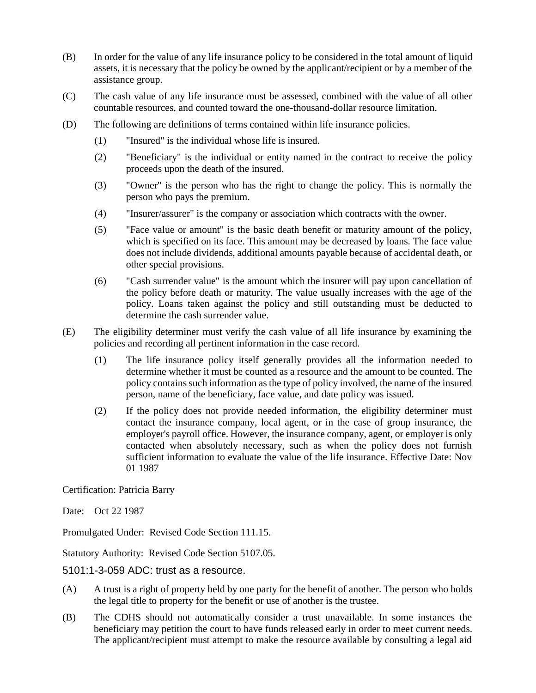- (B) In order for the value of any life insurance policy to be considered in the total amount of liquid assets, it is necessary that the policy be owned by the applicant/recipient or by a member of the assistance group.
- (C) The cash value of any life insurance must be assessed, combined with the value of all other countable resources, and counted toward the one-thousand-dollar resource limitation.
- (D) The following are definitions of terms contained within life insurance policies.
	- (1) "Insured" is the individual whose life is insured.
	- (2) "Beneficiary" is the individual or entity named in the contract to receive the policy proceeds upon the death of the insured.
	- (3) "Owner" is the person who has the right to change the policy. This is normally the person who pays the premium.
	- (4) "Insurer/assurer" is the company or association which contracts with the owner.
	- (5) "Face value or amount" is the basic death benefit or maturity amount of the policy, which is specified on its face. This amount may be decreased by loans. The face value does not include dividends, additional amounts payable because of accidental death, or other special provisions.
	- (6) "Cash surrender value" is the amount which the insurer will pay upon cancellation of the policy before death or maturity. The value usually increases with the age of the policy. Loans taken against the policy and still outstanding must be deducted to determine the cash surrender value.
- (E) The eligibility determiner must verify the cash value of all life insurance by examining the policies and recording all pertinent information in the case record.
	- (1) The life insurance policy itself generally provides all the information needed to determine whether it must be counted as a resource and the amount to be counted. The policy contains such information as the type of policy involved, the name of the insured person, name of the beneficiary, face value, and date policy was issued.
	- (2) If the policy does not provide needed information, the eligibility determiner must contact the insurance company, local agent, or in the case of group insurance, the employer's payroll office. However, the insurance company, agent, or employer is only contacted when absolutely necessary, such as when the policy does not furnish sufficient information to evaluate the value of the life insurance. Effective Date: Nov 01 1987

Certification: Patricia Barry

Date: Oct 22 1987

Promulgated Under: Revised Code Section 111.15.

Statutory Authority: Revised Code Section 5107.05.

5101:1-3-059 ADC: trust as a resource.

- (A) A trust is a right of property held by one party for the benefit of another. The person who holds the legal title to property for the benefit or use of another is the trustee.
- (B) The CDHS should not automatically consider a trust unavailable. In some instances the beneficiary may petition the court to have funds released early in order to meet current needs. The applicant/recipient must attempt to make the resource available by consulting a legal aid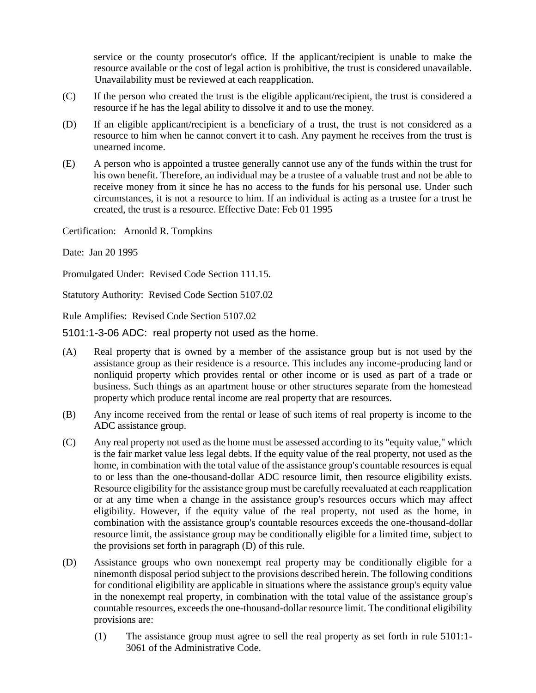service or the county prosecutor's office. If the applicant/recipient is unable to make the resource available or the cost of legal action is prohibitive, the trust is considered unavailable. Unavailability must be reviewed at each reapplication.

- (C) If the person who created the trust is the eligible applicant/recipient, the trust is considered a resource if he has the legal ability to dissolve it and to use the money.
- (D) If an eligible applicant/recipient is a beneficiary of a trust, the trust is not considered as a resource to him when he cannot convert it to cash. Any payment he receives from the trust is unearned income.
- (E) A person who is appointed a trustee generally cannot use any of the funds within the trust for his own benefit. Therefore, an individual may be a trustee of a valuable trust and not be able to receive money from it since he has no access to the funds for his personal use. Under such circumstances, it is not a resource to him. If an individual is acting as a trustee for a trust he created, the trust is a resource. Effective Date: Feb 01 1995

Certification: Arnonld R. Tompkins

Date: Jan 20 1995

Promulgated Under: Revised Code Section 111.15.

Statutory Authority: Revised Code Section 5107.02

Rule Amplifies: Revised Code Section 5107.02

5101:1-3-06 ADC: real property not used as the home.

- (A) Real property that is owned by a member of the assistance group but is not used by the assistance group as their residence is a resource. This includes any income-producing land or nonliquid property which provides rental or other income or is used as part of a trade or business. Such things as an apartment house or other structures separate from the homestead property which produce rental income are real property that are resources.
- (B) Any income received from the rental or lease of such items of real property is income to the ADC assistance group.
- (C) Any real property not used as the home must be assessed according to its "equity value," which is the fair market value less legal debts. If the equity value of the real property, not used as the home, in combination with the total value of the assistance group's countable resources is equal to or less than the one-thousand-dollar ADC resource limit, then resource eligibility exists. Resource eligibility for the assistance group must be carefully reevaluated at each reapplication or at any time when a change in the assistance group's resources occurs which may affect eligibility. However, if the equity value of the real property, not used as the home, in combination with the assistance group's countable resources exceeds the one-thousand-dollar resource limit, the assistance group may be conditionally eligible for a limited time, subject to the provisions set forth in paragraph (D) of this rule.
- (D) Assistance groups who own nonexempt real property may be conditionally eligible for a ninemonth disposal period subject to the provisions described herein. The following conditions for conditional eligibility are applicable in situations where the assistance group's equity value in the nonexempt real property, in combination with the total value of the assistance group's countable resources, exceeds the one-thousand-dollar resource limit. The conditional eligibility provisions are:
	- (1) The assistance group must agree to sell the real property as set forth in rule 5101:1- 3061 of the Administrative Code.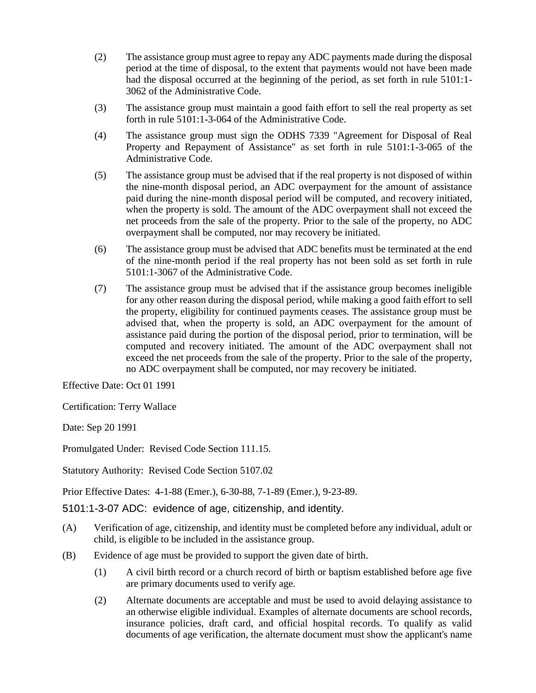- (2) The assistance group must agree to repay any ADC payments made during the disposal period at the time of disposal, to the extent that payments would not have been made had the disposal occurred at the beginning of the period, as set forth in rule 5101:1- 3062 of the Administrative Code.
- (3) The assistance group must maintain a good faith effort to sell the real property as set forth in rule 5101:1-3-064 of the Administrative Code.
- (4) The assistance group must sign the ODHS 7339 "Agreement for Disposal of Real Property and Repayment of Assistance" as set forth in rule 5101:1-3-065 of the Administrative Code.
- (5) The assistance group must be advised that if the real property is not disposed of within the nine-month disposal period, an ADC overpayment for the amount of assistance paid during the nine-month disposal period will be computed, and recovery initiated, when the property is sold. The amount of the ADC overpayment shall not exceed the net proceeds from the sale of the property. Prior to the sale of the property, no ADC overpayment shall be computed, nor may recovery be initiated.
- (6) The assistance group must be advised that ADC benefits must be terminated at the end of the nine-month period if the real property has not been sold as set forth in rule 5101:1-3067 of the Administrative Code.
- (7) The assistance group must be advised that if the assistance group becomes ineligible for any other reason during the disposal period, while making a good faith effort to sell the property, eligibility for continued payments ceases. The assistance group must be advised that, when the property is sold, an ADC overpayment for the amount of assistance paid during the portion of the disposal period, prior to termination, will be computed and recovery initiated. The amount of the ADC overpayment shall not exceed the net proceeds from the sale of the property. Prior to the sale of the property, no ADC overpayment shall be computed, nor may recovery be initiated.

Effective Date: Oct 01 1991

Certification: Terry Wallace

Date: Sep 20 1991

Promulgated Under: Revised Code Section 111.15.

Statutory Authority: Revised Code Section 5107.02

Prior Effective Dates: 4-1-88 (Emer.), 6-30-88, 7-1-89 (Emer.), 9-23-89.

5101:1-3-07 ADC: evidence of age, citizenship, and identity.

- (A) Verification of age, citizenship, and identity must be completed before any individual, adult or child, is eligible to be included in the assistance group.
- (B) Evidence of age must be provided to support the given date of birth.
	- (1) A civil birth record or a church record of birth or baptism established before age five are primary documents used to verify age.
	- (2) Alternate documents are acceptable and must be used to avoid delaying assistance to an otherwise eligible individual. Examples of alternate documents are school records, insurance policies, draft card, and official hospital records. To qualify as valid documents of age verification, the alternate document must show the applicant's name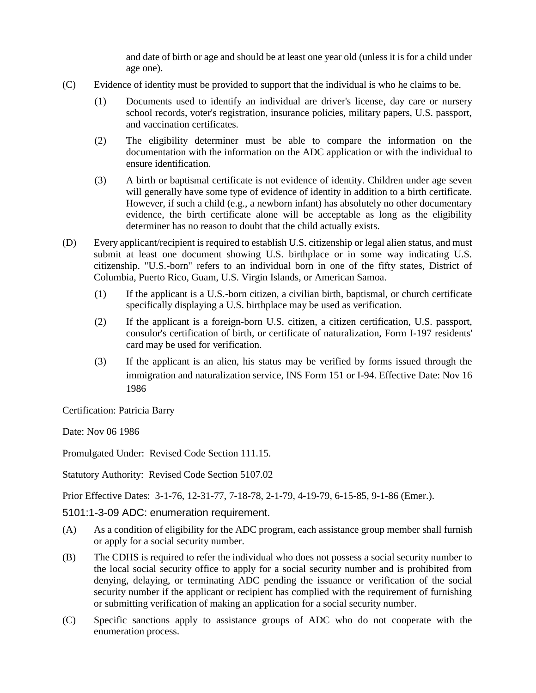and date of birth or age and should be at least one year old (unless it is for a child under age one).

- (C) Evidence of identity must be provided to support that the individual is who he claims to be.
	- (1) Documents used to identify an individual are driver's license, day care or nursery school records, voter's registration, insurance policies, military papers, U.S. passport, and vaccination certificates.
	- (2) The eligibility determiner must be able to compare the information on the documentation with the information on the ADC application or with the individual to ensure identification.
	- (3) A birth or baptismal certificate is not evidence of identity. Children under age seven will generally have some type of evidence of identity in addition to a birth certificate. However, if such a child (e.g., a newborn infant) has absolutely no other documentary evidence, the birth certificate alone will be acceptable as long as the eligibility determiner has no reason to doubt that the child actually exists.
- (D) Every applicant/recipient is required to establish U.S. citizenship or legal alien status, and must submit at least one document showing U.S. birthplace or in some way indicating U.S. citizenship. "U.S.-born" refers to an individual born in one of the fifty states, District of Columbia, Puerto Rico, Guam, U.S. Virgin Islands, or American Samoa.
	- (1) If the applicant is a U.S.-born citizen, a civilian birth, baptismal, or church certificate specifically displaying a U.S. birthplace may be used as verification.
	- (2) If the applicant is a foreign-born U.S. citizen, a citizen certification, U.S. passport, consulor's certification of birth, or certificate of naturalization, Form I-197 residents' card may be used for verification.
	- (3) If the applicant is an alien, his status may be verified by forms issued through the immigration and naturalization service, INS Form 151 or I-94. Effective Date: Nov 16 1986

Certification: Patricia Barry

Date: Nov 06 1986

Promulgated Under: Revised Code Section 111.15.

Statutory Authority: Revised Code Section 5107.02

Prior Effective Dates: 3-1-76, 12-31-77, 7-18-78, 2-1-79, 4-19-79, 6-15-85, 9-1-86 (Emer.).

5101:1-3-09 ADC: enumeration requirement.

- (A) As a condition of eligibility for the ADC program, each assistance group member shall furnish or apply for a social security number.
- (B) The CDHS is required to refer the individual who does not possess a social security number to the local social security office to apply for a social security number and is prohibited from denying, delaying, or terminating ADC pending the issuance or verification of the social security number if the applicant or recipient has complied with the requirement of furnishing or submitting verification of making an application for a social security number.
- (C) Specific sanctions apply to assistance groups of ADC who do not cooperate with the enumeration process.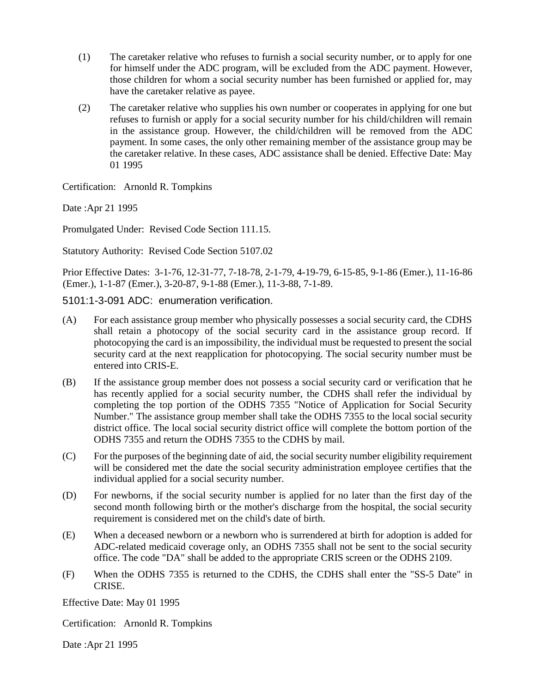- (1) The caretaker relative who refuses to furnish a social security number, or to apply for one for himself under the ADC program, will be excluded from the ADC payment. However, those children for whom a social security number has been furnished or applied for, may have the caretaker relative as payee.
- (2) The caretaker relative who supplies his own number or cooperates in applying for one but refuses to furnish or apply for a social security number for his child/children will remain in the assistance group. However, the child/children will be removed from the ADC payment. In some cases, the only other remaining member of the assistance group may be the caretaker relative. In these cases, ADC assistance shall be denied. Effective Date: May 01 1995

Certification: Arnonld R. Tompkins

Date :Apr 21 1995

Promulgated Under: Revised Code Section 111.15.

Statutory Authority: Revised Code Section 5107.02

Prior Effective Dates: 3-1-76, 12-31-77, 7-18-78, 2-1-79, 4-19-79, 6-15-85, 9-1-86 (Emer.), 11-16-86 (Emer.), 1-1-87 (Emer.), 3-20-87, 9-1-88 (Emer.), 11-3-88, 7-1-89.

5101:1-3-091 ADC: enumeration verification.

- (A) For each assistance group member who physically possesses a social security card, the CDHS shall retain a photocopy of the social security card in the assistance group record. If photocopying the card is an impossibility, the individual must be requested to present the social security card at the next reapplication for photocopying. The social security number must be entered into CRIS-E.
- (B) If the assistance group member does not possess a social security card or verification that he has recently applied for a social security number, the CDHS shall refer the individual by completing the top portion of the ODHS 7355 "Notice of Application for Social Security Number." The assistance group member shall take the ODHS 7355 to the local social security district office. The local social security district office will complete the bottom portion of the ODHS 7355 and return the ODHS 7355 to the CDHS by mail.
- (C) For the purposes of the beginning date of aid, the social security number eligibility requirement will be considered met the date the social security administration employee certifies that the individual applied for a social security number.
- (D) For newborns, if the social security number is applied for no later than the first day of the second month following birth or the mother's discharge from the hospital, the social security requirement is considered met on the child's date of birth.
- (E) When a deceased newborn or a newborn who is surrendered at birth for adoption is added for ADC-related medicaid coverage only, an ODHS 7355 shall not be sent to the social security office. The code "DA" shall be added to the appropriate CRIS screen or the ODHS 2109.
- (F) When the ODHS 7355 is returned to the CDHS, the CDHS shall enter the "SS-5 Date" in CRISE.

Effective Date: May 01 1995

Certification: Arnonld R. Tompkins

Date :Apr 21 1995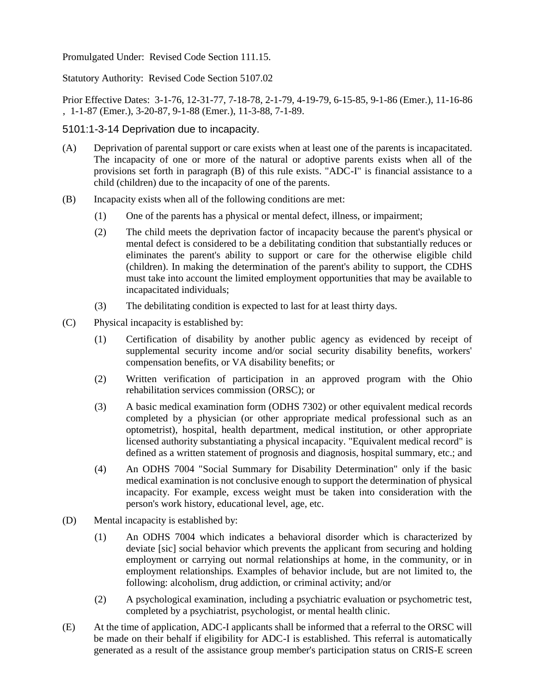Promulgated Under: Revised Code Section 111.15.

Statutory Authority: Revised Code Section 5107.02

Prior Effective Dates: 3-1-76, 12-31-77, 7-18-78, 2-1-79, 4-19-79, 6-15-85, 9-1-86 (Emer.), 11-16-86 , 1-1-87 (Emer.), 3-20-87, 9-1-88 (Emer.), 11-3-88, 7-1-89.

5101:1-3-14 Deprivation due to incapacity.

- (A) Deprivation of parental support or care exists when at least one of the parents is incapacitated. The incapacity of one or more of the natural or adoptive parents exists when all of the provisions set forth in paragraph (B) of this rule exists. "ADC-I" is financial assistance to a child (children) due to the incapacity of one of the parents.
- (B) Incapacity exists when all of the following conditions are met:
	- (1) One of the parents has a physical or mental defect, illness, or impairment;
	- (2) The child meets the deprivation factor of incapacity because the parent's physical or mental defect is considered to be a debilitating condition that substantially reduces or eliminates the parent's ability to support or care for the otherwise eligible child (children). In making the determination of the parent's ability to support, the CDHS must take into account the limited employment opportunities that may be available to incapacitated individuals;
	- (3) The debilitating condition is expected to last for at least thirty days.
- (C) Physical incapacity is established by:
	- (1) Certification of disability by another public agency as evidenced by receipt of supplemental security income and/or social security disability benefits, workers' compensation benefits, or VA disability benefits; or
	- (2) Written verification of participation in an approved program with the Ohio rehabilitation services commission (ORSC); or
	- (3) A basic medical examination form (ODHS 7302) or other equivalent medical records completed by a physician (or other appropriate medical professional such as an optometrist), hospital, health department, medical institution, or other appropriate licensed authority substantiating a physical incapacity. "Equivalent medical record" is defined as a written statement of prognosis and diagnosis, hospital summary, etc.; and
	- (4) An ODHS 7004 "Social Summary for Disability Determination" only if the basic medical examination is not conclusive enough to support the determination of physical incapacity. For example, excess weight must be taken into consideration with the person's work history, educational level, age, etc.
- (D) Mental incapacity is established by:
	- (1) An ODHS 7004 which indicates a behavioral disorder which is characterized by deviate [sic] social behavior which prevents the applicant from securing and holding employment or carrying out normal relationships at home, in the community, or in employment relationships. Examples of behavior include, but are not limited to, the following: alcoholism, drug addiction, or criminal activity; and/or
	- (2) A psychological examination, including a psychiatric evaluation or psychometric test, completed by a psychiatrist, psychologist, or mental health clinic.
- (E) At the time of application, ADC-I applicants shall be informed that a referral to the ORSC will be made on their behalf if eligibility for ADC-I is established. This referral is automatically generated as a result of the assistance group member's participation status on CRIS-E screen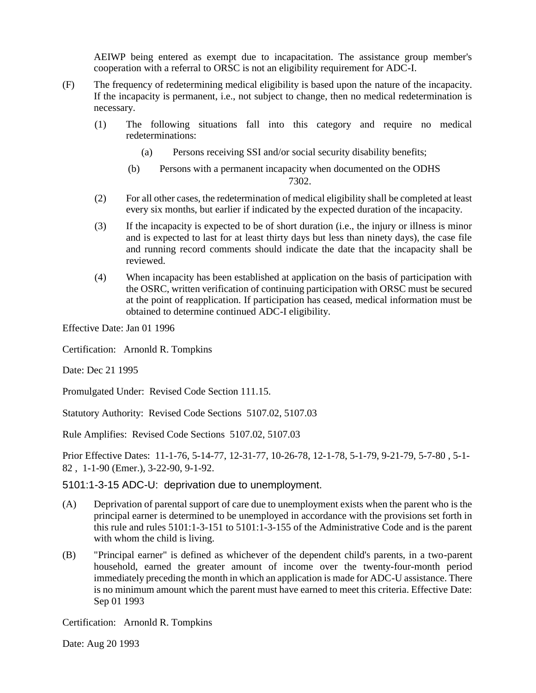AEIWP being entered as exempt due to incapacitation. The assistance group member's cooperation with a referral to ORSC is not an eligibility requirement for ADC-I.

- (F) The frequency of redetermining medical eligibility is based upon the nature of the incapacity. If the incapacity is permanent, i.e., not subject to change, then no medical redetermination is necessary.
	- (1) The following situations fall into this category and require no medical redeterminations:
		- (a) Persons receiving SSI and/or social security disability benefits;
		- (b) Persons with a permanent incapacity when documented on the ODHS

7302.

- (2) For all other cases, the redetermination of medical eligibility shall be completed at least every six months, but earlier if indicated by the expected duration of the incapacity.
- (3) If the incapacity is expected to be of short duration (i.e., the injury or illness is minor and is expected to last for at least thirty days but less than ninety days), the case file and running record comments should indicate the date that the incapacity shall be reviewed.
- (4) When incapacity has been established at application on the basis of participation with the OSRC, written verification of continuing participation with ORSC must be secured at the point of reapplication. If participation has ceased, medical information must be obtained to determine continued ADC-I eligibility.

Effective Date: Jan 01 1996

Certification: Arnonld R. Tompkins

Date: Dec 21 1995

Promulgated Under: Revised Code Section 111.15.

Statutory Authority: Revised Code Sections 5107.02, 5107.03

Rule Amplifies: Revised Code Sections 5107.02, 5107.03

Prior Effective Dates: 11-1-76, 5-14-77, 12-31-77, 10-26-78, 12-1-78, 5-1-79, 9-21-79, 5-7-80 , 5-1- 82 , 1-1-90 (Emer.), 3-22-90, 9-1-92.

5101:1-3-15 ADC-U: deprivation due to unemployment.

- (A) Deprivation of parental support of care due to unemployment exists when the parent who is the principal earner is determined to be unemployed in accordance with the provisions set forth in this rule and rules 5101:1-3-151 to 5101:1-3-155 of the Administrative Code and is the parent with whom the child is living.
- (B) "Principal earner" is defined as whichever of the dependent child's parents, in a two-parent household, earned the greater amount of income over the twenty-four-month period immediately preceding the month in which an application is made for ADC-U assistance. There is no minimum amount which the parent must have earned to meet this criteria. Effective Date: Sep 01 1993

Certification: Arnonld R. Tompkins

Date: Aug 20 1993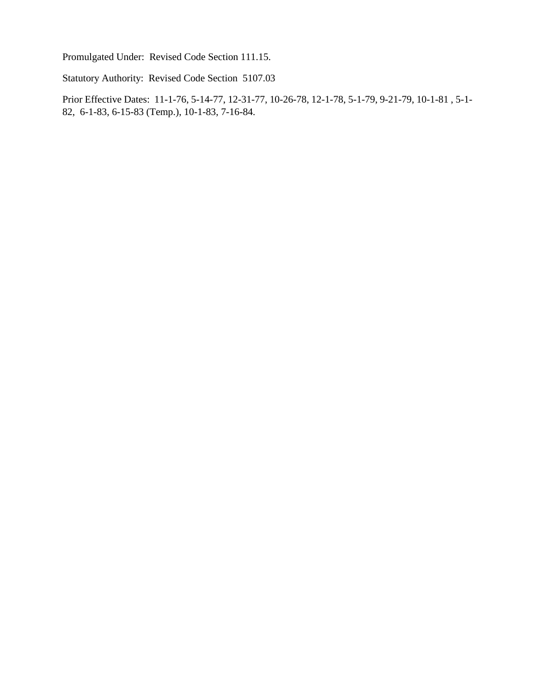Promulgated Under: Revised Code Section 111.15.

Statutory Authority: Revised Code Section 5107.03

Prior Effective Dates: 11-1-76, 5-14-77, 12-31-77, 10-26-78, 12-1-78, 5-1-79, 9-21-79, 10-1-81 , 5-1- 82, 6-1-83, 6-15-83 (Temp.), 10-1-83, 7-16-84.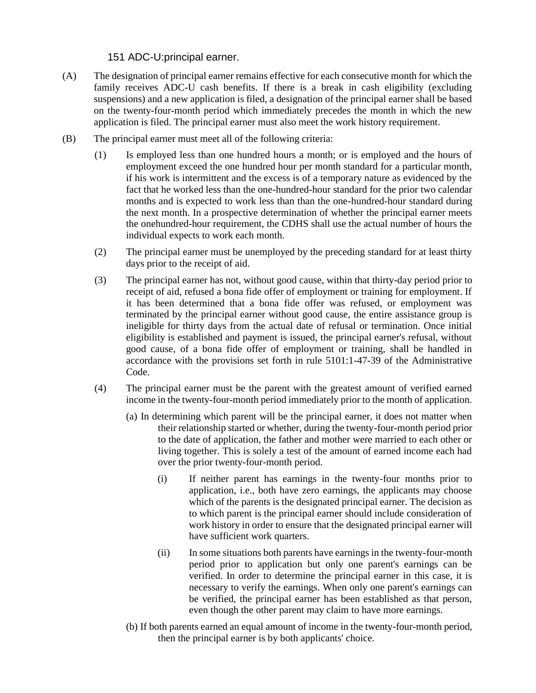151 ADC-U:principal earner.

- (A) The designation of principal earner remains effective for each consecutive month for which the family receives ADC-U cash benefits. If there is a break in cash eligibility (excluding suspensions) and a new application is filed, a designation of the principal earner shall be based on the twenty-four-month period which immediately precedes the month in which the new application is filed. The principal earner must also meet the work history requirement.
- (B) The principal earner must meet all of the following criteria:
	- (1) Is employed less than one hundred hours a month; or is employed and the hours of employment exceed the one hundred hour per month standard for a particular month, if his work is intermittent and the excess is of a temporary nature as evidenced by the fact that he worked less than the one-hundred-hour standard for the prior two calendar months and is expected to work less than than the one-hundred-hour standard during the next month. In a prospective determination of whether the principal earner meets the onehundred-hour requirement, the CDHS shall use the actual number of hours the individual expects to work each month.
	- (2) The principal earner must be unemployed by the preceding standard for at least thirty days prior to the receipt of aid.
	- (3) The principal earner has not, without good cause, within that thirty-day period prior to receipt of aid, refused a bona fide offer of employment or training for employment. If it has been determined that a bona fide offer was refused, or employment was terminated by the principal earner without good cause, the entire assistance group is ineligible for thirty days from the actual date of refusal or termination. Once initial eligibility is established and payment is issued, the principal earner's refusal, without good cause, of a bona fide offer of employment or training, shall be handled in accordance with the provisions set forth in rule 5101:1-47-39 of the Administrative Code.
	- (4) The principal earner must be the parent with the greatest amount of verified earned income in the twenty-four-month period immediately prior to the month of application.
		- (a) In determining which parent will be the principal earner, it does not matter when their relationship started or whether, during the twenty-four-month period prior to the date of application, the father and mother were married to each other or living together. This is solely a test of the amount of earned income each had over the prior twenty-four-month period.
			- (i) If neither parent has earnings in the twenty-four months prior to application, i.e., both have zero earnings, the applicants may choose which of the parents is the designated principal earner. The decision as to which parent is the principal earner should include consideration of work history in order to ensure that the designated principal earner will have sufficient work quarters.
			- (ii) In some situations both parents have earnings in the twenty-four-month period prior to application but only one parent's earnings can be verified. In order to determine the principal earner in this case, it is necessary to verify the earnings. When only one parent's earnings can be verified, the principal earner has been established as that person, even though the other parent may claim to have more earnings.
		- (b) If both parents earned an equal amount of income in the twenty-four-month period, then the principal earner is by both applicants' choice.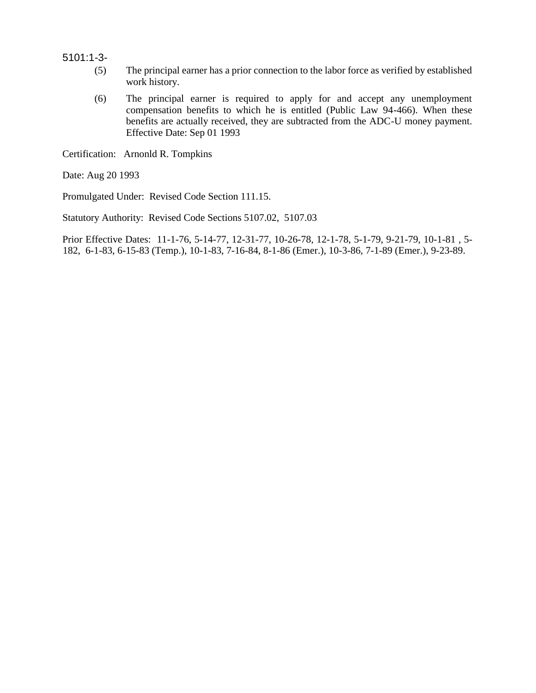5101:1-3-

- (5) The principal earner has a prior connection to the labor force as verified by established work history.
- (6) The principal earner is required to apply for and accept any unemployment compensation benefits to which he is entitled (Public Law 94-466). When these benefits are actually received, they are subtracted from the ADC-U money payment. Effective Date: Sep 01 1993

Certification: Arnonld R. Tompkins

Date: Aug 20 1993

Promulgated Under: Revised Code Section 111.15.

Statutory Authority: Revised Code Sections 5107.02, 5107.03

Prior Effective Dates: 11-1-76, 5-14-77, 12-31-77, 10-26-78, 12-1-78, 5-1-79, 9-21-79, 10-1-81 , 5- 182, 6-1-83, 6-15-83 (Temp.), 10-1-83, 7-16-84, 8-1-86 (Emer.), 10-3-86, 7-1-89 (Emer.), 9-23-89.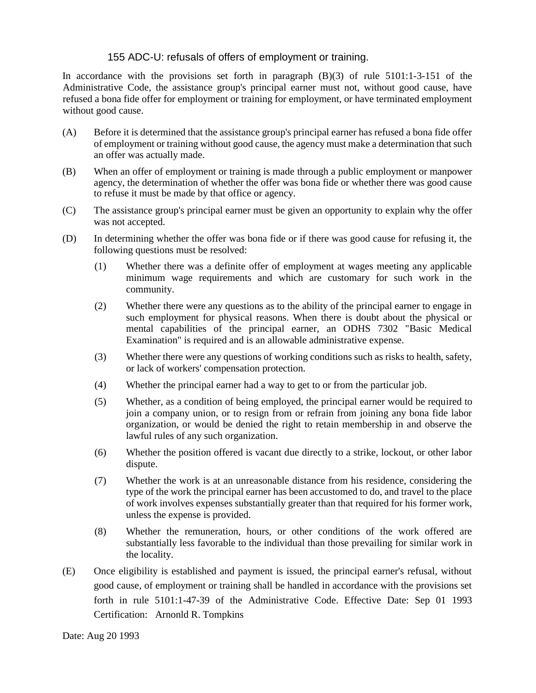## 155 ADC-U: refusals of offers of employment or training.

In accordance with the provisions set forth in paragraph (B)(3) of rule 5101:1-3-151 of the Administrative Code, the assistance group's principal earner must not, without good cause, have refused a bona fide offer for employment or training for employment, or have terminated employment without good cause.

- (A) Before it is determined that the assistance group's principal earner has refused a bona fide offer of employment or training without good cause, the agency must make a determination that such an offer was actually made.
- (B) When an offer of employment or training is made through a public employment or manpower agency, the determination of whether the offer was bona fide or whether there was good cause to refuse it must be made by that office or agency.
- (C) The assistance group's principal earner must be given an opportunity to explain why the offer was not accepted.
- (D) In determining whether the offer was bona fide or if there was good cause for refusing it, the following questions must be resolved:
	- (1) Whether there was a definite offer of employment at wages meeting any applicable minimum wage requirements and which are customary for such work in the community.
	- (2) Whether there were any questions as to the ability of the principal earner to engage in such employment for physical reasons. When there is doubt about the physical or mental capabilities of the principal earner, an ODHS 7302 "Basic Medical Examination" is required and is an allowable administrative expense.
	- (3) Whether there were any questions of working conditions such as risks to health, safety, or lack of workers' compensation protection.
	- (4) Whether the principal earner had a way to get to or from the particular job.
	- (5) Whether, as a condition of being employed, the principal earner would be required to join a company union, or to resign from or refrain from joining any bona fide labor organization, or would be denied the right to retain membership in and observe the lawful rules of any such organization.
	- (6) Whether the position offered is vacant due directly to a strike, lockout, or other labor dispute.
	- (7) Whether the work is at an unreasonable distance from his residence, considering the type of the work the principal earner has been accustomed to do, and travel to the place of work involves expenses substantially greater than that required for his former work, unless the expense is provided.
	- (8) Whether the remuneration, hours, or other conditions of the work offered are substantially less favorable to the individual than those prevailing for similar work in the locality.
- (E) Once eligibility is established and payment is issued, the principal earner's refusal, without good cause, of employment or training shall be handled in accordance with the provisions set forth in rule 5101:1-47-39 of the Administrative Code. Effective Date: Sep 01 1993 Certification: Arnonld R. Tompkins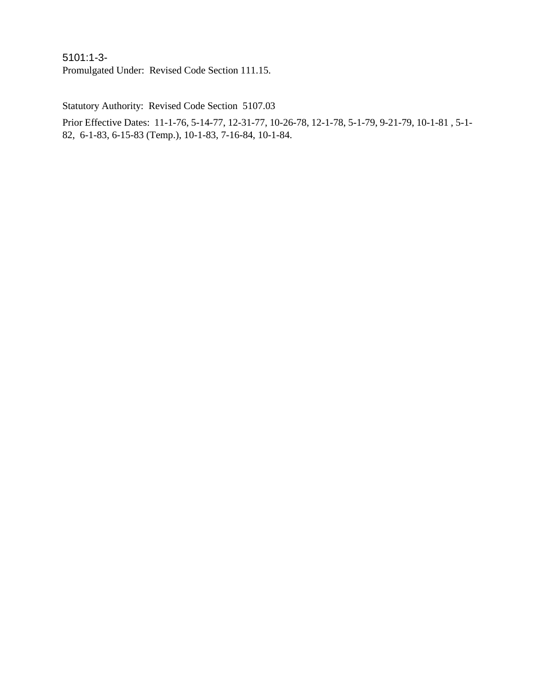5101:1-3- Promulgated Under: Revised Code Section 111.15.

Statutory Authority: Revised Code Section 5107.03

Prior Effective Dates: 11-1-76, 5-14-77, 12-31-77, 10-26-78, 12-1-78, 5-1-79, 9-21-79, 10-1-81 , 5-1- 82, 6-1-83, 6-15-83 (Temp.), 10-1-83, 7-16-84, 10-1-84.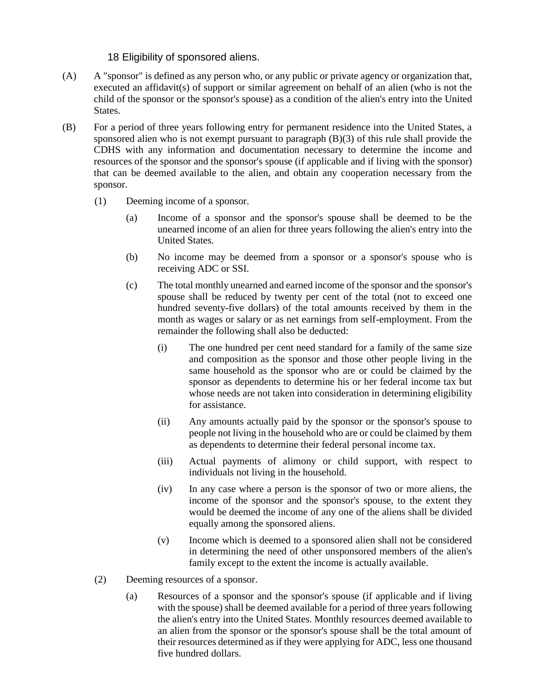### 18 Eligibility of sponsored aliens.

- (A) A "sponsor" is defined as any person who, or any public or private agency or organization that, executed an affidavit(s) of support or similar agreement on behalf of an alien (who is not the child of the sponsor or the sponsor's spouse) as a condition of the alien's entry into the United States.
- (B) For a period of three years following entry for permanent residence into the United States, a sponsored alien who is not exempt pursuant to paragraph (B)(3) of this rule shall provide the CDHS with any information and documentation necessary to determine the income and resources of the sponsor and the sponsor's spouse (if applicable and if living with the sponsor) that can be deemed available to the alien, and obtain any cooperation necessary from the sponsor.
	- (1) Deeming income of a sponsor.
		- (a) Income of a sponsor and the sponsor's spouse shall be deemed to be the unearned income of an alien for three years following the alien's entry into the United States.
		- (b) No income may be deemed from a sponsor or a sponsor's spouse who is receiving ADC or SSI.
		- (c) The total monthly unearned and earned income of the sponsor and the sponsor's spouse shall be reduced by twenty per cent of the total (not to exceed one hundred seventy-five dollars) of the total amounts received by them in the month as wages or salary or as net earnings from self-employment. From the remainder the following shall also be deducted:
			- (i) The one hundred per cent need standard for a family of the same size and composition as the sponsor and those other people living in the same household as the sponsor who are or could be claimed by the sponsor as dependents to determine his or her federal income tax but whose needs are not taken into consideration in determining eligibility for assistance.
			- (ii) Any amounts actually paid by the sponsor or the sponsor's spouse to people not living in the household who are or could be claimed by them as dependents to determine their federal personal income tax.
			- (iii) Actual payments of alimony or child support, with respect to individuals not living in the household.
			- (iv) In any case where a person is the sponsor of two or more aliens, the income of the sponsor and the sponsor's spouse, to the extent they would be deemed the income of any one of the aliens shall be divided equally among the sponsored aliens.
			- (v) Income which is deemed to a sponsored alien shall not be considered in determining the need of other unsponsored members of the alien's family except to the extent the income is actually available.
	- (2) Deeming resources of a sponsor.
		- (a) Resources of a sponsor and the sponsor's spouse (if applicable and if living with the spouse) shall be deemed available for a period of three years following the alien's entry into the United States. Monthly resources deemed available to an alien from the sponsor or the sponsor's spouse shall be the total amount of their resources determined as if they were applying for ADC, less one thousand five hundred dollars.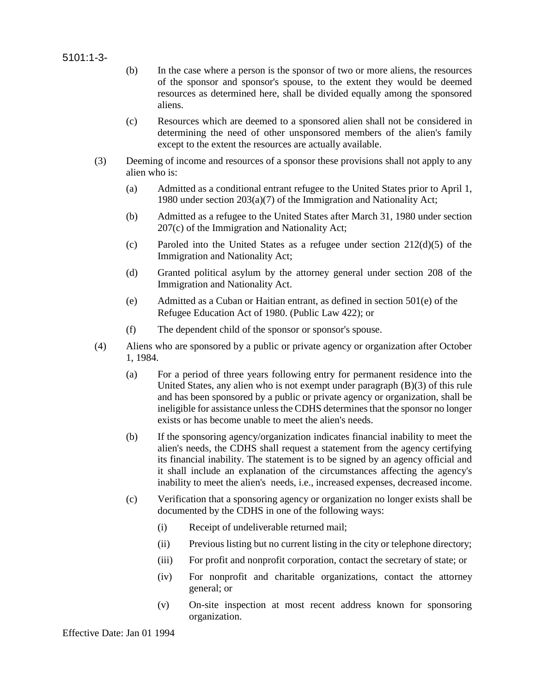#### 5101:1-3-

- (b) In the case where a person is the sponsor of two or more aliens, the resources of the sponsor and sponsor's spouse, to the extent they would be deemed resources as determined here, shall be divided equally among the sponsored aliens.
- (c) Resources which are deemed to a sponsored alien shall not be considered in determining the need of other unsponsored members of the alien's family except to the extent the resources are actually available.
- (3) Deeming of income and resources of a sponsor these provisions shall not apply to any alien who is:
	- (a) Admitted as a conditional entrant refugee to the United States prior to April 1, 1980 under section 203(a)(7) of the Immigration and Nationality Act;
	- (b) Admitted as a refugee to the United States after March 31, 1980 under section 207(c) of the Immigration and Nationality Act;
	- (c) Paroled into the United States as a refugee under section 212(d)(5) of the Immigration and Nationality Act;
	- (d) Granted political asylum by the attorney general under section 208 of the Immigration and Nationality Act.
	- (e) Admitted as a Cuban or Haitian entrant, as defined in section 501(e) of the Refugee Education Act of 1980. (Public Law 422); or
	- (f) The dependent child of the sponsor or sponsor's spouse.
- (4) Aliens who are sponsored by a public or private agency or organization after October 1, 1984.
	- (a) For a period of three years following entry for permanent residence into the United States, any alien who is not exempt under paragraph (B)(3) of this rule and has been sponsored by a public or private agency or organization, shall be ineligible for assistance unless the CDHS determines that the sponsor no longer exists or has become unable to meet the alien's needs.
	- (b) If the sponsoring agency/organization indicates financial inability to meet the alien's needs, the CDHS shall request a statement from the agency certifying its financial inability. The statement is to be signed by an agency official and it shall include an explanation of the circumstances affecting the agency's inability to meet the alien's needs, i.e., increased expenses, decreased income.
	- (c) Verification that a sponsoring agency or organization no longer exists shall be documented by the CDHS in one of the following ways:
		- (i) Receipt of undeliverable returned mail;
		- (ii) Previous listing but no current listing in the city or telephone directory;
		- (iii) For profit and nonprofit corporation, contact the secretary of state; or
		- (iv) For nonprofit and charitable organizations, contact the attorney general; or
		- (v) On-site inspection at most recent address known for sponsoring organization.

Effective Date: Jan 01 1994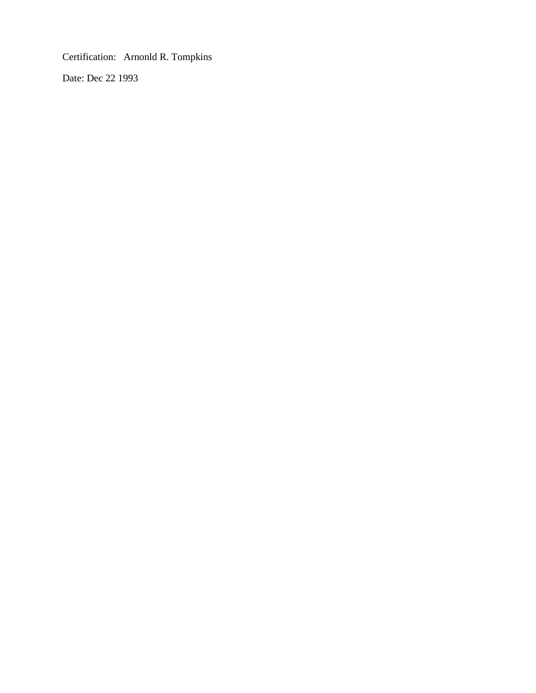Certification: Arnonld R. Tompkins

Date: Dec 22 1993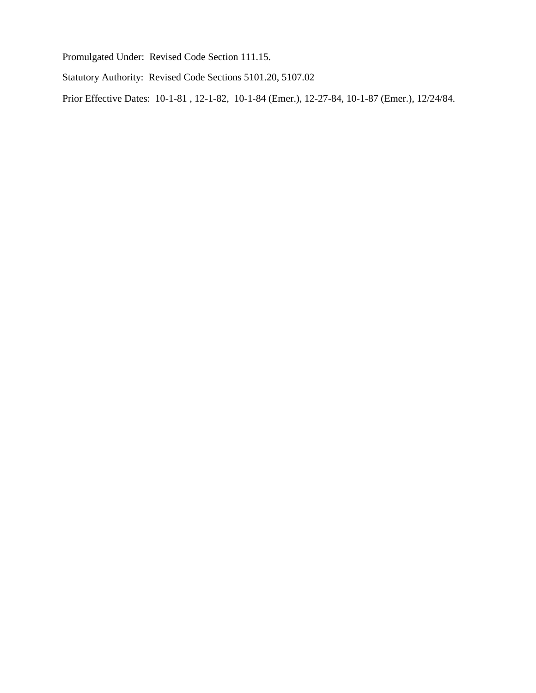Promulgated Under: Revised Code Section 111.15.

Statutory Authority: Revised Code Sections 5101.20, 5107.02

Prior Effective Dates: 10-1-81 , 12-1-82, 10-1-84 (Emer.), 12-27-84, 10-1-87 (Emer.), 12/24/84.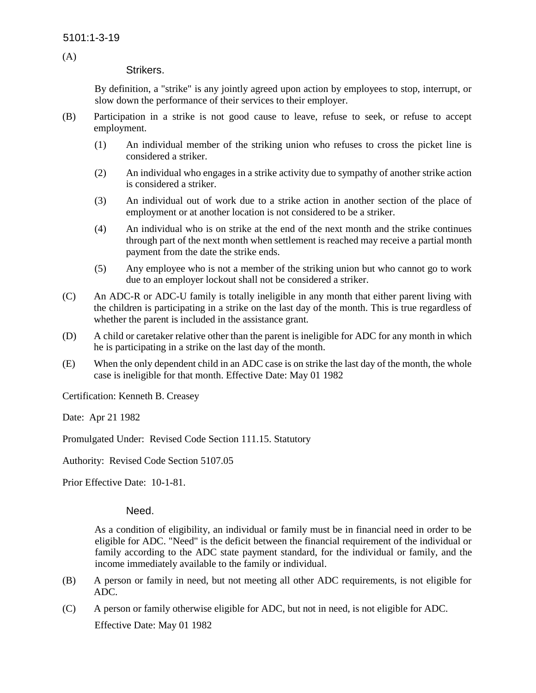(A)

### Strikers.

By definition, a "strike" is any jointly agreed upon action by employees to stop, interrupt, or slow down the performance of their services to their employer.

- (B) Participation in a strike is not good cause to leave, refuse to seek, or refuse to accept employment.
	- (1) An individual member of the striking union who refuses to cross the picket line is considered a striker.
	- (2) An individual who engages in a strike activity due to sympathy of another strike action is considered a striker.
	- (3) An individual out of work due to a strike action in another section of the place of employment or at another location is not considered to be a striker.
	- (4) An individual who is on strike at the end of the next month and the strike continues through part of the next month when settlement is reached may receive a partial month payment from the date the strike ends.
	- (5) Any employee who is not a member of the striking union but who cannot go to work due to an employer lockout shall not be considered a striker.
- (C) An ADC-R or ADC-U family is totally ineligible in any month that either parent living with the children is participating in a strike on the last day of the month. This is true regardless of whether the parent is included in the assistance grant.
- (D) A child or caretaker relative other than the parent is ineligible for ADC for any month in which he is participating in a strike on the last day of the month.
- (E) When the only dependent child in an ADC case is on strike the last day of the month, the whole case is ineligible for that month. Effective Date: May 01 1982

Certification: Kenneth B. Creasey

Date: Apr 21 1982

Promulgated Under: Revised Code Section 111.15. Statutory

Authority: Revised Code Section 5107.05

Prior Effective Date: 10-1-81.

### Need.

As a condition of eligibility, an individual or family must be in financial need in order to be eligible for ADC. "Need" is the deficit between the financial requirement of the individual or family according to the ADC state payment standard, for the individual or family, and the income immediately available to the family or individual.

- (B) A person or family in need, but not meeting all other ADC requirements, is not eligible for ADC.
- (C) A person or family otherwise eligible for ADC, but not in need, is not eligible for ADC. Effective Date: May 01 1982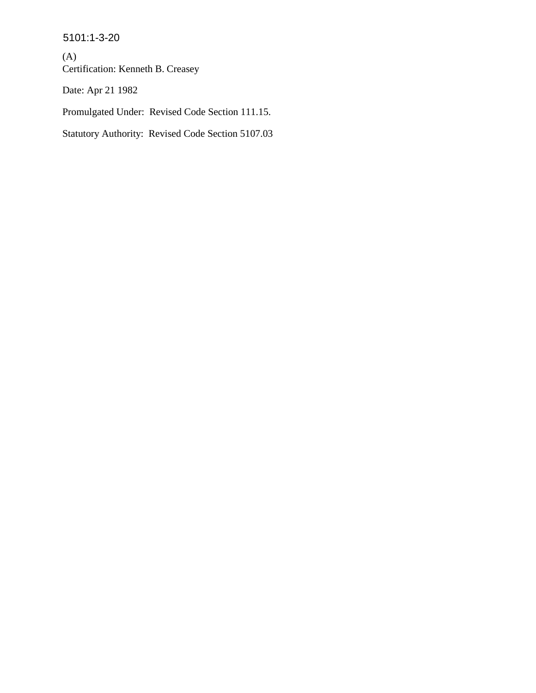5101:1-3-20

(A) Certification: Kenneth B. Creasey

Date: Apr 21 1982

Promulgated Under: Revised Code Section 111.15.

Statutory Authority: Revised Code Section 5107.03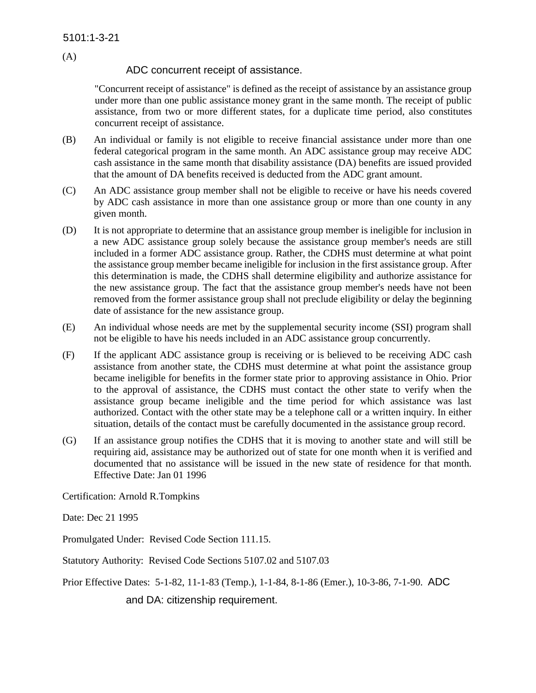(A)

## ADC concurrent receipt of assistance.

"Concurrent receipt of assistance" is defined as the receipt of assistance by an assistance group under more than one public assistance money grant in the same month. The receipt of public assistance, from two or more different states, for a duplicate time period, also constitutes concurrent receipt of assistance.

- (B) An individual or family is not eligible to receive financial assistance under more than one federal categorical program in the same month. An ADC assistance group may receive ADC cash assistance in the same month that disability assistance (DA) benefits are issued provided that the amount of DA benefits received is deducted from the ADC grant amount.
- (C) An ADC assistance group member shall not be eligible to receive or have his needs covered by ADC cash assistance in more than one assistance group or more than one county in any given month.
- (D) It is not appropriate to determine that an assistance group member is ineligible for inclusion in a new ADC assistance group solely because the assistance group member's needs are still included in a former ADC assistance group. Rather, the CDHS must determine at what point the assistance group member became ineligible for inclusion in the first assistance group. After this determination is made, the CDHS shall determine eligibility and authorize assistance for the new assistance group. The fact that the assistance group member's needs have not been removed from the former assistance group shall not preclude eligibility or delay the beginning date of assistance for the new assistance group.
- (E) An individual whose needs are met by the supplemental security income (SSI) program shall not be eligible to have his needs included in an ADC assistance group concurrently.
- (F) If the applicant ADC assistance group is receiving or is believed to be receiving ADC cash assistance from another state, the CDHS must determine at what point the assistance group became ineligible for benefits in the former state prior to approving assistance in Ohio. Prior to the approval of assistance, the CDHS must contact the other state to verify when the assistance group became ineligible and the time period for which assistance was last authorized. Contact with the other state may be a telephone call or a written inquiry. In either situation, details of the contact must be carefully documented in the assistance group record.
- (G) If an assistance group notifies the CDHS that it is moving to another state and will still be requiring aid, assistance may be authorized out of state for one month when it is verified and documented that no assistance will be issued in the new state of residence for that month. Effective Date: Jan 01 1996

Certification: Arnold R.Tompkins

Date: Dec 21 1995

Promulgated Under: Revised Code Section 111.15.

Statutory Authority: Revised Code Sections 5107.02 and 5107.03

Prior Effective Dates: 5-1-82, 11-1-83 (Temp.), 1-1-84, 8-1-86 (Emer.), 10-3-86, 7-1-90. ADC

and DA: citizenship requirement.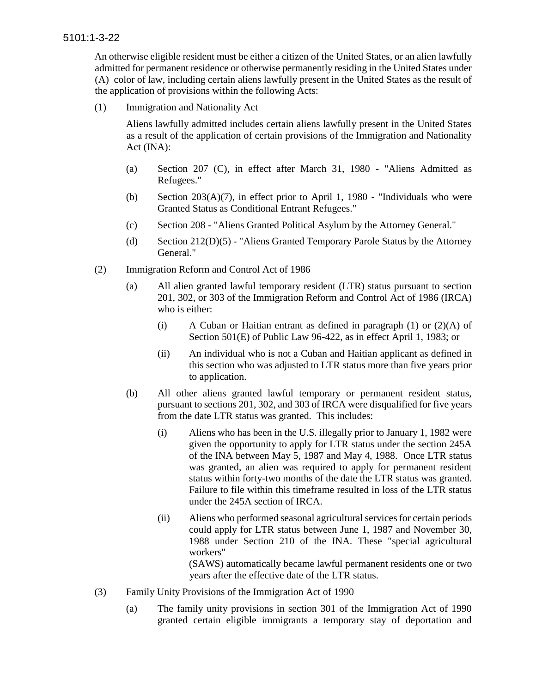An otherwise eligible resident must be either a citizen of the United States, or an alien lawfully admitted for permanent residence or otherwise permanently residing in the United States under (A) color of law, including certain aliens lawfully present in the United States as the result of the application of provisions within the following Acts:

(1) Immigration and Nationality Act

Aliens lawfully admitted includes certain aliens lawfully present in the United States as a result of the application of certain provisions of the Immigration and Nationality Act (INA):

- (a) Section 207 (C), in effect after March 31, 1980 "Aliens Admitted as Refugees."
- (b) Section  $203(A)(7)$ , in effect prior to April 1, 1980 "Individuals who were Granted Status as Conditional Entrant Refugees."
- (c) Section 208 "Aliens Granted Political Asylum by the Attorney General."
- (d) Section 212(D)(5) "Aliens Granted Temporary Parole Status by the Attorney General."
- (2) Immigration Reform and Control Act of 1986
	- (a) All alien granted lawful temporary resident (LTR) status pursuant to section 201, 302, or 303 of the Immigration Reform and Control Act of 1986 (IRCA) who is either:
		- (i) A Cuban or Haitian entrant as defined in paragraph  $(1)$  or  $(2)(A)$  of Section 501(E) of Public Law 96-422, as in effect April 1, 1983; or
		- (ii) An individual who is not a Cuban and Haitian applicant as defined in this section who was adjusted to LTR status more than five years prior to application.
	- (b) All other aliens granted lawful temporary or permanent resident status, pursuant to sections 201, 302, and 303 of IRCA were disqualified for five years from the date LTR status was granted. This includes:
		- (i) Aliens who has been in the U.S. illegally prior to January 1, 1982 were given the opportunity to apply for LTR status under the section 245A of the INA between May 5, 1987 and May 4, 1988. Once LTR status was granted, an alien was required to apply for permanent resident status within forty-two months of the date the LTR status was granted. Failure to file within this timeframe resulted in loss of the LTR status under the 245A section of IRCA.
		- (ii) Aliens who performed seasonal agricultural services for certain periods could apply for LTR status between June 1, 1987 and November 30, 1988 under Section 210 of the INA. These "special agricultural workers" (SAWS) automatically became lawful permanent residents one or two

years after the effective date of the LTR status.

- (3) Family Unity Provisions of the Immigration Act of 1990
	- (a) The family unity provisions in section 301 of the Immigration Act of 1990 granted certain eligible immigrants a temporary stay of deportation and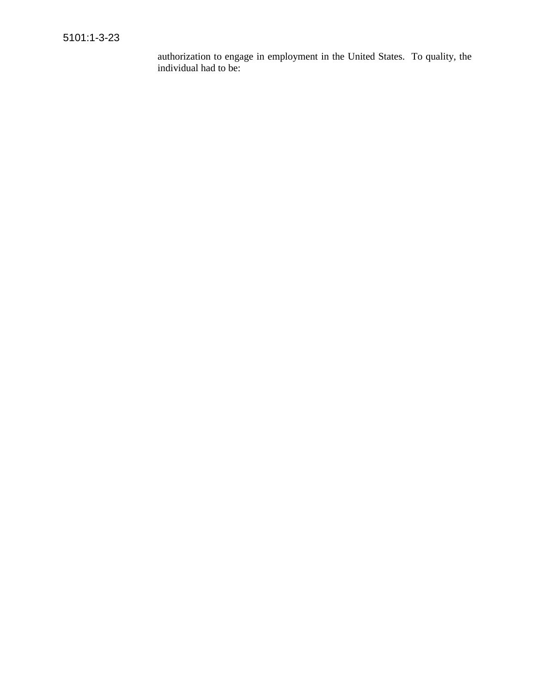authorization to engage in employment in the United States. To quality, the individual had to be: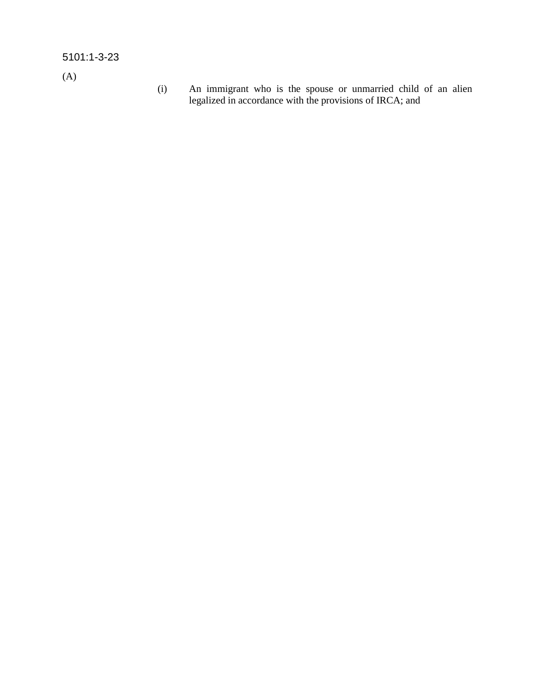# 5101:1-3-23

(A)

(i) An immigrant who is the spouse or unmarried child of an alien legalized in accordance with the provisions of IRCA; and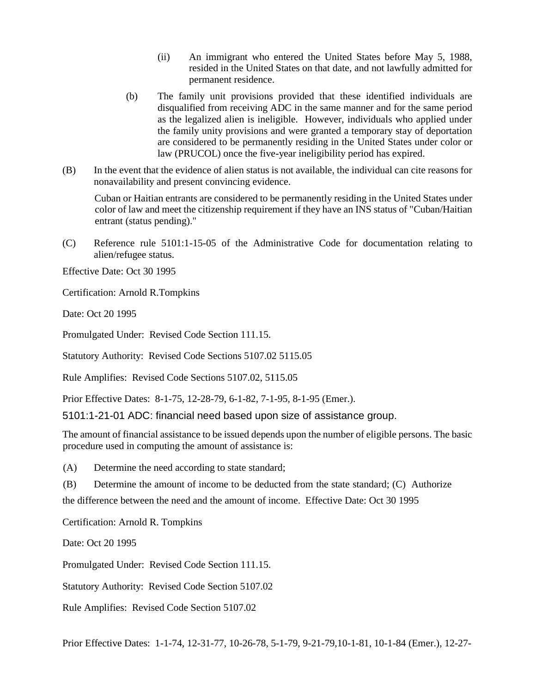- (ii) An immigrant who entered the United States before May 5, 1988, resided in the United States on that date, and not lawfully admitted for permanent residence.
- (b) The family unit provisions provided that these identified individuals are disqualified from receiving ADC in the same manner and for the same period as the legalized alien is ineligible. However, individuals who applied under the family unity provisions and were granted a temporary stay of deportation are considered to be permanently residing in the United States under color or law (PRUCOL) once the five-year ineligibility period has expired.
- (B) In the event that the evidence of alien status is not available, the individual can cite reasons for nonavailability and present convincing evidence.

Cuban or Haitian entrants are considered to be permanently residing in the United States under color of law and meet the citizenship requirement if they have an INS status of "Cuban/Haitian entrant (status pending)."

(C) Reference rule 5101:1-15-05 of the Administrative Code for documentation relating to alien/refugee status.

Effective Date: Oct 30 1995

Certification: Arnold R.Tompkins

Date: Oct 20 1995

Promulgated Under: Revised Code Section 111.15.

Statutory Authority: Revised Code Sections 5107.02 5115.05

Rule Amplifies: Revised Code Sections 5107.02, 5115.05

Prior Effective Dates: 8-1-75, 12-28-79, 6-1-82, 7-1-95, 8-1-95 (Emer.).

5101:1-21-01 ADC: financial need based upon size of assistance group.

The amount of financial assistance to be issued depends upon the number of eligible persons. The basic procedure used in computing the amount of assistance is:

(A) Determine the need according to state standard;

(B) Determine the amount of income to be deducted from the state standard; (C) Authorize

the difference between the need and the amount of income. Effective Date: Oct 30 1995

Certification: Arnold R. Tompkins

Date: Oct 20 1995

Promulgated Under: Revised Code Section 111.15.

Statutory Authority: Revised Code Section 5107.02

Rule Amplifies: Revised Code Section 5107.02

Prior Effective Dates: 1-1-74, 12-31-77, 10-26-78, 5-1-79, 9-21-79,10-1-81, 10-1-84 (Emer.), 12-27-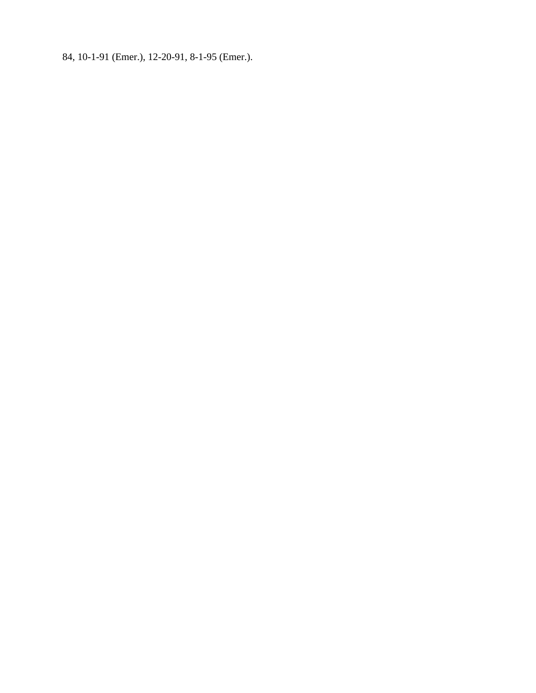84, 10-1-91 (Emer.), 12-20-91, 8-1-95 (Emer.).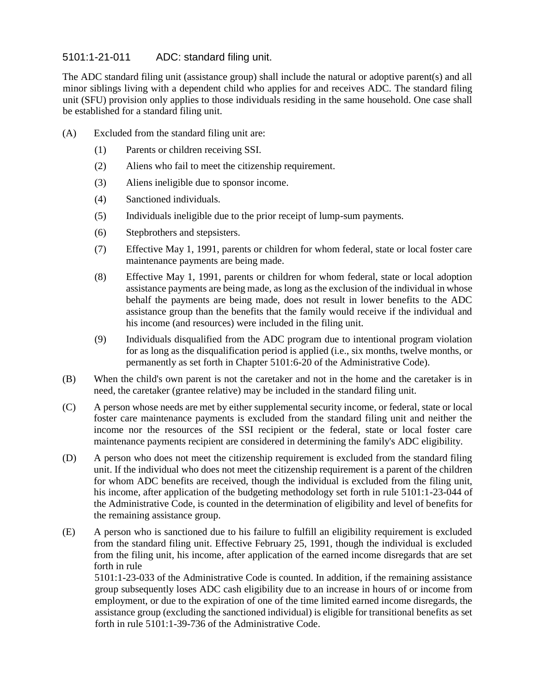# 5101:1-21-011 ADC: standard filing unit.

The ADC standard filing unit (assistance group) shall include the natural or adoptive parent(s) and all minor siblings living with a dependent child who applies for and receives ADC. The standard filing unit (SFU) provision only applies to those individuals residing in the same household. One case shall be established for a standard filing unit.

- (A) Excluded from the standard filing unit are:
	- (1) Parents or children receiving SSI.
	- (2) Aliens who fail to meet the citizenship requirement.
	- (3) Aliens ineligible due to sponsor income.
	- (4) Sanctioned individuals.
	- (5) Individuals ineligible due to the prior receipt of lump-sum payments.
	- (6) Stepbrothers and stepsisters.
	- (7) Effective May 1, 1991, parents or children for whom federal, state or local foster care maintenance payments are being made.
	- (8) Effective May 1, 1991, parents or children for whom federal, state or local adoption assistance payments are being made, as long as the exclusion of the individual in whose behalf the payments are being made, does not result in lower benefits to the ADC assistance group than the benefits that the family would receive if the individual and his income (and resources) were included in the filing unit.
	- (9) Individuals disqualified from the ADC program due to intentional program violation for as long as the disqualification period is applied (i.e., six months, twelve months, or permanently as set forth in Chapter 5101:6-20 of the Administrative Code).
- (B) When the child's own parent is not the caretaker and not in the home and the caretaker is in need, the caretaker (grantee relative) may be included in the standard filing unit.
- (C) A person whose needs are met by either supplemental security income, or federal, state or local foster care maintenance payments is excluded from the standard filing unit and neither the income nor the resources of the SSI recipient or the federal, state or local foster care maintenance payments recipient are considered in determining the family's ADC eligibility.
- (D) A person who does not meet the citizenship requirement is excluded from the standard filing unit. If the individual who does not meet the citizenship requirement is a parent of the children for whom ADC benefits are received, though the individual is excluded from the filing unit, his income, after application of the budgeting methodology set forth in rule 5101:1-23-044 of the Administrative Code, is counted in the determination of eligibility and level of benefits for the remaining assistance group.
- (E) A person who is sanctioned due to his failure to fulfill an eligibility requirement is excluded from the standard filing unit. Effective February 25, 1991, though the individual is excluded from the filing unit, his income, after application of the earned income disregards that are set forth in rule

5101:1-23-033 of the Administrative Code is counted. In addition, if the remaining assistance group subsequently loses ADC cash eligibility due to an increase in hours of or income from employment, or due to the expiration of one of the time limited earned income disregards, the assistance group (excluding the sanctioned individual) is eligible for transitional benefits as set forth in rule 5101:1-39-736 of the Administrative Code.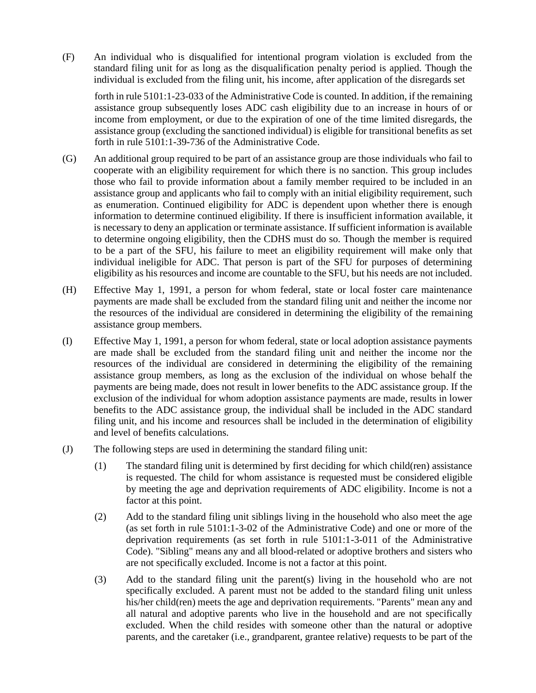(F) An individual who is disqualified for intentional program violation is excluded from the standard filing unit for as long as the disqualification penalty period is applied. Though the individual is excluded from the filing unit, his income, after application of the disregards set

forth in rule 5101:1-23-033 of the Administrative Code is counted. In addition, if the remaining assistance group subsequently loses ADC cash eligibility due to an increase in hours of or income from employment, or due to the expiration of one of the time limited disregards, the assistance group (excluding the sanctioned individual) is eligible for transitional benefits as set forth in rule 5101:1-39-736 of the Administrative Code.

- (G) An additional group required to be part of an assistance group are those individuals who fail to cooperate with an eligibility requirement for which there is no sanction. This group includes those who fail to provide information about a family member required to be included in an assistance group and applicants who fail to comply with an initial eligibility requirement, such as enumeration. Continued eligibility for ADC is dependent upon whether there is enough information to determine continued eligibility. If there is insufficient information available, it is necessary to deny an application or terminate assistance. If sufficient information is available to determine ongoing eligibility, then the CDHS must do so. Though the member is required to be a part of the SFU, his failure to meet an eligibility requirement will make only that individual ineligible for ADC. That person is part of the SFU for purposes of determining eligibility as his resources and income are countable to the SFU, but his needs are not included.
- (H) Effective May 1, 1991, a person for whom federal, state or local foster care maintenance payments are made shall be excluded from the standard filing unit and neither the income nor the resources of the individual are considered in determining the eligibility of the remaining assistance group members.
- (I) Effective May 1, 1991, a person for whom federal, state or local adoption assistance payments are made shall be excluded from the standard filing unit and neither the income nor the resources of the individual are considered in determining the eligibility of the remaining assistance group members, as long as the exclusion of the individual on whose behalf the payments are being made, does not result in lower benefits to the ADC assistance group. If the exclusion of the individual for whom adoption assistance payments are made, results in lower benefits to the ADC assistance group, the individual shall be included in the ADC standard filing unit, and his income and resources shall be included in the determination of eligibility and level of benefits calculations.
- (J) The following steps are used in determining the standard filing unit:
	- (1) The standard filing unit is determined by first deciding for which child(ren) assistance is requested. The child for whom assistance is requested must be considered eligible by meeting the age and deprivation requirements of ADC eligibility. Income is not a factor at this point.
	- (2) Add to the standard filing unit siblings living in the household who also meet the age (as set forth in rule 5101:1-3-02 of the Administrative Code) and one or more of the deprivation requirements (as set forth in rule 5101:1-3-011 of the Administrative Code). "Sibling" means any and all blood-related or adoptive brothers and sisters who are not specifically excluded. Income is not a factor at this point.
	- (3) Add to the standard filing unit the parent(s) living in the household who are not specifically excluded. A parent must not be added to the standard filing unit unless his/her child(ren) meets the age and deprivation requirements. "Parents" mean any and all natural and adoptive parents who live in the household and are not specifically excluded. When the child resides with someone other than the natural or adoptive parents, and the caretaker (i.e., grandparent, grantee relative) requests to be part of the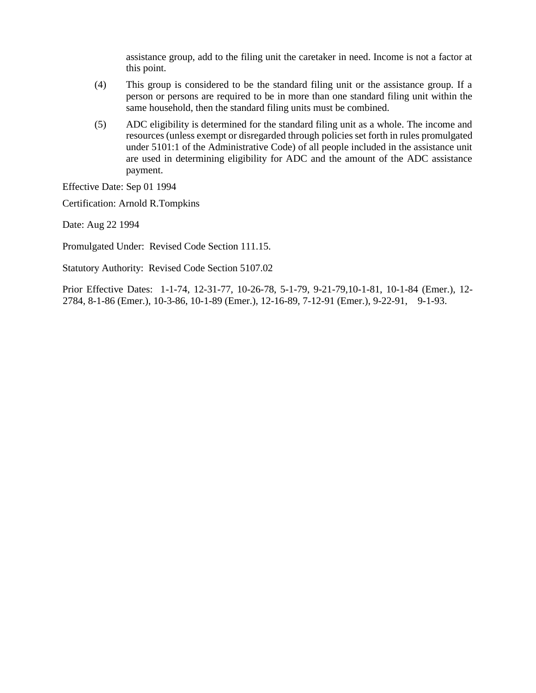assistance group, add to the filing unit the caretaker in need. Income is not a factor at this point.

- (4) This group is considered to be the standard filing unit or the assistance group. If a person or persons are required to be in more than one standard filing unit within the same household, then the standard filing units must be combined.
- (5) ADC eligibility is determined for the standard filing unit as a whole. The income and resources (unless exempt or disregarded through policies set forth in rules promulgated under 5101:1 of the Administrative Code) of all people included in the assistance unit are used in determining eligibility for ADC and the amount of the ADC assistance payment.

Effective Date: Sep 01 1994

Certification: Arnold R.Tompkins

Date: Aug 22 1994

Promulgated Under: Revised Code Section 111.15.

Statutory Authority: Revised Code Section 5107.02

Prior Effective Dates: 1-1-74, 12-31-77, 10-26-78, 5-1-79, 9-21-79,10-1-81, 10-1-84 (Emer.), 12- 2784, 8-1-86 (Emer.), 10-3-86, 10-1-89 (Emer.), 12-16-89, 7-12-91 (Emer.), 9-22-91, 9-1-93.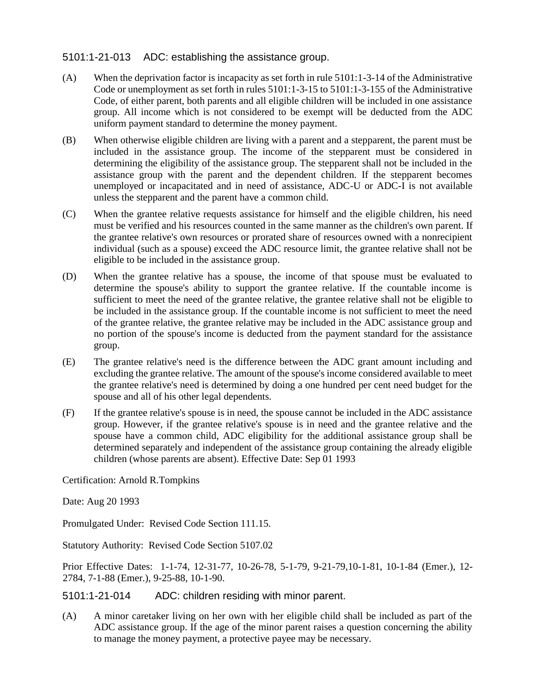## 5101:1-21-013 ADC: establishing the assistance group.

- (A) When the deprivation factor is incapacity as set forth in rule  $5101:1-3-14$  of the Administrative Code or unemployment as set forth in rules 5101:1-3-15 to 5101:1-3-155 of the Administrative Code, of either parent, both parents and all eligible children will be included in one assistance group. All income which is not considered to be exempt will be deducted from the ADC uniform payment standard to determine the money payment.
- (B) When otherwise eligible children are living with a parent and a stepparent, the parent must be included in the assistance group. The income of the stepparent must be considered in determining the eligibility of the assistance group. The stepparent shall not be included in the assistance group with the parent and the dependent children. If the stepparent becomes unemployed or incapacitated and in need of assistance, ADC-U or ADC-I is not available unless the stepparent and the parent have a common child.
- (C) When the grantee relative requests assistance for himself and the eligible children, his need must be verified and his resources counted in the same manner as the children's own parent. If the grantee relative's own resources or prorated share of resources owned with a nonrecipient individual (such as a spouse) exceed the ADC resource limit, the grantee relative shall not be eligible to be included in the assistance group.
- (D) When the grantee relative has a spouse, the income of that spouse must be evaluated to determine the spouse's ability to support the grantee relative. If the countable income is sufficient to meet the need of the grantee relative, the grantee relative shall not be eligible to be included in the assistance group. If the countable income is not sufficient to meet the need of the grantee relative, the grantee relative may be included in the ADC assistance group and no portion of the spouse's income is deducted from the payment standard for the assistance group.
- (E) The grantee relative's need is the difference between the ADC grant amount including and excluding the grantee relative. The amount of the spouse's income considered available to meet the grantee relative's need is determined by doing a one hundred per cent need budget for the spouse and all of his other legal dependents.
- (F) If the grantee relative's spouse is in need, the spouse cannot be included in the ADC assistance group. However, if the grantee relative's spouse is in need and the grantee relative and the spouse have a common child, ADC eligibility for the additional assistance group shall be determined separately and independent of the assistance group containing the already eligible children (whose parents are absent). Effective Date: Sep 01 1993

Certification: Arnold R.Tompkins

Date: Aug 20 1993

Promulgated Under: Revised Code Section 111.15.

Statutory Authority: Revised Code Section 5107.02

Prior Effective Dates: 1-1-74, 12-31-77, 10-26-78, 5-1-79, 9-21-79,10-1-81, 10-1-84 (Emer.), 12- 2784, 7-1-88 (Emer.), 9-25-88, 10-1-90.

5101:1-21-014 ADC: children residing with minor parent.

(A) A minor caretaker living on her own with her eligible child shall be included as part of the ADC assistance group. If the age of the minor parent raises a question concerning the ability to manage the money payment, a protective payee may be necessary.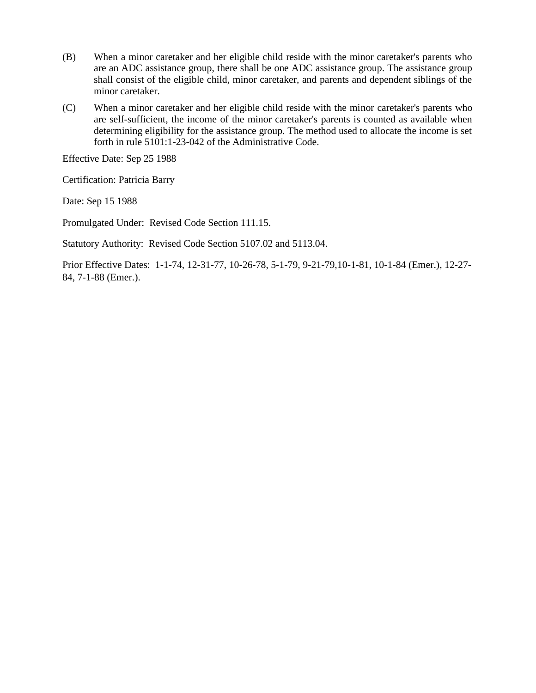- (B) When a minor caretaker and her eligible child reside with the minor caretaker's parents who are an ADC assistance group, there shall be one ADC assistance group. The assistance group shall consist of the eligible child, minor caretaker, and parents and dependent siblings of the minor caretaker.
- (C) When a minor caretaker and her eligible child reside with the minor caretaker's parents who are self-sufficient, the income of the minor caretaker's parents is counted as available when determining eligibility for the assistance group. The method used to allocate the income is set forth in rule 5101:1-23-042 of the Administrative Code.

Effective Date: Sep 25 1988

Certification: Patricia Barry

Date: Sep 15 1988

Promulgated Under: Revised Code Section 111.15.

Statutory Authority: Revised Code Section 5107.02 and 5113.04.

Prior Effective Dates: 1-1-74, 12-31-77, 10-26-78, 5-1-79, 9-21-79,10-1-81, 10-1-84 (Emer.), 12-27- 84, 7-1-88 (Emer.).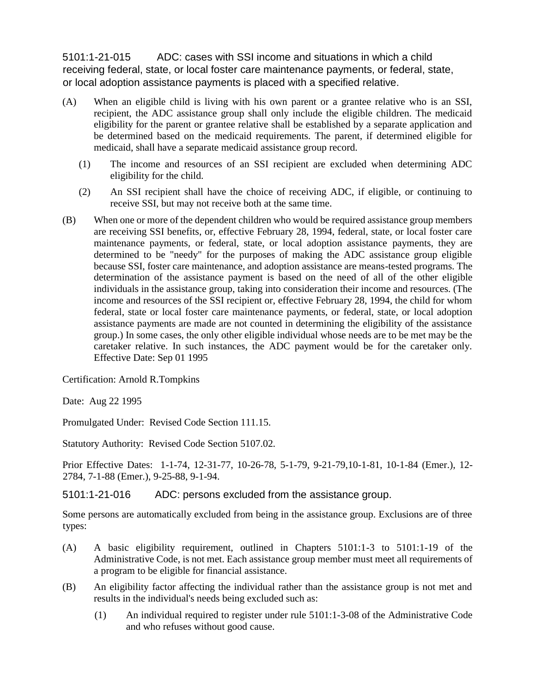5101:1-21-015 ADC: cases with SSI income and situations in which a child receiving federal, state, or local foster care maintenance payments, or federal, state, or local adoption assistance payments is placed with a specified relative.

- (A) When an eligible child is living with his own parent or a grantee relative who is an SSI, recipient, the ADC assistance group shall only include the eligible children. The medicaid eligibility for the parent or grantee relative shall be established by a separate application and be determined based on the medicaid requirements. The parent, if determined eligible for medicaid, shall have a separate medicaid assistance group record.
	- (1) The income and resources of an SSI recipient are excluded when determining ADC eligibility for the child.
	- (2) An SSI recipient shall have the choice of receiving ADC, if eligible, or continuing to receive SSI, but may not receive both at the same time.
- (B) When one or more of the dependent children who would be required assistance group members are receiving SSI benefits, or, effective February 28, 1994, federal, state, or local foster care maintenance payments, or federal, state, or local adoption assistance payments, they are determined to be "needy" for the purposes of making the ADC assistance group eligible because SSI, foster care maintenance, and adoption assistance are means-tested programs. The determination of the assistance payment is based on the need of all of the other eligible individuals in the assistance group, taking into consideration their income and resources. (The income and resources of the SSI recipient or, effective February 28, 1994, the child for whom federal, state or local foster care maintenance payments, or federal, state, or local adoption assistance payments are made are not counted in determining the eligibility of the assistance group.) In some cases, the only other eligible individual whose needs are to be met may be the caretaker relative. In such instances, the ADC payment would be for the caretaker only. Effective Date: Sep 01 1995

Certification: Arnold R.Tompkins

Date: Aug 22 1995

Promulgated Under: Revised Code Section 111.15.

Statutory Authority: Revised Code Section 5107.02.

Prior Effective Dates: 1-1-74, 12-31-77, 10-26-78, 5-1-79, 9-21-79,10-1-81, 10-1-84 (Emer.), 12- 2784, 7-1-88 (Emer.), 9-25-88, 9-1-94.

5101:1-21-016 ADC: persons excluded from the assistance group.

Some persons are automatically excluded from being in the assistance group. Exclusions are of three types:

- (A) A basic eligibility requirement, outlined in Chapters 5101:1-3 to 5101:1-19 of the Administrative Code, is not met. Each assistance group member must meet all requirements of a program to be eligible for financial assistance.
- (B) An eligibility factor affecting the individual rather than the assistance group is not met and results in the individual's needs being excluded such as:
	- (1) An individual required to register under rule 5101:1-3-08 of the Administrative Code and who refuses without good cause.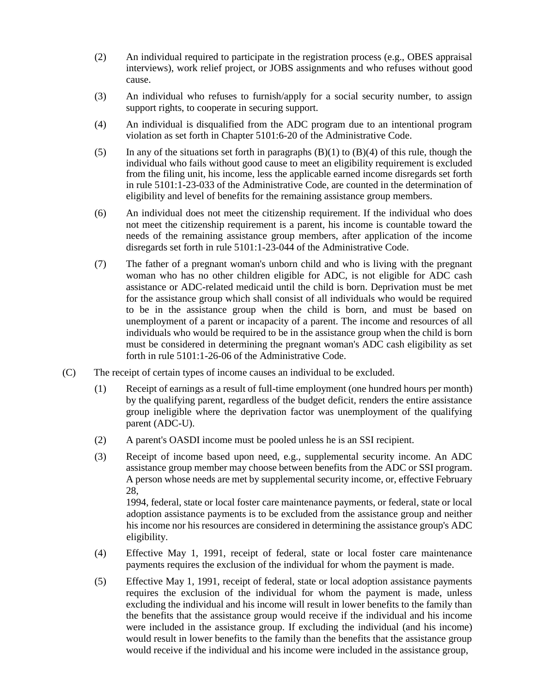- (2) An individual required to participate in the registration process (e.g., OBES appraisal interviews), work relief project, or JOBS assignments and who refuses without good cause.
- (3) An individual who refuses to furnish/apply for a social security number, to assign support rights, to cooperate in securing support.
- (4) An individual is disqualified from the ADC program due to an intentional program violation as set forth in Chapter 5101:6-20 of the Administrative Code.
- (5) In any of the situations set forth in paragraphs  $(B)(1)$  to  $(B)(4)$  of this rule, though the individual who fails without good cause to meet an eligibility requirement is excluded from the filing unit, his income, less the applicable earned income disregards set forth in rule 5101:1-23-033 of the Administrative Code, are counted in the determination of eligibility and level of benefits for the remaining assistance group members.
- (6) An individual does not meet the citizenship requirement. If the individual who does not meet the citizenship requirement is a parent, his income is countable toward the needs of the remaining assistance group members, after application of the income disregards set forth in rule 5101:1-23-044 of the Administrative Code.
- (7) The father of a pregnant woman's unborn child and who is living with the pregnant woman who has no other children eligible for ADC, is not eligible for ADC cash assistance or ADC-related medicaid until the child is born. Deprivation must be met for the assistance group which shall consist of all individuals who would be required to be in the assistance group when the child is born, and must be based on unemployment of a parent or incapacity of a parent. The income and resources of all individuals who would be required to be in the assistance group when the child is born must be considered in determining the pregnant woman's ADC cash eligibility as set forth in rule 5101:1-26-06 of the Administrative Code.
- (C) The receipt of certain types of income causes an individual to be excluded.
	- (1) Receipt of earnings as a result of full-time employment (one hundred hours per month) by the qualifying parent, regardless of the budget deficit, renders the entire assistance group ineligible where the deprivation factor was unemployment of the qualifying parent (ADC-U).
	- (2) A parent's OASDI income must be pooled unless he is an SSI recipient.
	- (3) Receipt of income based upon need, e.g., supplemental security income. An ADC assistance group member may choose between benefits from the ADC or SSI program. A person whose needs are met by supplemental security income, or, effective February 28,

1994, federal, state or local foster care maintenance payments, or federal, state or local adoption assistance payments is to be excluded from the assistance group and neither his income nor his resources are considered in determining the assistance group's ADC eligibility.

- (4) Effective May 1, 1991, receipt of federal, state or local foster care maintenance payments requires the exclusion of the individual for whom the payment is made.
- (5) Effective May 1, 1991, receipt of federal, state or local adoption assistance payments requires the exclusion of the individual for whom the payment is made, unless excluding the individual and his income will result in lower benefits to the family than the benefits that the assistance group would receive if the individual and his income were included in the assistance group. If excluding the individual (and his income) would result in lower benefits to the family than the benefits that the assistance group would receive if the individual and his income were included in the assistance group,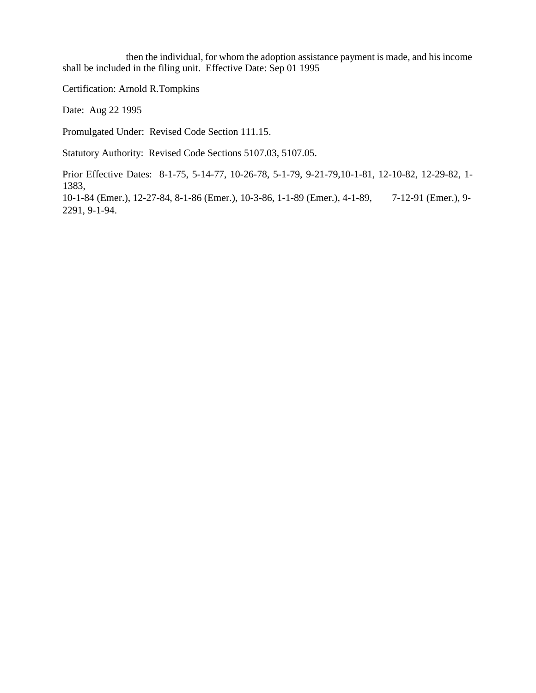then the individual, for whom the adoption assistance payment is made, and his income shall be included in the filing unit. Effective Date: Sep 01 1995

Certification: Arnold R.Tompkins

Date: Aug 22 1995

Promulgated Under: Revised Code Section 111.15.

Statutory Authority: Revised Code Sections 5107.03, 5107.05.

Prior Effective Dates: 8-1-75, 5-14-77, 10-26-78, 5-1-79, 9-21-79,10-1-81, 12-10-82, 12-29-82, 1- 1383,

10-1-84 (Emer.), 12-27-84, 8-1-86 (Emer.), 10-3-86, 1-1-89 (Emer.), 4-1-89, 7-12-91 (Emer.), 9- 2291, 9-1-94.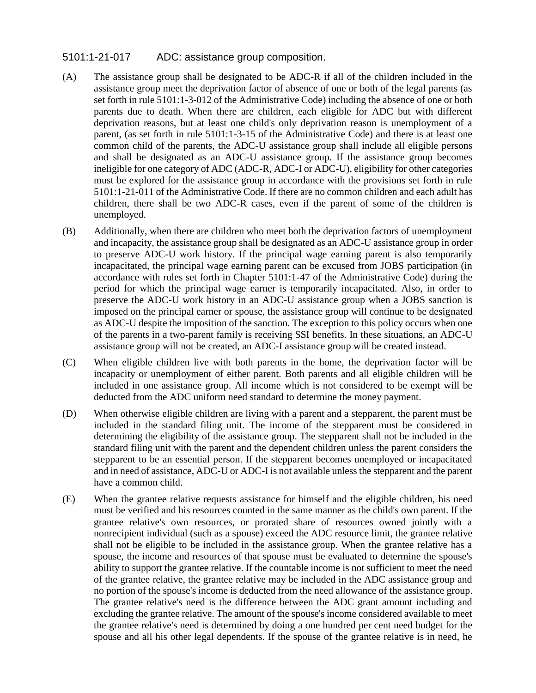### 5101:1-21-017 ADC: assistance group composition.

- (A) The assistance group shall be designated to be ADC-R if all of the children included in the assistance group meet the deprivation factor of absence of one or both of the legal parents (as set forth in rule 5101:1-3-012 of the Administrative Code) including the absence of one or both parents due to death. When there are children, each eligible for ADC but with different deprivation reasons, but at least one child's only deprivation reason is unemployment of a parent, (as set forth in rule 5101:1-3-15 of the Administrative Code) and there is at least one common child of the parents, the ADC-U assistance group shall include all eligible persons and shall be designated as an ADC-U assistance group. If the assistance group becomes ineligible for one category of ADC (ADC-R, ADC-I or ADC-U), eligibility for other categories must be explored for the assistance group in accordance with the provisions set forth in rule 5101:1-21-011 of the Administrative Code. If there are no common children and each adult has children, there shall be two ADC-R cases, even if the parent of some of the children is unemployed.
- (B) Additionally, when there are children who meet both the deprivation factors of unemployment and incapacity, the assistance group shall be designated as an ADC-U assistance group in order to preserve ADC-U work history. If the principal wage earning parent is also temporarily incapacitated, the principal wage earning parent can be excused from JOBS participation (in accordance with rules set forth in Chapter 5101:1-47 of the Administrative Code) during the period for which the principal wage earner is temporarily incapacitated. Also, in order to preserve the ADC-U work history in an ADC-U assistance group when a JOBS sanction is imposed on the principal earner or spouse, the assistance group will continue to be designated as ADC-U despite the imposition of the sanction. The exception to this policy occurs when one of the parents in a two-parent family is receiving SSI benefits. In these situations, an ADC-U assistance group will not be created, an ADC-I assistance group will be created instead.
- (C) When eligible children live with both parents in the home, the deprivation factor will be incapacity or unemployment of either parent. Both parents and all eligible children will be included in one assistance group. All income which is not considered to be exempt will be deducted from the ADC uniform need standard to determine the money payment.
- (D) When otherwise eligible children are living with a parent and a stepparent, the parent must be included in the standard filing unit. The income of the stepparent must be considered in determining the eligibility of the assistance group. The stepparent shall not be included in the standard filing unit with the parent and the dependent children unless the parent considers the stepparent to be an essential person. If the stepparent becomes unemployed or incapacitated and in need of assistance, ADC-U or ADC-I is not available unless the stepparent and the parent have a common child.
- (E) When the grantee relative requests assistance for himself and the eligible children, his need must be verified and his resources counted in the same manner as the child's own parent. If the grantee relative's own resources, or prorated share of resources owned jointly with a nonrecipient individual (such as a spouse) exceed the ADC resource limit, the grantee relative shall not be eligible to be included in the assistance group. When the grantee relative has a spouse, the income and resources of that spouse must be evaluated to determine the spouse's ability to support the grantee relative. If the countable income is not sufficient to meet the need of the grantee relative, the grantee relative may be included in the ADC assistance group and no portion of the spouse's income is deducted from the need allowance of the assistance group. The grantee relative's need is the difference between the ADC grant amount including and excluding the grantee relative. The amount of the spouse's income considered available to meet the grantee relative's need is determined by doing a one hundred per cent need budget for the spouse and all his other legal dependents. If the spouse of the grantee relative is in need, he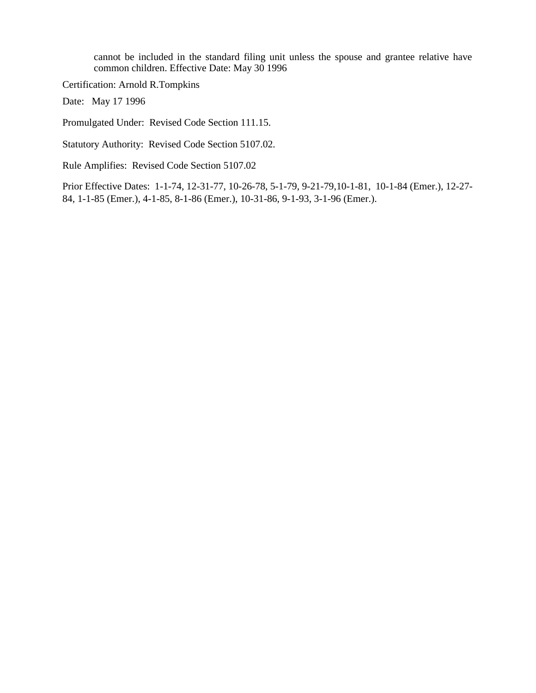cannot be included in the standard filing unit unless the spouse and grantee relative have common children. Effective Date: May 30 1996

Certification: Arnold R.Tompkins

Date: May 17 1996

Promulgated Under: Revised Code Section 111.15.

Statutory Authority: Revised Code Section 5107.02.

Rule Amplifies: Revised Code Section 5107.02

Prior Effective Dates: 1-1-74, 12-31-77, 10-26-78, 5-1-79, 9-21-79,10-1-81, 10-1-84 (Emer.), 12-27- 84, 1-1-85 (Emer.), 4-1-85, 8-1-86 (Emer.), 10-31-86, 9-1-93, 3-1-96 (Emer.).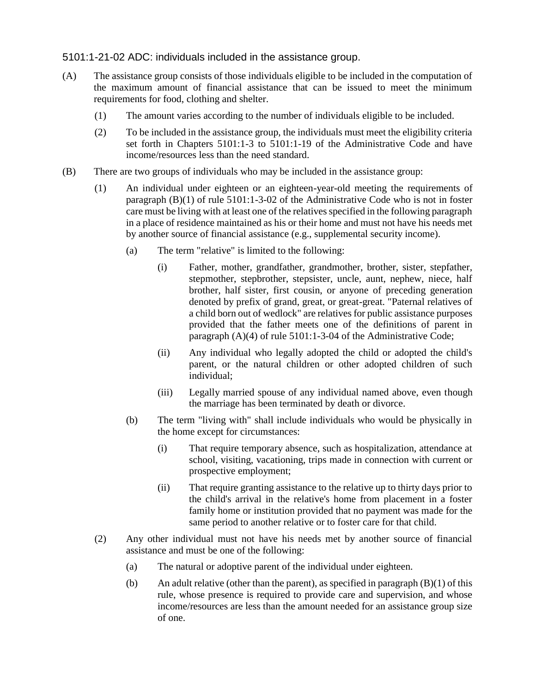### 5101:1-21-02 ADC: individuals included in the assistance group.

- (A) The assistance group consists of those individuals eligible to be included in the computation of the maximum amount of financial assistance that can be issued to meet the minimum requirements for food, clothing and shelter.
	- (1) The amount varies according to the number of individuals eligible to be included.
	- (2) To be included in the assistance group, the individuals must meet the eligibility criteria set forth in Chapters 5101:1-3 to 5101:1-19 of the Administrative Code and have income/resources less than the need standard.
- (B) There are two groups of individuals who may be included in the assistance group:
	- (1) An individual under eighteen or an eighteen-year-old meeting the requirements of paragraph (B)(1) of rule 5101:1-3-02 of the Administrative Code who is not in foster care must be living with at least one of the relatives specified in the following paragraph in a place of residence maintained as his or their home and must not have his needs met by another source of financial assistance (e.g., supplemental security income).
		- (a) The term "relative" is limited to the following:
			- (i) Father, mother, grandfather, grandmother, brother, sister, stepfather, stepmother, stepbrother, stepsister, uncle, aunt, nephew, niece, half brother, half sister, first cousin, or anyone of preceding generation denoted by prefix of grand, great, or great-great. "Paternal relatives of a child born out of wedlock" are relatives for public assistance purposes provided that the father meets one of the definitions of parent in paragraph (A)(4) of rule 5101:1-3-04 of the Administrative Code;
			- (ii) Any individual who legally adopted the child or adopted the child's parent, or the natural children or other adopted children of such individual;
			- (iii) Legally married spouse of any individual named above, even though the marriage has been terminated by death or divorce.
		- (b) The term "living with" shall include individuals who would be physically in the home except for circumstances:
			- (i) That require temporary absence, such as hospitalization, attendance at school, visiting, vacationing, trips made in connection with current or prospective employment;
			- (ii) That require granting assistance to the relative up to thirty days prior to the child's arrival in the relative's home from placement in a foster family home or institution provided that no payment was made for the same period to another relative or to foster care for that child.
	- (2) Any other individual must not have his needs met by another source of financial assistance and must be one of the following:
		- (a) The natural or adoptive parent of the individual under eighteen.
		- (b) An adult relative (other than the parent), as specified in paragraph (B)(1) of this rule, whose presence is required to provide care and supervision, and whose income/resources are less than the amount needed for an assistance group size of one.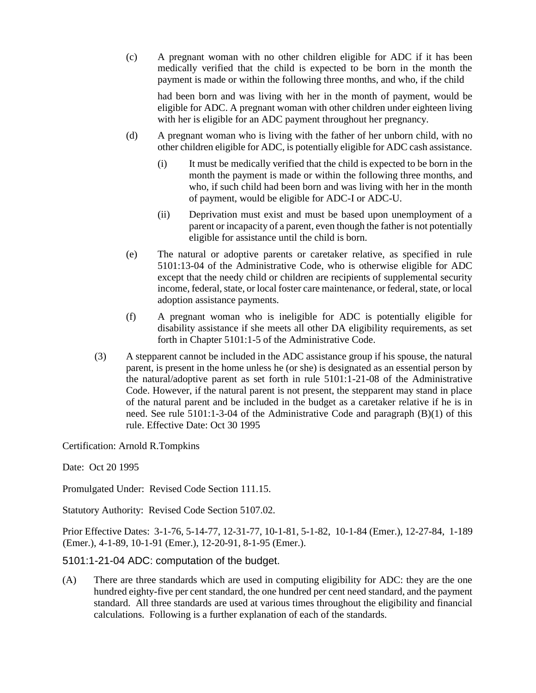(c) A pregnant woman with no other children eligible for ADC if it has been medically verified that the child is expected to be born in the month the payment is made or within the following three months, and who, if the child

had been born and was living with her in the month of payment, would be eligible for ADC. A pregnant woman with other children under eighteen living with her is eligible for an ADC payment throughout her pregnancy.

- (d) A pregnant woman who is living with the father of her unborn child, with no other children eligible for ADC, is potentially eligible for ADC cash assistance.
	- (i) It must be medically verified that the child is expected to be born in the month the payment is made or within the following three months, and who, if such child had been born and was living with her in the month of payment, would be eligible for ADC-I or ADC-U.
	- (ii) Deprivation must exist and must be based upon unemployment of a parent or incapacity of a parent, even though the father is not potentially eligible for assistance until the child is born.
- (e) The natural or adoptive parents or caretaker relative, as specified in rule 5101:13-04 of the Administrative Code, who is otherwise eligible for ADC except that the needy child or children are recipients of supplemental security income, federal, state, or local foster care maintenance, or federal, state, or local adoption assistance payments.
- (f) A pregnant woman who is ineligible for ADC is potentially eligible for disability assistance if she meets all other DA eligibility requirements, as set forth in Chapter 5101:1-5 of the Administrative Code.
- (3) A stepparent cannot be included in the ADC assistance group if his spouse, the natural parent, is present in the home unless he (or she) is designated as an essential person by the natural/adoptive parent as set forth in rule 5101:1-21-08 of the Administrative Code. However, if the natural parent is not present, the stepparent may stand in place of the natural parent and be included in the budget as a caretaker relative if he is in need. See rule 5101:1-3-04 of the Administrative Code and paragraph (B)(1) of this rule. Effective Date: Oct 30 1995

Certification: Arnold R.Tompkins

Date: Oct 20 1995

Promulgated Under: Revised Code Section 111.15.

Statutory Authority: Revised Code Section 5107.02.

Prior Effective Dates: 3-1-76, 5-14-77, 12-31-77, 10-1-81, 5-1-82, 10-1-84 (Emer.), 12-27-84, 1-189 (Emer.), 4-1-89, 10-1-91 (Emer.), 12-20-91, 8-1-95 (Emer.).

### 5101:1-21-04 ADC: computation of the budget.

(A) There are three standards which are used in computing eligibility for ADC: they are the one hundred eighty-five per cent standard, the one hundred per cent need standard, and the payment standard. All three standards are used at various times throughout the eligibility and financial calculations. Following is a further explanation of each of the standards.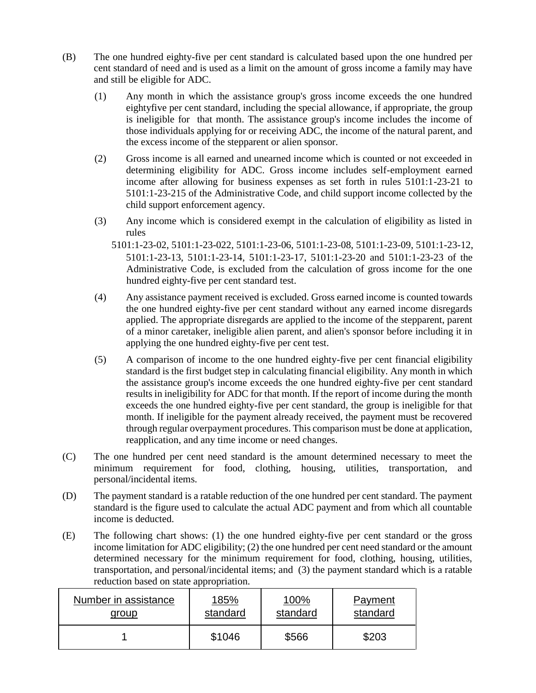- (B) The one hundred eighty-five per cent standard is calculated based upon the one hundred per cent standard of need and is used as a limit on the amount of gross income a family may have and still be eligible for ADC.
	- (1) Any month in which the assistance group's gross income exceeds the one hundred eightyfive per cent standard, including the special allowance, if appropriate, the group is ineligible for that month. The assistance group's income includes the income of those individuals applying for or receiving ADC, the income of the natural parent, and the excess income of the stepparent or alien sponsor.
	- (2) Gross income is all earned and unearned income which is counted or not exceeded in determining eligibility for ADC. Gross income includes self-employment earned income after allowing for business expenses as set forth in rules 5101:1-23-21 to 5101:1-23-215 of the Administrative Code, and child support income collected by the child support enforcement agency.
	- (3) Any income which is considered exempt in the calculation of eligibility as listed in rules
		- 5101:1-23-02, 5101:1-23-022, 5101:1-23-06, 5101:1-23-08, 5101:1-23-09, 5101:1-23-12, 5101:1-23-13, 5101:1-23-14, 5101:1-23-17, 5101:1-23-20 and 5101:1-23-23 of the Administrative Code, is excluded from the calculation of gross income for the one hundred eighty-five per cent standard test.
	- (4) Any assistance payment received is excluded. Gross earned income is counted towards the one hundred eighty-five per cent standard without any earned income disregards applied. The appropriate disregards are applied to the income of the stepparent, parent of a minor caretaker, ineligible alien parent, and alien's sponsor before including it in applying the one hundred eighty-five per cent test.
	- (5) A comparison of income to the one hundred eighty-five per cent financial eligibility standard is the first budget step in calculating financial eligibility. Any month in which the assistance group's income exceeds the one hundred eighty-five per cent standard results in ineligibility for ADC for that month. If the report of income during the month exceeds the one hundred eighty-five per cent standard, the group is ineligible for that month. If ineligible for the payment already received, the payment must be recovered through regular overpayment procedures. This comparison must be done at application, reapplication, and any time income or need changes.
- (C) The one hundred per cent need standard is the amount determined necessary to meet the minimum requirement for food, clothing, housing, utilities, transportation, and personal/incidental items.
- (D) The payment standard is a ratable reduction of the one hundred per cent standard. The payment standard is the figure used to calculate the actual ADC payment and from which all countable income is deducted.
- (E) The following chart shows: (1) the one hundred eighty-five per cent standard or the gross income limitation for ADC eligibility; (2) the one hundred per cent need standard or the amount determined necessary for the minimum requirement for food, clothing, housing, utilities, transportation, and personal/incidental items; and (3) the payment standard which is a ratable reduction based on state appropriation.

| Number in assistance | 185%     | 100%     | <b>Payment</b> |
|----------------------|----------|----------|----------------|
| group                | standard | standard | standard       |
|                      | \$1046   | \$566    | \$203          |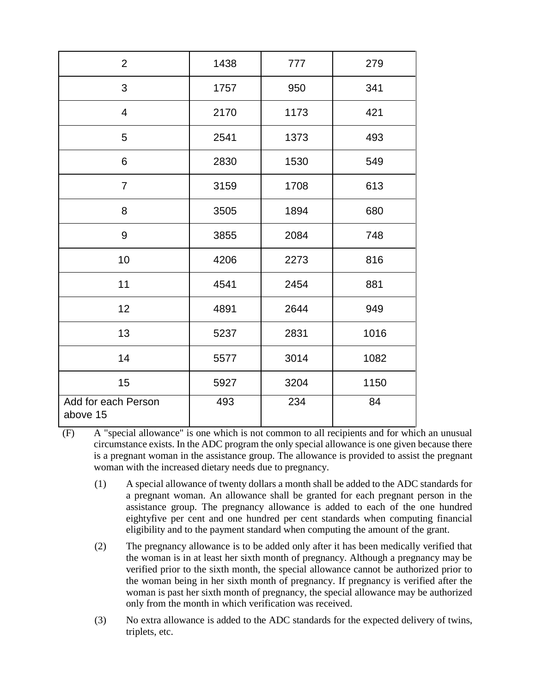| $\overline{2}$                  | 1438 | 777  | 279  |
|---------------------------------|------|------|------|
| $\mathfrak{S}$                  | 1757 | 950  | 341  |
| $\overline{4}$                  | 2170 | 1173 | 421  |
| 5                               | 2541 | 1373 | 493  |
| 6                               | 2830 | 1530 | 549  |
| $\overline{7}$                  | 3159 | 1708 | 613  |
| 8                               | 3505 | 1894 | 680  |
| 9                               | 3855 | 2084 | 748  |
| 10                              | 4206 | 2273 | 816  |
| 11                              | 4541 | 2454 | 881  |
| 12                              | 4891 | 2644 | 949  |
| 13                              | 5237 | 2831 | 1016 |
| 14                              | 5577 | 3014 | 1082 |
| 15                              | 5927 | 3204 | 1150 |
| Add for each Person<br>above 15 | 493  | 234  | 84   |

<sup>(</sup>F) A "special allowance" is one which is not common to all recipients and for which an unusual circumstance exists. In the ADC program the only special allowance is one given because there is a pregnant woman in the assistance group. The allowance is provided to assist the pregnant woman with the increased dietary needs due to pregnancy.

- (1) A special allowance of twenty dollars a month shall be added to the ADC standards for a pregnant woman. An allowance shall be granted for each pregnant person in the assistance group. The pregnancy allowance is added to each of the one hundred eightyfive per cent and one hundred per cent standards when computing financial eligibility and to the payment standard when computing the amount of the grant.
- (2) The pregnancy allowance is to be added only after it has been medically verified that the woman is in at least her sixth month of pregnancy. Although a pregnancy may be verified prior to the sixth month, the special allowance cannot be authorized prior to the woman being in her sixth month of pregnancy. If pregnancy is verified after the woman is past her sixth month of pregnancy, the special allowance may be authorized only from the month in which verification was received.
- (3) No extra allowance is added to the ADC standards for the expected delivery of twins, triplets, etc.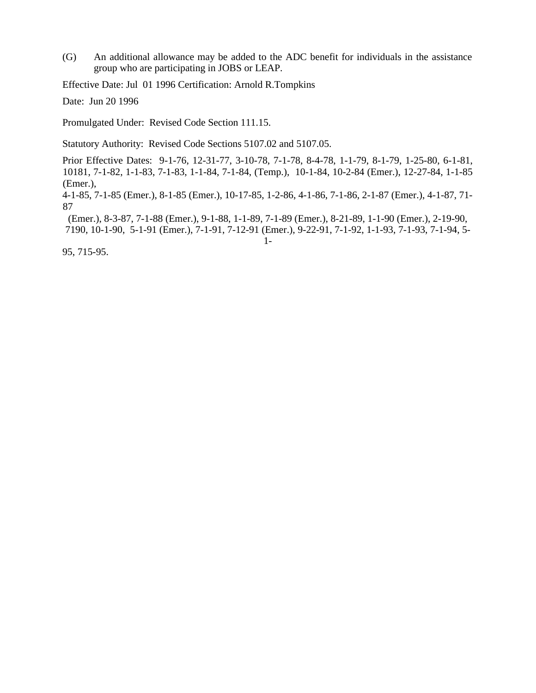(G) An additional allowance may be added to the ADC benefit for individuals in the assistance group who are participating in JOBS or LEAP.

Effective Date: Jul 01 1996 Certification: Arnold R.Tompkins

Date: Jun 20 1996

Promulgated Under: Revised Code Section 111.15.

Statutory Authority: Revised Code Sections 5107.02 and 5107.05.

Prior Effective Dates: 9-1-76, 12-31-77, 3-10-78, 7-1-78, 8-4-78, 1-1-79, 8-1-79, 1-25-80, 6-1-81, 10181, 7-1-82, 1-1-83, 7-1-83, 1-1-84, 7-1-84, (Temp.), 10-1-84, 10-2-84 (Emer.), 12-27-84, 1-1-85 (Emer.),

4-1-85, 7-1-85 (Emer.), 8-1-85 (Emer.), 10-17-85, 1-2-86, 4-1-86, 7-1-86, 2-1-87 (Emer.), 4-1-87, 71- 87

(Emer.), 8-3-87, 7-1-88 (Emer.), 9-1-88, 1-1-89, 7-1-89 (Emer.), 8-21-89, 1-1-90 (Emer.), 2-19-90, 7190, 10-1-90, 5-1-91 (Emer.), 7-1-91, 7-12-91 (Emer.), 9-22-91, 7-1-92, 1-1-93, 7-1-93, 7-1-94, 5- 1-

95, 715-95.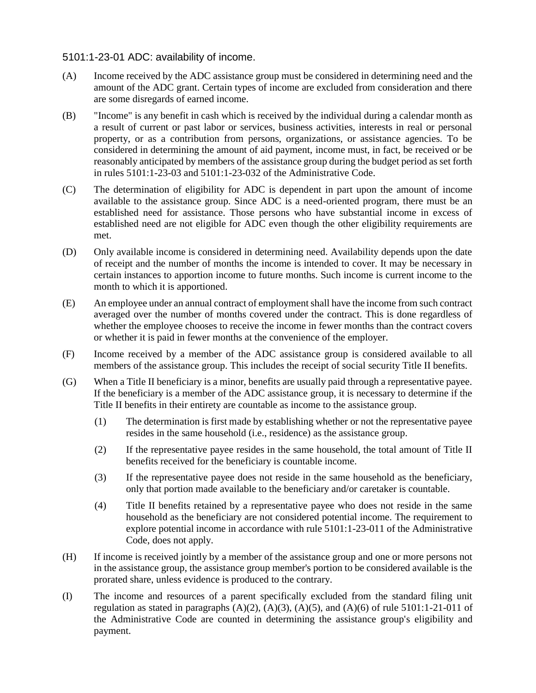### 5101:1-23-01 ADC: availability of income.

- (A) Income received by the ADC assistance group must be considered in determining need and the amount of the ADC grant. Certain types of income are excluded from consideration and there are some disregards of earned income.
- (B) "Income" is any benefit in cash which is received by the individual during a calendar month as a result of current or past labor or services, business activities, interests in real or personal property, or as a contribution from persons, organizations, or assistance agencies. To be considered in determining the amount of aid payment, income must, in fact, be received or be reasonably anticipated by members of the assistance group during the budget period as set forth in rules 5101:1-23-03 and 5101:1-23-032 of the Administrative Code.
- (C) The determination of eligibility for ADC is dependent in part upon the amount of income available to the assistance group. Since ADC is a need-oriented program, there must be an established need for assistance. Those persons who have substantial income in excess of established need are not eligible for ADC even though the other eligibility requirements are met.
- (D) Only available income is considered in determining need. Availability depends upon the date of receipt and the number of months the income is intended to cover. It may be necessary in certain instances to apportion income to future months. Such income is current income to the month to which it is apportioned.
- (E) An employee under an annual contract of employment shall have the income from such contract averaged over the number of months covered under the contract. This is done regardless of whether the employee chooses to receive the income in fewer months than the contract covers or whether it is paid in fewer months at the convenience of the employer.
- (F) Income received by a member of the ADC assistance group is considered available to all members of the assistance group. This includes the receipt of social security Title II benefits.
- (G) When a Title II beneficiary is a minor, benefits are usually paid through a representative payee. If the beneficiary is a member of the ADC assistance group, it is necessary to determine if the Title II benefits in their entirety are countable as income to the assistance group.
	- (1) The determination is first made by establishing whether or not the representative payee resides in the same household (i.e., residence) as the assistance group.
	- (2) If the representative payee resides in the same household, the total amount of Title II benefits received for the beneficiary is countable income.
	- (3) If the representative payee does not reside in the same household as the beneficiary, only that portion made available to the beneficiary and/or caretaker is countable.
	- (4) Title II benefits retained by a representative payee who does not reside in the same household as the beneficiary are not considered potential income. The requirement to explore potential income in accordance with rule 5101:1-23-011 of the Administrative Code, does not apply.
- (H) If income is received jointly by a member of the assistance group and one or more persons not in the assistance group, the assistance group member's portion to be considered available is the prorated share, unless evidence is produced to the contrary.
- (I) The income and resources of a parent specifically excluded from the standard filing unit regulation as stated in paragraphs  $(A)(2)$ ,  $(A)(3)$ ,  $(A)(5)$ , and  $(A)(6)$  of rule 5101:1-21-011 of the Administrative Code are counted in determining the assistance group's eligibility and payment.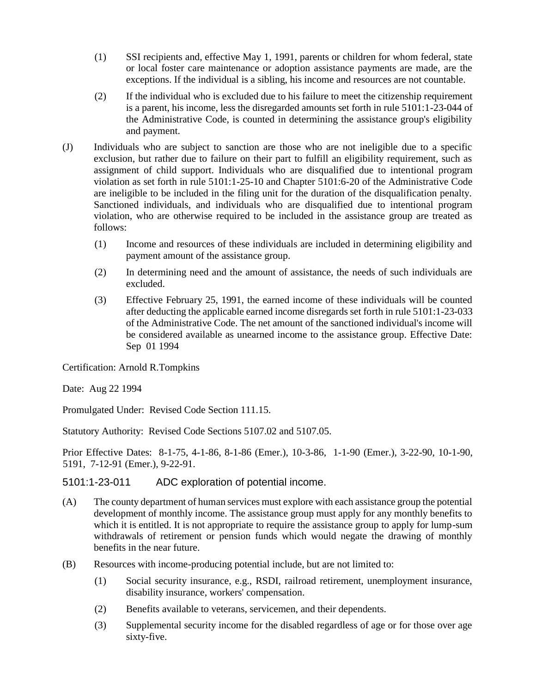- (1) SSI recipients and, effective May 1, 1991, parents or children for whom federal, state or local foster care maintenance or adoption assistance payments are made, are the exceptions. If the individual is a sibling, his income and resources are not countable.
- (2) If the individual who is excluded due to his failure to meet the citizenship requirement is a parent, his income, less the disregarded amounts set forth in rule 5101:1-23-044 of the Administrative Code, is counted in determining the assistance group's eligibility and payment.
- (J) Individuals who are subject to sanction are those who are not ineligible due to a specific exclusion, but rather due to failure on their part to fulfill an eligibility requirement, such as assignment of child support. Individuals who are disqualified due to intentional program violation as set forth in rule 5101:1-25-10 and Chapter 5101:6-20 of the Administrative Code are ineligible to be included in the filing unit for the duration of the disqualification penalty. Sanctioned individuals, and individuals who are disqualified due to intentional program violation, who are otherwise required to be included in the assistance group are treated as follows:
	- (1) Income and resources of these individuals are included in determining eligibility and payment amount of the assistance group.
	- (2) In determining need and the amount of assistance, the needs of such individuals are excluded.
	- (3) Effective February 25, 1991, the earned income of these individuals will be counted after deducting the applicable earned income disregards set forth in rule 5101:1-23-033 of the Administrative Code. The net amount of the sanctioned individual's income will be considered available as unearned income to the assistance group. Effective Date: Sep 01 1994

Certification: Arnold R.Tompkins

Date: Aug 22 1994

Promulgated Under: Revised Code Section 111.15.

Statutory Authority: Revised Code Sections 5107.02 and 5107.05.

Prior Effective Dates: 8-1-75, 4-1-86, 8-1-86 (Emer.), 10-3-86, 1-1-90 (Emer.), 3-22-90, 10-1-90, 5191, 7-12-91 (Emer.), 9-22-91.

5101:1-23-011 ADC exploration of potential income.

- (A) The county department of human services must explore with each assistance group the potential development of monthly income. The assistance group must apply for any monthly benefits to which it is entitled. It is not appropriate to require the assistance group to apply for lump-sum withdrawals of retirement or pension funds which would negate the drawing of monthly benefits in the near future.
- (B) Resources with income-producing potential include, but are not limited to:
	- (1) Social security insurance, e.g., RSDI, railroad retirement, unemployment insurance, disability insurance, workers' compensation.
	- (2) Benefits available to veterans, servicemen, and their dependents.
	- (3) Supplemental security income for the disabled regardless of age or for those over age sixty-five.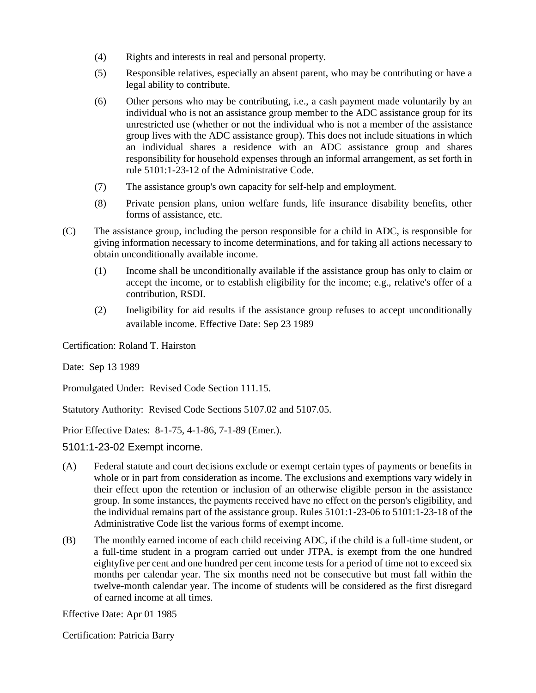- (4) Rights and interests in real and personal property.
- (5) Responsible relatives, especially an absent parent, who may be contributing or have a legal ability to contribute.
- (6) Other persons who may be contributing, i.e., a cash payment made voluntarily by an individual who is not an assistance group member to the ADC assistance group for its unrestricted use (whether or not the individual who is not a member of the assistance group lives with the ADC assistance group). This does not include situations in which an individual shares a residence with an ADC assistance group and shares responsibility for household expenses through an informal arrangement, as set forth in rule 5101:1-23-12 of the Administrative Code.
- (7) The assistance group's own capacity for self-help and employment.
- (8) Private pension plans, union welfare funds, life insurance disability benefits, other forms of assistance, etc.
- (C) The assistance group, including the person responsible for a child in ADC, is responsible for giving information necessary to income determinations, and for taking all actions necessary to obtain unconditionally available income.
	- (1) Income shall be unconditionally available if the assistance group has only to claim or accept the income, or to establish eligibility for the income; e.g., relative's offer of a contribution, RSDI.
	- (2) Ineligibility for aid results if the assistance group refuses to accept unconditionally available income. Effective Date: Sep 23 1989

Certification: Roland T. Hairston

Date: Sep 13 1989

Promulgated Under: Revised Code Section 111.15.

Statutory Authority: Revised Code Sections 5107.02 and 5107.05.

Prior Effective Dates: 8-1-75, 4-1-86, 7-1-89 (Emer.).

5101:1-23-02 Exempt income.

- (A) Federal statute and court decisions exclude or exempt certain types of payments or benefits in whole or in part from consideration as income. The exclusions and exemptions vary widely in their effect upon the retention or inclusion of an otherwise eligible person in the assistance group. In some instances, the payments received have no effect on the person's eligibility, and the individual remains part of the assistance group. Rules 5101:1-23-06 to 5101:1-23-18 of the Administrative Code list the various forms of exempt income.
- (B) The monthly earned income of each child receiving ADC, if the child is a full-time student, or a full-time student in a program carried out under JTPA, is exempt from the one hundred eightyfive per cent and one hundred per cent income tests for a period of time not to exceed six months per calendar year. The six months need not be consecutive but must fall within the twelve-month calendar year. The income of students will be considered as the first disregard of earned income at all times.

Effective Date: Apr 01 1985

Certification: Patricia Barry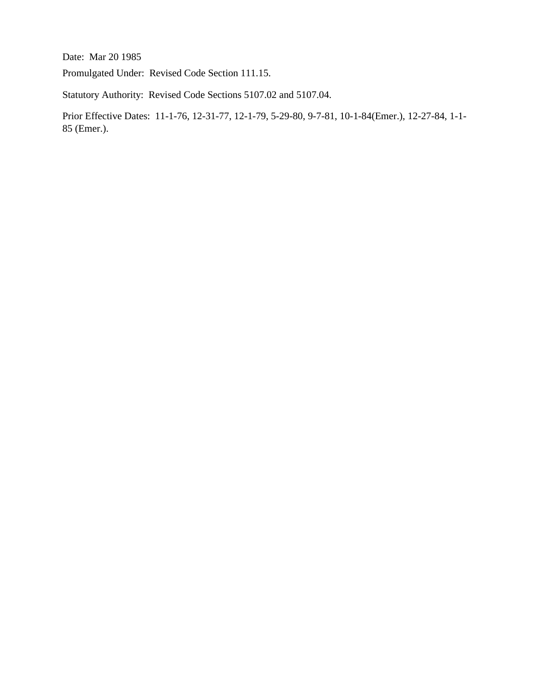Date: Mar 20 1985

Promulgated Under: Revised Code Section 111.15.

Statutory Authority: Revised Code Sections 5107.02 and 5107.04.

Prior Effective Dates: 11-1-76, 12-31-77, 12-1-79, 5-29-80, 9-7-81, 10-1-84(Emer.), 12-27-84, 1-1- 85 (Emer.).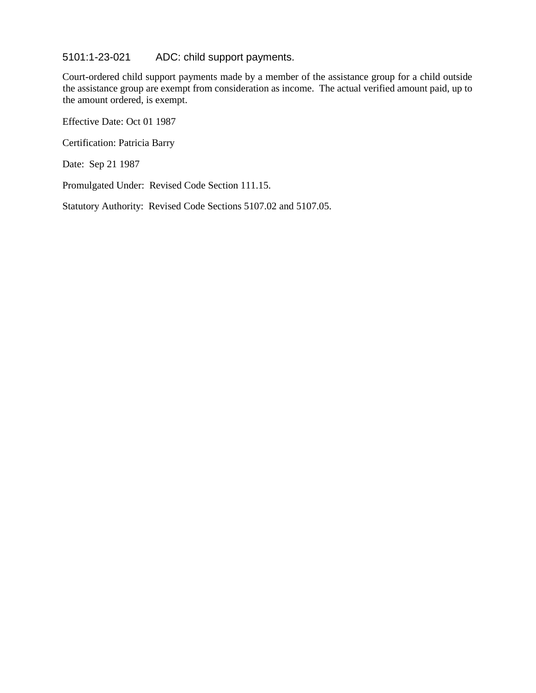5101:1-23-021 ADC: child support payments.

Court-ordered child support payments made by a member of the assistance group for a child outside the assistance group are exempt from consideration as income. The actual verified amount paid, up to the amount ordered, is exempt.

Effective Date: Oct 01 1987

Certification: Patricia Barry

Date: Sep 21 1987

Promulgated Under: Revised Code Section 111.15.

Statutory Authority: Revised Code Sections 5107.02 and 5107.05.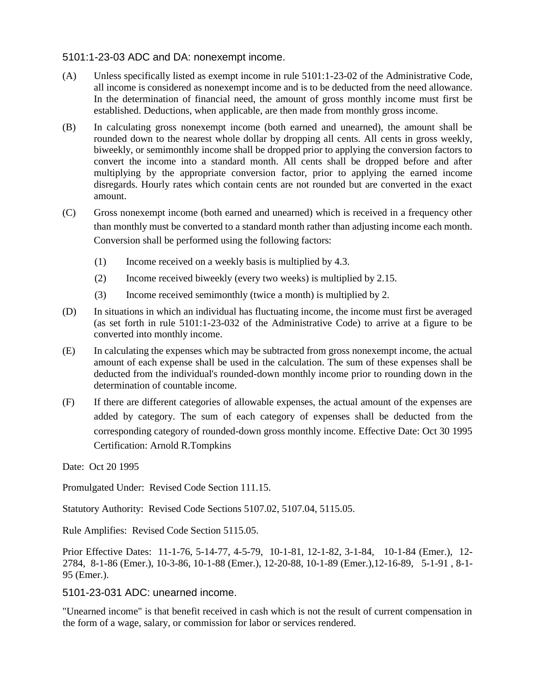## 5101:1-23-03 ADC and DA: nonexempt income.

- (A) Unless specifically listed as exempt income in rule 5101:1-23-02 of the Administrative Code, all income is considered as nonexempt income and is to be deducted from the need allowance. In the determination of financial need, the amount of gross monthly income must first be established. Deductions, when applicable, are then made from monthly gross income.
- (B) In calculating gross nonexempt income (both earned and unearned), the amount shall be rounded down to the nearest whole dollar by dropping all cents. All cents in gross weekly, biweekly, or semimonthly income shall be dropped prior to applying the conversion factors to convert the income into a standard month. All cents shall be dropped before and after multiplying by the appropriate conversion factor, prior to applying the earned income disregards. Hourly rates which contain cents are not rounded but are converted in the exact amount.
- (C) Gross nonexempt income (both earned and unearned) which is received in a frequency other than monthly must be converted to a standard month rather than adjusting income each month. Conversion shall be performed using the following factors:
	- (1) Income received on a weekly basis is multiplied by 4.3.
	- (2) Income received biweekly (every two weeks) is multiplied by 2.15.
	- (3) Income received semimonthly (twice a month) is multiplied by 2.
- (D) In situations in which an individual has fluctuating income, the income must first be averaged (as set forth in rule 5101:1-23-032 of the Administrative Code) to arrive at a figure to be converted into monthly income.
- (E) In calculating the expenses which may be subtracted from gross nonexempt income, the actual amount of each expense shall be used in the calculation. The sum of these expenses shall be deducted from the individual's rounded-down monthly income prior to rounding down in the determination of countable income.
- (F) If there are different categories of allowable expenses, the actual amount of the expenses are added by category. The sum of each category of expenses shall be deducted from the corresponding category of rounded-down gross monthly income. Effective Date: Oct 30 1995 Certification: Arnold R.Tompkins

Date: Oct 20 1995

Promulgated Under: Revised Code Section 111.15.

Statutory Authority: Revised Code Sections 5107.02, 5107.04, 5115.05.

Rule Amplifies: Revised Code Section 5115.05.

Prior Effective Dates: 11-1-76, 5-14-77, 4-5-79, 10-1-81, 12-1-82, 3-1-84, 10-1-84 (Emer.), 12- 2784, 8-1-86 (Emer.), 10-3-86, 10-1-88 (Emer.), 12-20-88, 10-1-89 (Emer.),12-16-89, 5-1-91 , 8-1- 95 (Emer.).

## 5101-23-031 ADC: unearned income.

"Unearned income" is that benefit received in cash which is not the result of current compensation in the form of a wage, salary, or commission for labor or services rendered.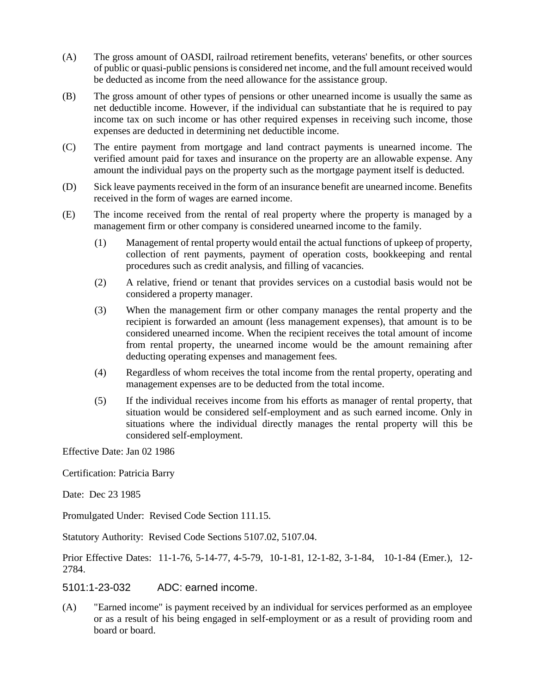- (A) The gross amount of OASDI, railroad retirement benefits, veterans' benefits, or other sources of public or quasi-public pensions is considered net income, and the full amount received would be deducted as income from the need allowance for the assistance group.
- (B) The gross amount of other types of pensions or other unearned income is usually the same as net deductible income. However, if the individual can substantiate that he is required to pay income tax on such income or has other required expenses in receiving such income, those expenses are deducted in determining net deductible income.
- (C) The entire payment from mortgage and land contract payments is unearned income. The verified amount paid for taxes and insurance on the property are an allowable expense. Any amount the individual pays on the property such as the mortgage payment itself is deducted.
- (D) Sick leave payments received in the form of an insurance benefit are unearned income. Benefits received in the form of wages are earned income.
- (E) The income received from the rental of real property where the property is managed by a management firm or other company is considered unearned income to the family.
	- (1) Management of rental property would entail the actual functions of upkeep of property, collection of rent payments, payment of operation costs, bookkeeping and rental procedures such as credit analysis, and filling of vacancies.
	- (2) A relative, friend or tenant that provides services on a custodial basis would not be considered a property manager.
	- (3) When the management firm or other company manages the rental property and the recipient is forwarded an amount (less management expenses), that amount is to be considered unearned income. When the recipient receives the total amount of income from rental property, the unearned income would be the amount remaining after deducting operating expenses and management fees.
	- (4) Regardless of whom receives the total income from the rental property, operating and management expenses are to be deducted from the total income.
	- (5) If the individual receives income from his efforts as manager of rental property, that situation would be considered self-employment and as such earned income. Only in situations where the individual directly manages the rental property will this be considered self-employment.

Effective Date: Jan 02 1986

Certification: Patricia Barry

Date: Dec 23 1985

Promulgated Under: Revised Code Section 111.15.

Statutory Authority: Revised Code Sections 5107.02, 5107.04.

Prior Effective Dates: 11-1-76, 5-14-77, 4-5-79, 10-1-81, 12-1-82, 3-1-84, 10-1-84 (Emer.), 12- 2784.

5101:1-23-032 ADC: earned income.

(A) "Earned income" is payment received by an individual for services performed as an employee or as a result of his being engaged in self-employment or as a result of providing room and board or board.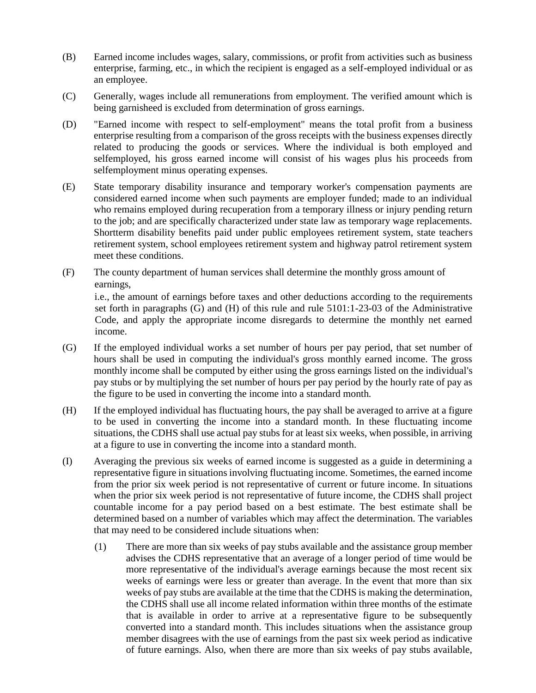- (B) Earned income includes wages, salary, commissions, or profit from activities such as business enterprise, farming, etc., in which the recipient is engaged as a self-employed individual or as an employee.
- (C) Generally, wages include all remunerations from employment. The verified amount which is being garnisheed is excluded from determination of gross earnings.
- (D) "Earned income with respect to self-employment" means the total profit from a business enterprise resulting from a comparison of the gross receipts with the business expenses directly related to producing the goods or services. Where the individual is both employed and selfemployed, his gross earned income will consist of his wages plus his proceeds from selfemployment minus operating expenses.
- (E) State temporary disability insurance and temporary worker's compensation payments are considered earned income when such payments are employer funded; made to an individual who remains employed during recuperation from a temporary illness or injury pending return to the job; and are specifically characterized under state law as temporary wage replacements. Shortterm disability benefits paid under public employees retirement system, state teachers retirement system, school employees retirement system and highway patrol retirement system meet these conditions.
- (F) The county department of human services shall determine the monthly gross amount of earnings, i.e., the amount of earnings before taxes and other deductions according to the requirements

set forth in paragraphs (G) and (H) of this rule and rule 5101:1-23-03 of the Administrative Code, and apply the appropriate income disregards to determine the monthly net earned income.

- (G) If the employed individual works a set number of hours per pay period, that set number of hours shall be used in computing the individual's gross monthly earned income. The gross monthly income shall be computed by either using the gross earnings listed on the individual's pay stubs or by multiplying the set number of hours per pay period by the hourly rate of pay as the figure to be used in converting the income into a standard month.
- (H) If the employed individual has fluctuating hours, the pay shall be averaged to arrive at a figure to be used in converting the income into a standard month. In these fluctuating income situations, the CDHS shall use actual pay stubs for at least six weeks, when possible, in arriving at a figure to use in converting the income into a standard month.
- (I) Averaging the previous six weeks of earned income is suggested as a guide in determining a representative figure in situations involving fluctuating income. Sometimes, the earned income from the prior six week period is not representative of current or future income. In situations when the prior six week period is not representative of future income, the CDHS shall project countable income for a pay period based on a best estimate. The best estimate shall be determined based on a number of variables which may affect the determination. The variables that may need to be considered include situations when:
	- (1) There are more than six weeks of pay stubs available and the assistance group member advises the CDHS representative that an average of a longer period of time would be more representative of the individual's average earnings because the most recent six weeks of earnings were less or greater than average. In the event that more than six weeks of pay stubs are available at the time that the CDHS is making the determination, the CDHS shall use all income related information within three months of the estimate that is available in order to arrive at a representative figure to be subsequently converted into a standard month. This includes situations when the assistance group member disagrees with the use of earnings from the past six week period as indicative of future earnings. Also, when there are more than six weeks of pay stubs available,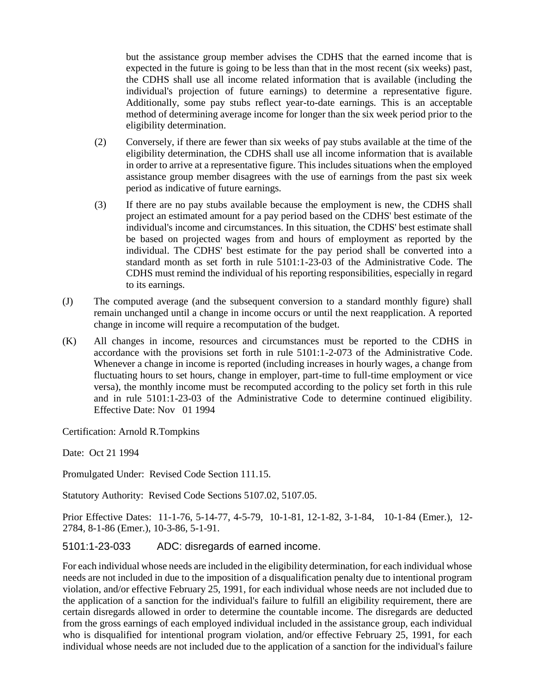but the assistance group member advises the CDHS that the earned income that is expected in the future is going to be less than that in the most recent (six weeks) past, the CDHS shall use all income related information that is available (including the individual's projection of future earnings) to determine a representative figure. Additionally, some pay stubs reflect year-to-date earnings. This is an acceptable method of determining average income for longer than the six week period prior to the eligibility determination.

- (2) Conversely, if there are fewer than six weeks of pay stubs available at the time of the eligibility determination, the CDHS shall use all income information that is available in order to arrive at a representative figure. This includes situations when the employed assistance group member disagrees with the use of earnings from the past six week period as indicative of future earnings.
- (3) If there are no pay stubs available because the employment is new, the CDHS shall project an estimated amount for a pay period based on the CDHS' best estimate of the individual's income and circumstances. In this situation, the CDHS' best estimate shall be based on projected wages from and hours of employment as reported by the individual. The CDHS' best estimate for the pay period shall be converted into a standard month as set forth in rule 5101:1-23-03 of the Administrative Code. The CDHS must remind the individual of his reporting responsibilities, especially in regard to its earnings.
- (J) The computed average (and the subsequent conversion to a standard monthly figure) shall remain unchanged until a change in income occurs or until the next reapplication. A reported change in income will require a recomputation of the budget.
- (K) All changes in income, resources and circumstances must be reported to the CDHS in accordance with the provisions set forth in rule 5101:1-2-073 of the Administrative Code. Whenever a change in income is reported (including increases in hourly wages, a change from fluctuating hours to set hours, change in employer, part-time to full-time employment or vice versa), the monthly income must be recomputed according to the policy set forth in this rule and in rule 5101:1-23-03 of the Administrative Code to determine continued eligibility. Effective Date: Nov 01 1994

Certification: Arnold R.Tompkins

Date: Oct 21 1994

Promulgated Under: Revised Code Section 111.15.

Statutory Authority: Revised Code Sections 5107.02, 5107.05.

Prior Effective Dates: 11-1-76, 5-14-77, 4-5-79, 10-1-81, 12-1-82, 3-1-84, 10-1-84 (Emer.), 12- 2784, 8-1-86 (Emer.), 10-3-86, 5-1-91.

## 5101:1-23-033 ADC: disregards of earned income.

For each individual whose needs are included in the eligibility determination, for each individual whose needs are not included in due to the imposition of a disqualification penalty due to intentional program violation, and/or effective February 25, 1991, for each individual whose needs are not included due to the application of a sanction for the individual's failure to fulfill an eligibility requirement, there are certain disregards allowed in order to determine the countable income. The disregards are deducted from the gross earnings of each employed individual included in the assistance group, each individual who is disqualified for intentional program violation, and/or effective February 25, 1991, for each individual whose needs are not included due to the application of a sanction for the individual's failure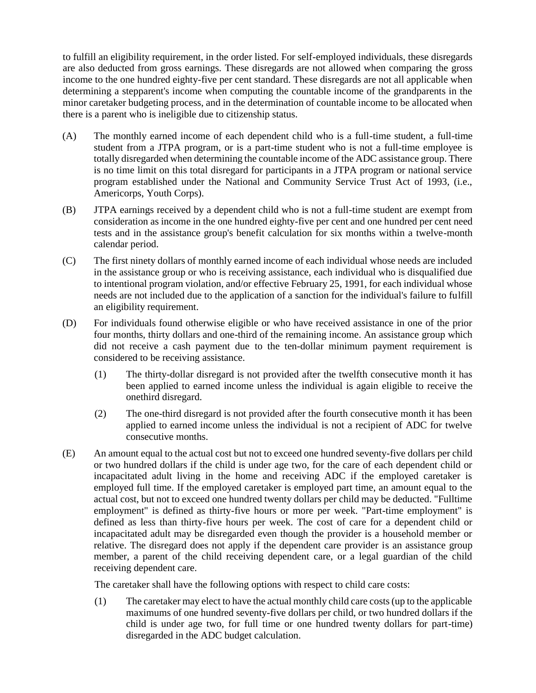to fulfill an eligibility requirement, in the order listed. For self-employed individuals, these disregards are also deducted from gross earnings. These disregards are not allowed when comparing the gross income to the one hundred eighty-five per cent standard. These disregards are not all applicable when determining a stepparent's income when computing the countable income of the grandparents in the minor caretaker budgeting process, and in the determination of countable income to be allocated when there is a parent who is ineligible due to citizenship status.

- (A) The monthly earned income of each dependent child who is a full-time student, a full-time student from a JTPA program, or is a part-time student who is not a full-time employee is totally disregarded when determining the countable income of the ADC assistance group. There is no time limit on this total disregard for participants in a JTPA program or national service program established under the National and Community Service Trust Act of 1993, (i.e., Americorps, Youth Corps).
- (B) JTPA earnings received by a dependent child who is not a full-time student are exempt from consideration as income in the one hundred eighty-five per cent and one hundred per cent need tests and in the assistance group's benefit calculation for six months within a twelve-month calendar period.
- (C) The first ninety dollars of monthly earned income of each individual whose needs are included in the assistance group or who is receiving assistance, each individual who is disqualified due to intentional program violation, and/or effective February 25, 1991, for each individual whose needs are not included due to the application of a sanction for the individual's failure to fulfill an eligibility requirement.
- (D) For individuals found otherwise eligible or who have received assistance in one of the prior four months, thirty dollars and one-third of the remaining income. An assistance group which did not receive a cash payment due to the ten-dollar minimum payment requirement is considered to be receiving assistance.
	- (1) The thirty-dollar disregard is not provided after the twelfth consecutive month it has been applied to earned income unless the individual is again eligible to receive the onethird disregard.
	- (2) The one-third disregard is not provided after the fourth consecutive month it has been applied to earned income unless the individual is not a recipient of ADC for twelve consecutive months.
- (E) An amount equal to the actual cost but not to exceed one hundred seventy-five dollars per child or two hundred dollars if the child is under age two, for the care of each dependent child or incapacitated adult living in the home and receiving ADC if the employed caretaker is employed full time. If the employed caretaker is employed part time, an amount equal to the actual cost, but not to exceed one hundred twenty dollars per child may be deducted. "Fulltime employment" is defined as thirty-five hours or more per week. "Part-time employment" is defined as less than thirty-five hours per week. The cost of care for a dependent child or incapacitated adult may be disregarded even though the provider is a household member or relative. The disregard does not apply if the dependent care provider is an assistance group member, a parent of the child receiving dependent care, or a legal guardian of the child receiving dependent care.

The caretaker shall have the following options with respect to child care costs:

(1) The caretaker may elect to have the actual monthly child care costs (up to the applicable maximums of one hundred seventy-five dollars per child, or two hundred dollars if the child is under age two, for full time or one hundred twenty dollars for part-time) disregarded in the ADC budget calculation.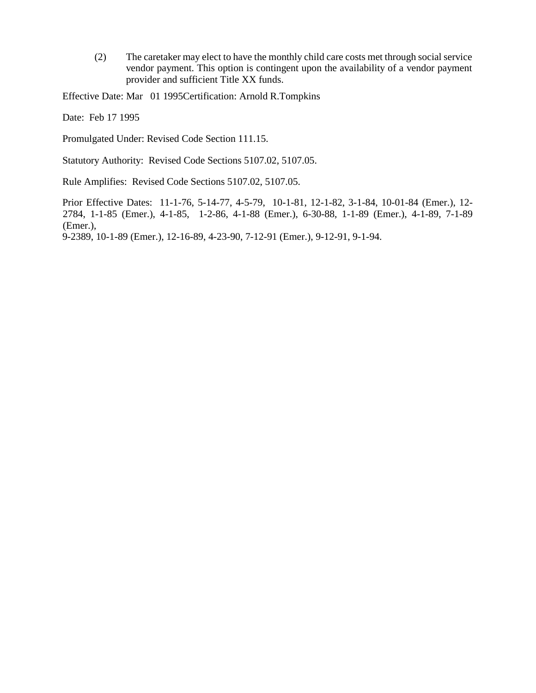(2) The caretaker may elect to have the monthly child care costs met through social service vendor payment. This option is contingent upon the availability of a vendor payment provider and sufficient Title XX funds.

Effective Date: Mar 01 1995Certification: Arnold R.Tompkins

Date: Feb 17 1995

Promulgated Under: Revised Code Section 111.15.

Statutory Authority: Revised Code Sections 5107.02, 5107.05.

Rule Amplifies: Revised Code Sections 5107.02, 5107.05.

Prior Effective Dates: 11-1-76, 5-14-77, 4-5-79, 10-1-81, 12-1-82, 3-1-84, 10-01-84 (Emer.), 12- 2784, 1-1-85 (Emer.), 4-1-85, 1-2-86, 4-1-88 (Emer.), 6-30-88, 1-1-89 (Emer.), 4-1-89, 7-1-89 (Emer.),

9-2389, 10-1-89 (Emer.), 12-16-89, 4-23-90, 7-12-91 (Emer.), 9-12-91, 9-1-94.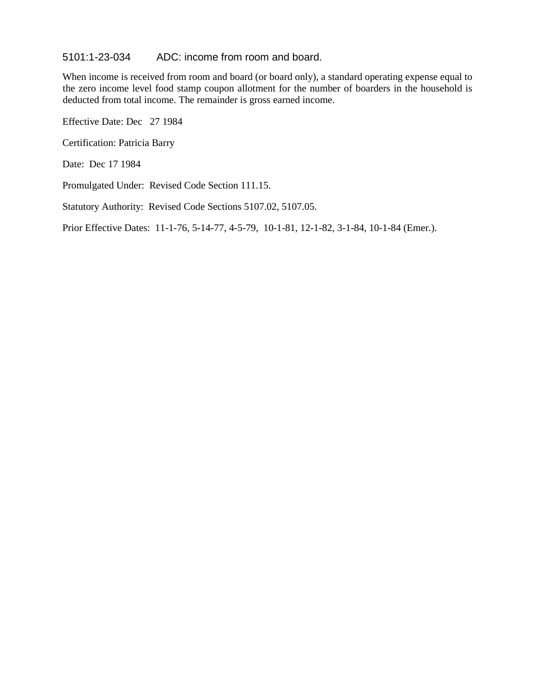#### 5101:1-23-034 ADC: income from room and board.

When income is received from room and board (or board only), a standard operating expense equal to the zero income level food stamp coupon allotment for the number of boarders in the household is deducted from total income. The remainder is gross earned income.

Effective Date: Dec 27 1984

Certification: Patricia Barry

Date: Dec 17 1984

Promulgated Under: Revised Code Section 111.15.

Statutory Authority: Revised Code Sections 5107.02, 5107.05.

Prior Effective Dates: 11-1-76, 5-14-77, 4-5-79, 10-1-81, 12-1-82, 3-1-84, 10-1-84 (Emer.).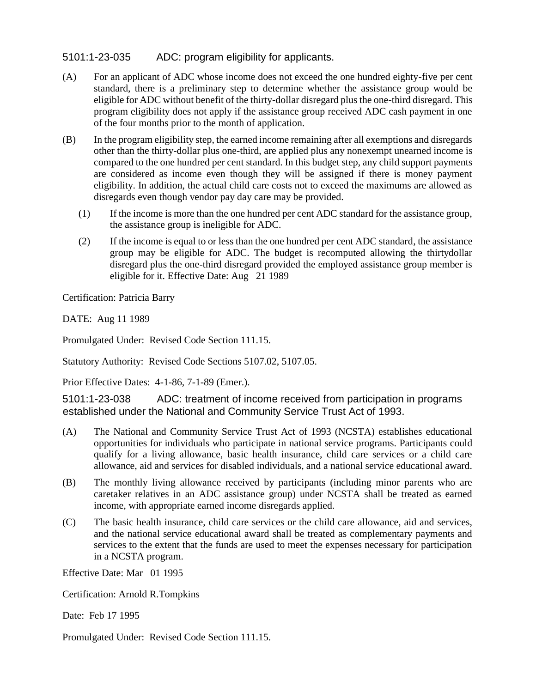# 5101:1-23-035 ADC: program eligibility for applicants.

- (A) For an applicant of ADC whose income does not exceed the one hundred eighty-five per cent standard, there is a preliminary step to determine whether the assistance group would be eligible for ADC without benefit of the thirty-dollar disregard plus the one-third disregard. This program eligibility does not apply if the assistance group received ADC cash payment in one of the four months prior to the month of application.
- (B) In the program eligibility step, the earned income remaining after all exemptions and disregards other than the thirty-dollar plus one-third, are applied plus any nonexempt unearned income is compared to the one hundred per cent standard. In this budget step, any child support payments are considered as income even though they will be assigned if there is money payment eligibility. In addition, the actual child care costs not to exceed the maximums are allowed as disregards even though vendor pay day care may be provided.
	- (1) If the income is more than the one hundred per cent ADC standard for the assistance group, the assistance group is ineligible for ADC.
	- (2) If the income is equal to or less than the one hundred per cent ADC standard, the assistance group may be eligible for ADC. The budget is recomputed allowing the thirtydollar disregard plus the one-third disregard provided the employed assistance group member is eligible for it. Effective Date: Aug 21 1989

Certification: Patricia Barry

DATE: Aug 11 1989

Promulgated Under: Revised Code Section 111.15.

Statutory Authority: Revised Code Sections 5107.02, 5107.05.

Prior Effective Dates: 4-1-86, 7-1-89 (Emer.).

5101:1-23-038 ADC: treatment of income received from participation in programs established under the National and Community Service Trust Act of 1993.

- (A) The National and Community Service Trust Act of 1993 (NCSTA) establishes educational opportunities for individuals who participate in national service programs. Participants could qualify for a living allowance, basic health insurance, child care services or a child care allowance, aid and services for disabled individuals, and a national service educational award.
- (B) The monthly living allowance received by participants (including minor parents who are caretaker relatives in an ADC assistance group) under NCSTA shall be treated as earned income, with appropriate earned income disregards applied.
- (C) The basic health insurance, child care services or the child care allowance, aid and services, and the national service educational award shall be treated as complementary payments and services to the extent that the funds are used to meet the expenses necessary for participation in a NCSTA program.

Effective Date: Mar 01 1995

Certification: Arnold R.Tompkins

Date: Feb 17 1995

Promulgated Under: Revised Code Section 111.15.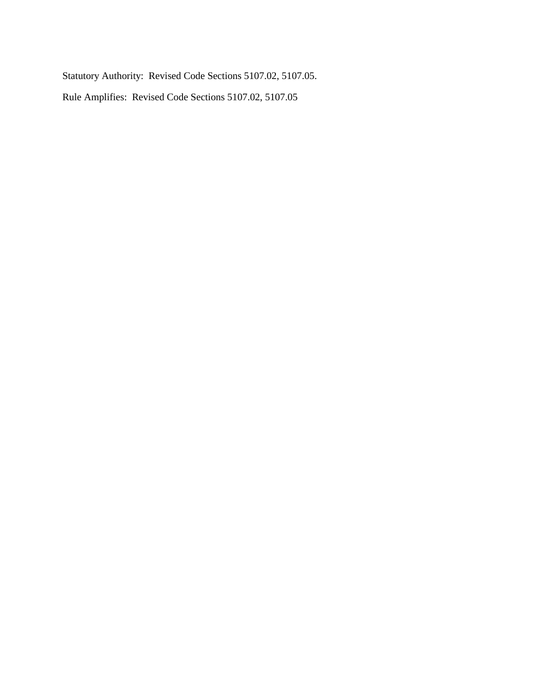Statutory Authority: Revised Code Sections 5107.02, 5107.05.

Rule Amplifies: Revised Code Sections 5107.02, 5107.05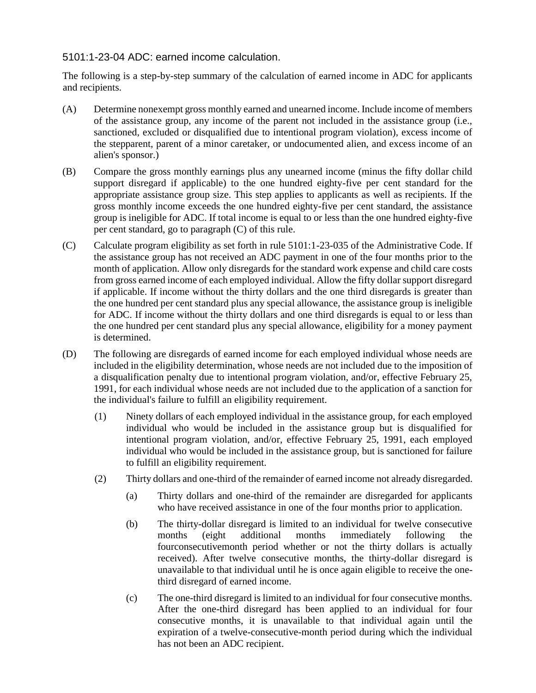# 5101:1-23-04 ADC: earned income calculation.

The following is a step-by-step summary of the calculation of earned income in ADC for applicants and recipients.

- (A) Determine nonexempt gross monthly earned and unearned income. Include income of members of the assistance group, any income of the parent not included in the assistance group (i.e., sanctioned, excluded or disqualified due to intentional program violation), excess income of the stepparent, parent of a minor caretaker, or undocumented alien, and excess income of an alien's sponsor.)
- (B) Compare the gross monthly earnings plus any unearned income (minus the fifty dollar child support disregard if applicable) to the one hundred eighty-five per cent standard for the appropriate assistance group size. This step applies to applicants as well as recipients. If the gross monthly income exceeds the one hundred eighty-five per cent standard, the assistance group is ineligible for ADC. If total income is equal to or less than the one hundred eighty-five per cent standard, go to paragraph (C) of this rule.
- (C) Calculate program eligibility as set forth in rule 5101:1-23-035 of the Administrative Code. If the assistance group has not received an ADC payment in one of the four months prior to the month of application. Allow only disregards for the standard work expense and child care costs from gross earned income of each employed individual. Allow the fifty dollar support disregard if applicable. If income without the thirty dollars and the one third disregards is greater than the one hundred per cent standard plus any special allowance, the assistance group is ineligible for ADC. If income without the thirty dollars and one third disregards is equal to or less than the one hundred per cent standard plus any special allowance, eligibility for a money payment is determined.
- (D) The following are disregards of earned income for each employed individual whose needs are included in the eligibility determination, whose needs are not included due to the imposition of a disqualification penalty due to intentional program violation, and/or, effective February 25, 1991, for each individual whose needs are not included due to the application of a sanction for the individual's failure to fulfill an eligibility requirement.
	- (1) Ninety dollars of each employed individual in the assistance group, for each employed individual who would be included in the assistance group but is disqualified for intentional program violation, and/or, effective February 25, 1991, each employed individual who would be included in the assistance group, but is sanctioned for failure to fulfill an eligibility requirement.
	- (2) Thirty dollars and one-third of the remainder of earned income not already disregarded.
		- (a) Thirty dollars and one-third of the remainder are disregarded for applicants who have received assistance in one of the four months prior to application.
		- (b) The thirty-dollar disregard is limited to an individual for twelve consecutive months (eight additional months immediately following the fourconsecutivemonth period whether or not the thirty dollars is actually received). After twelve consecutive months, the thirty-dollar disregard is unavailable to that individual until he is once again eligible to receive the onethird disregard of earned income.
		- (c) The one-third disregard is limited to an individual for four consecutive months. After the one-third disregard has been applied to an individual for four consecutive months, it is unavailable to that individual again until the expiration of a twelve-consecutive-month period during which the individual has not been an ADC recipient.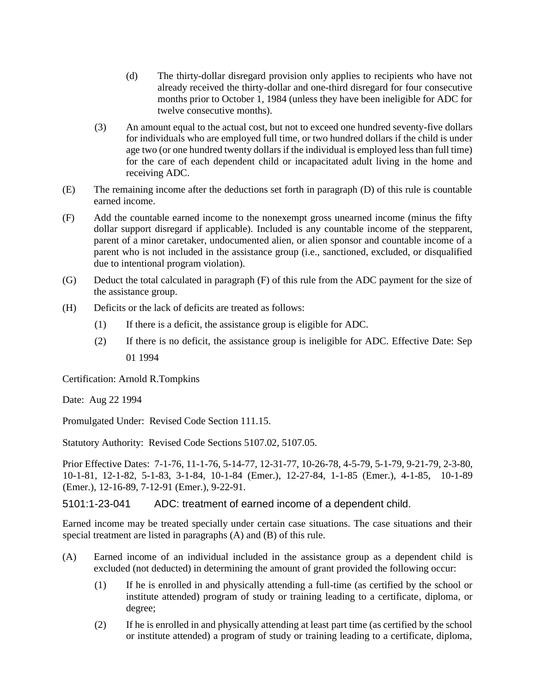- (d) The thirty-dollar disregard provision only applies to recipients who have not already received the thirty-dollar and one-third disregard for four consecutive months prior to October 1, 1984 (unless they have been ineligible for ADC for twelve consecutive months).
- (3) An amount equal to the actual cost, but not to exceed one hundred seventy-five dollars for individuals who are employed full time, or two hundred dollars if the child is under age two (or one hundred twenty dollars if the individual is employed less than full time) for the care of each dependent child or incapacitated adult living in the home and receiving ADC.
- (E) The remaining income after the deductions set forth in paragraph (D) of this rule is countable earned income.
- (F) Add the countable earned income to the nonexempt gross unearned income (minus the fifty dollar support disregard if applicable). Included is any countable income of the stepparent, parent of a minor caretaker, undocumented alien, or alien sponsor and countable income of a parent who is not included in the assistance group (i.e., sanctioned, excluded, or disqualified due to intentional program violation).
- (G) Deduct the total calculated in paragraph (F) of this rule from the ADC payment for the size of the assistance group.
- (H) Deficits or the lack of deficits are treated as follows:
	- (1) If there is a deficit, the assistance group is eligible for ADC.
	- (2) If there is no deficit, the assistance group is ineligible for ADC. Effective Date: Sep 01 1994

Certification: Arnold R.Tompkins

Date: Aug 22 1994

Promulgated Under: Revised Code Section 111.15.

Statutory Authority: Revised Code Sections 5107.02, 5107.05.

Prior Effective Dates: 7-1-76, 11-1-76, 5-14-77, 12-31-77, 10-26-78, 4-5-79, 5-1-79, 9-21-79, 2-3-80, 10-1-81, 12-1-82, 5-1-83, 3-1-84, 10-1-84 (Emer.), 12-27-84, 1-1-85 (Emer.), 4-1-85, 10-1-89 (Emer.), 12-16-89, 7-12-91 (Emer.), 9-22-91.

5101:1-23-041 ADC: treatment of earned income of a dependent child.

Earned income may be treated specially under certain case situations. The case situations and their special treatment are listed in paragraphs (A) and (B) of this rule.

- (A) Earned income of an individual included in the assistance group as a dependent child is excluded (not deducted) in determining the amount of grant provided the following occur:
	- (1) If he is enrolled in and physically attending a full-time (as certified by the school or institute attended) program of study or training leading to a certificate, diploma, or degree;
	- (2) If he is enrolled in and physically attending at least part time (as certified by the school or institute attended) a program of study or training leading to a certificate, diploma,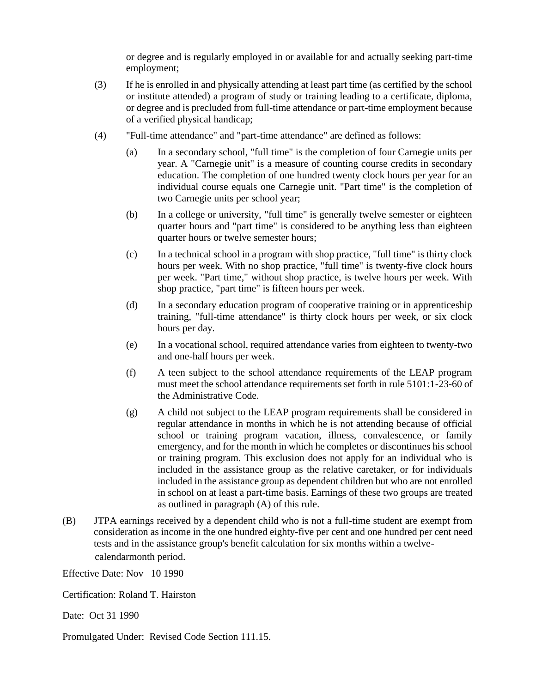or degree and is regularly employed in or available for and actually seeking part-time employment;

- (3) If he is enrolled in and physically attending at least part time (as certified by the school or institute attended) a program of study or training leading to a certificate, diploma, or degree and is precluded from full-time attendance or part-time employment because of a verified physical handicap;
- (4) "Full-time attendance" and "part-time attendance" are defined as follows:
	- (a) In a secondary school, "full time" is the completion of four Carnegie units per year. A "Carnegie unit" is a measure of counting course credits in secondary education. The completion of one hundred twenty clock hours per year for an individual course equals one Carnegie unit. "Part time" is the completion of two Carnegie units per school year;
	- (b) In a college or university, "full time" is generally twelve semester or eighteen quarter hours and "part time" is considered to be anything less than eighteen quarter hours or twelve semester hours;
	- (c) In a technical school in a program with shop practice, "full time" is thirty clock hours per week. With no shop practice, "full time" is twenty-five clock hours per week. "Part time," without shop practice, is twelve hours per week. With shop practice, "part time" is fifteen hours per week.
	- (d) In a secondary education program of cooperative training or in apprenticeship training, "full-time attendance" is thirty clock hours per week, or six clock hours per day.
	- (e) In a vocational school, required attendance varies from eighteen to twenty-two and one-half hours per week.
	- (f) A teen subject to the school attendance requirements of the LEAP program must meet the school attendance requirements set forth in rule 5101:1-23-60 of the Administrative Code.
	- (g) A child not subject to the LEAP program requirements shall be considered in regular attendance in months in which he is not attending because of official school or training program vacation, illness, convalescence, or family emergency, and for the month in which he completes or discontinues his school or training program. This exclusion does not apply for an individual who is included in the assistance group as the relative caretaker, or for individuals included in the assistance group as dependent children but who are not enrolled in school on at least a part-time basis. Earnings of these two groups are treated as outlined in paragraph (A) of this rule.
- (B) JTPA earnings received by a dependent child who is not a full-time student are exempt from consideration as income in the one hundred eighty-five per cent and one hundred per cent need tests and in the assistance group's benefit calculation for six months within a twelvecalendarmonth period.

Effective Date: Nov 10 1990

Certification: Roland T. Hairston

Date: Oct 31 1990

Promulgated Under: Revised Code Section 111.15.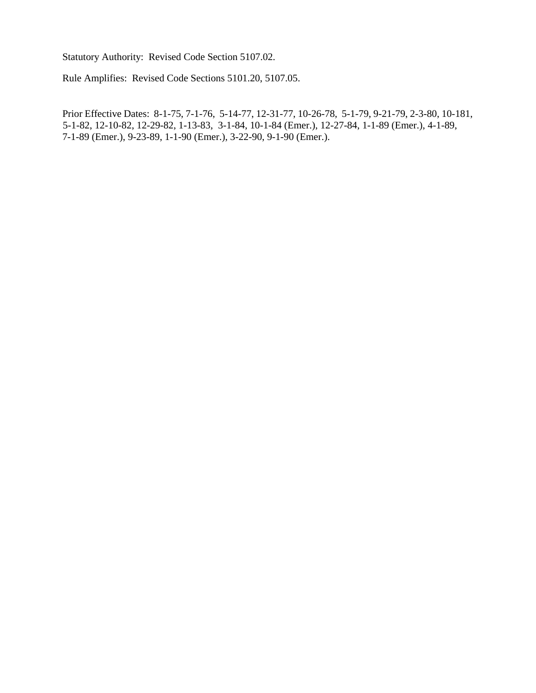Statutory Authority: Revised Code Section 5107.02.

Rule Amplifies: Revised Code Sections 5101.20, 5107.05.

Prior Effective Dates: 8-1-75, 7-1-76, 5-14-77, 12-31-77, 10-26-78, 5-1-79, 9-21-79, 2-3-80, 10-181, 5-1-82, 12-10-82, 12-29-82, 1-13-83, 3-1-84, 10-1-84 (Emer.), 12-27-84, 1-1-89 (Emer.), 4-1-89, 7-1-89 (Emer.), 9-23-89, 1-1-90 (Emer.), 3-22-90, 9-1-90 (Emer.).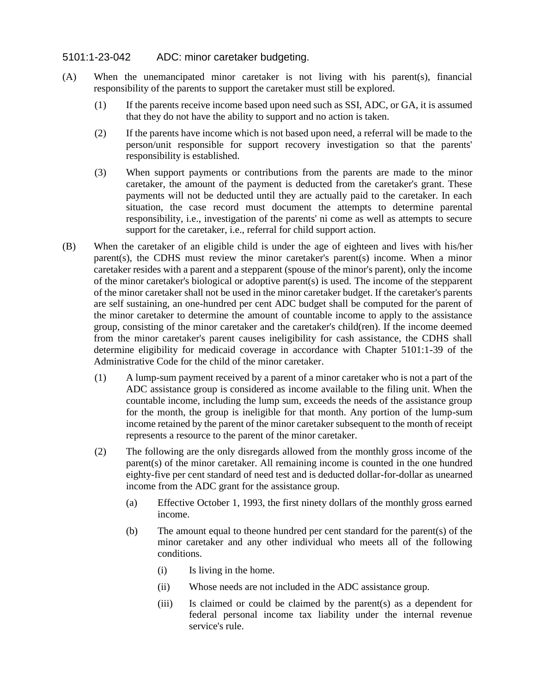## 5101:1-23-042 ADC: minor caretaker budgeting.

- (A) When the unemancipated minor caretaker is not living with his parent(s), financial responsibility of the parents to support the caretaker must still be explored.
	- (1) If the parents receive income based upon need such as SSI, ADC, or GA, it is assumed that they do not have the ability to support and no action is taken.
	- (2) If the parents have income which is not based upon need, a referral will be made to the person/unit responsible for support recovery investigation so that the parents' responsibility is established.
	- (3) When support payments or contributions from the parents are made to the minor caretaker, the amount of the payment is deducted from the caretaker's grant. These payments will not be deducted until they are actually paid to the caretaker. In each situation, the case record must document the attempts to determine parental responsibility, i.e., investigation of the parents' ni come as well as attempts to secure support for the caretaker, i.e., referral for child support action.
- (B) When the caretaker of an eligible child is under the age of eighteen and lives with his/her parent(s), the CDHS must review the minor caretaker's parent(s) income. When a minor caretaker resides with a parent and a stepparent (spouse of the minor's parent), only the income of the minor caretaker's biological or adoptive parent(s) is used. The income of the stepparent of the minor caretaker shall not be used in the minor caretaker budget. If the caretaker's parents are self sustaining, an one-hundred per cent ADC budget shall be computed for the parent of the minor caretaker to determine the amount of countable income to apply to the assistance group, consisting of the minor caretaker and the caretaker's child(ren). If the income deemed from the minor caretaker's parent causes ineligibility for cash assistance, the CDHS shall determine eligibility for medicaid coverage in accordance with Chapter 5101:1-39 of the Administrative Code for the child of the minor caretaker.
	- (1) A lump-sum payment received by a parent of a minor caretaker who is not a part of the ADC assistance group is considered as income available to the filing unit. When the countable income, including the lump sum, exceeds the needs of the assistance group for the month, the group is ineligible for that month. Any portion of the lump-sum income retained by the parent of the minor caretaker subsequent to the month of receipt represents a resource to the parent of the minor caretaker.
	- (2) The following are the only disregards allowed from the monthly gross income of the parent(s) of the minor caretaker. All remaining income is counted in the one hundred eighty-five per cent standard of need test and is deducted dollar-for-dollar as unearned income from the ADC grant for the assistance group.
		- (a) Effective October 1, 1993, the first ninety dollars of the monthly gross earned income.
		- (b) The amount equal to theone hundred per cent standard for the parent(s) of the minor caretaker and any other individual who meets all of the following conditions.
			- (i) Is living in the home.
			- (ii) Whose needs are not included in the ADC assistance group.
			- (iii) Is claimed or could be claimed by the parent(s) as a dependent for federal personal income tax liability under the internal revenue service's rule.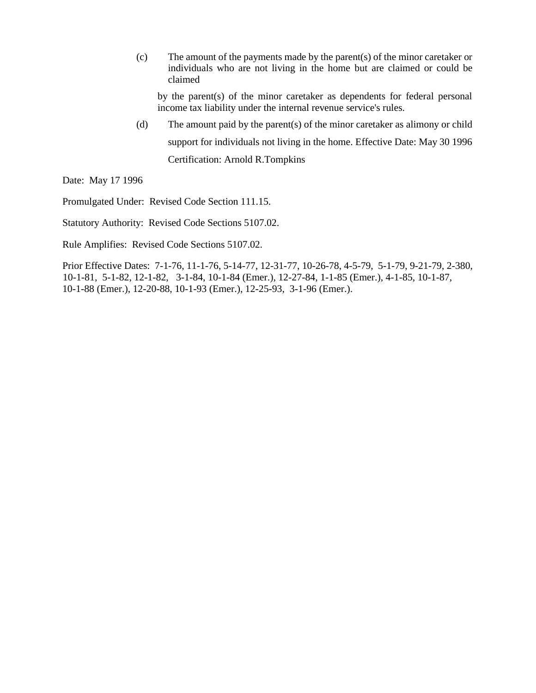(c) The amount of the payments made by the parent(s) of the minor caretaker or individuals who are not living in the home but are claimed or could be claimed

by the parent(s) of the minor caretaker as dependents for federal personal income tax liability under the internal revenue service's rules.

(d) The amount paid by the parent(s) of the minor caretaker as alimony or child support for individuals not living in the home. Effective Date: May 30 1996 Certification: Arnold R.Tompkins

Date: May 17 1996

Promulgated Under: Revised Code Section 111.15.

Statutory Authority: Revised Code Sections 5107.02.

Rule Amplifies: Revised Code Sections 5107.02.

Prior Effective Dates: 7-1-76, 11-1-76, 5-14-77, 12-31-77, 10-26-78, 4-5-79, 5-1-79, 9-21-79, 2-380, 10-1-81, 5-1-82, 12-1-82, 3-1-84, 10-1-84 (Emer.), 12-27-84, 1-1-85 (Emer.), 4-1-85, 10-1-87, 10-1-88 (Emer.), 12-20-88, 10-1-93 (Emer.), 12-25-93, 3-1-96 (Emer.).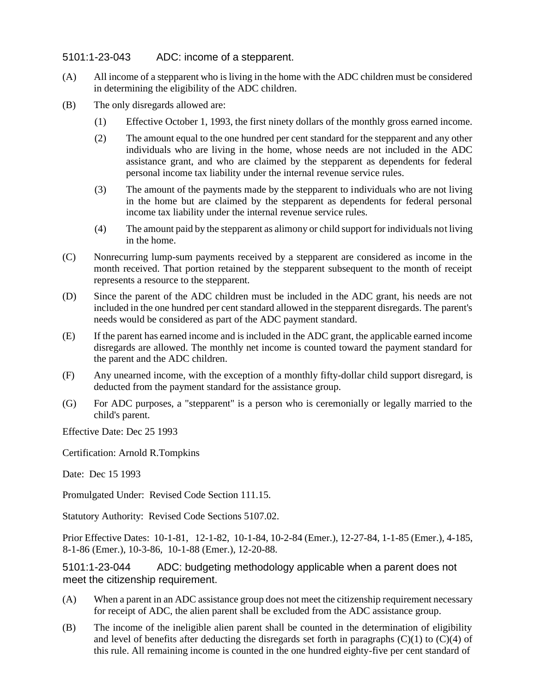# 5101:1-23-043 ADC: income of a stepparent.

- (A) All income of a stepparent who is living in the home with the ADC children must be considered in determining the eligibility of the ADC children.
- (B) The only disregards allowed are:
	- (1) Effective October 1, 1993, the first ninety dollars of the monthly gross earned income.
	- (2) The amount equal to the one hundred per cent standard for the stepparent and any other individuals who are living in the home, whose needs are not included in the ADC assistance grant, and who are claimed by the stepparent as dependents for federal personal income tax liability under the internal revenue service rules.
	- (3) The amount of the payments made by the stepparent to individuals who are not living in the home but are claimed by the stepparent as dependents for federal personal income tax liability under the internal revenue service rules.
	- (4) The amount paid by the stepparent as alimony or child support for individuals not living in the home.
- (C) Nonrecurring lump-sum payments received by a stepparent are considered as income in the month received. That portion retained by the stepparent subsequent to the month of receipt represents a resource to the stepparent.
- (D) Since the parent of the ADC children must be included in the ADC grant, his needs are not included in the one hundred per cent standard allowed in the stepparent disregards. The parent's needs would be considered as part of the ADC payment standard.
- (E) If the parent has earned income and is included in the ADC grant, the applicable earned income disregards are allowed. The monthly net income is counted toward the payment standard for the parent and the ADC children.
- (F) Any unearned income, with the exception of a monthly fifty-dollar child support disregard, is deducted from the payment standard for the assistance group.
- (G) For ADC purposes, a "stepparent" is a person who is ceremonially or legally married to the child's parent.

Effective Date: Dec 25 1993

Certification: Arnold R.Tompkins

Date: Dec 15 1993

Promulgated Under: Revised Code Section 111.15.

Statutory Authority: Revised Code Sections 5107.02.

Prior Effective Dates: 10-1-81, 12-1-82, 10-1-84, 10-2-84 (Emer.), 12-27-84, 1-1-85 (Emer.), 4-185, 8-1-86 (Emer.), 10-3-86, 10-1-88 (Emer.), 12-20-88.

5101:1-23-044 ADC: budgeting methodology applicable when a parent does not meet the citizenship requirement.

- (A) When a parent in an ADC assistance group does not meet the citizenship requirement necessary for receipt of ADC, the alien parent shall be excluded from the ADC assistance group.
- (B) The income of the ineligible alien parent shall be counted in the determination of eligibility and level of benefits after deducting the disregards set forth in paragraphs  $(C)(1)$  to  $(C)(4)$  of this rule. All remaining income is counted in the one hundred eighty-five per cent standard of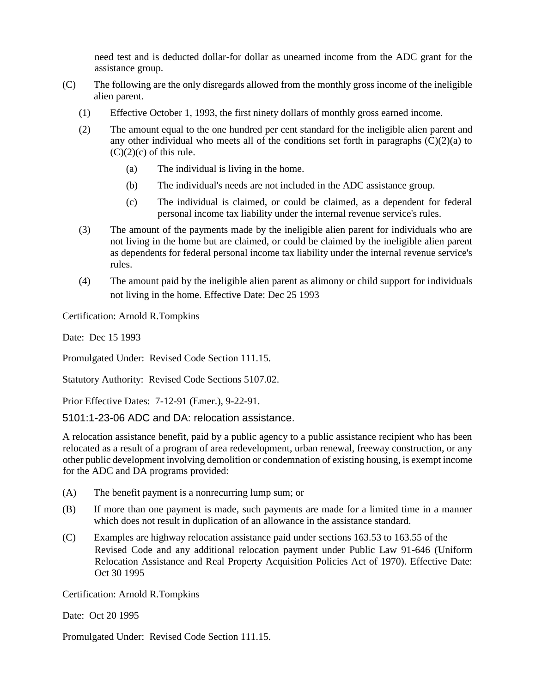need test and is deducted dollar-for dollar as unearned income from the ADC grant for the assistance group.

- (C) The following are the only disregards allowed from the monthly gross income of the ineligible alien parent.
	- (1) Effective October 1, 1993, the first ninety dollars of monthly gross earned income.
	- (2) The amount equal to the one hundred per cent standard for the ineligible alien parent and any other individual who meets all of the conditions set forth in paragraphs  $(C)(2)(a)$  to  $(C)(2)(c)$  of this rule.
		- (a) The individual is living in the home.
		- (b) The individual's needs are not included in the ADC assistance group.
		- (c) The individual is claimed, or could be claimed, as a dependent for federal personal income tax liability under the internal revenue service's rules.
	- (3) The amount of the payments made by the ineligible alien parent for individuals who are not living in the home but are claimed, or could be claimed by the ineligible alien parent as dependents for federal personal income tax liability under the internal revenue service's rules.
	- (4) The amount paid by the ineligible alien parent as alimony or child support for individuals not living in the home. Effective Date: Dec 25 1993

Certification: Arnold R.Tompkins

Date: Dec 15 1993

Promulgated Under: Revised Code Section 111.15.

Statutory Authority: Revised Code Sections 5107.02.

Prior Effective Dates: 7-12-91 (Emer.), 9-22-91.

5101:1-23-06 ADC and DA: relocation assistance.

A relocation assistance benefit, paid by a public agency to a public assistance recipient who has been relocated as a result of a program of area redevelopment, urban renewal, freeway construction, or any other public development involving demolition or condemnation of existing housing, is exempt income for the ADC and DA programs provided:

- (A) The benefit payment is a nonrecurring lump sum; or
- (B) If more than one payment is made, such payments are made for a limited time in a manner which does not result in duplication of an allowance in the assistance standard.
- (C) Examples are highway relocation assistance paid under sections 163.53 to 163.55 of the Revised Code and any additional relocation payment under Public Law 91-646 (Uniform Relocation Assistance and Real Property Acquisition Policies Act of 1970). Effective Date: Oct 30 1995

Certification: Arnold R.Tompkins

Date: Oct 20 1995

Promulgated Under: Revised Code Section 111.15.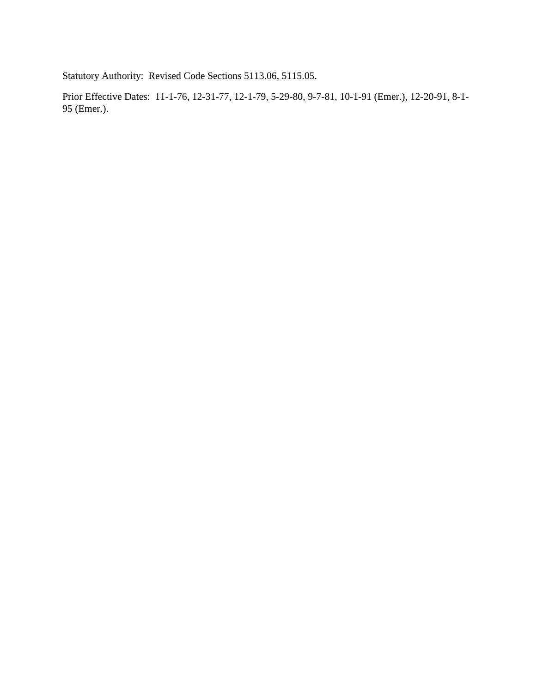Statutory Authority: Revised Code Sections 5113.06, 5115.05.

Prior Effective Dates: 11-1-76, 12-31-77, 12-1-79, 5-29-80, 9-7-81, 10-1-91 (Emer.), 12-20-91, 8-1- 95 (Emer.).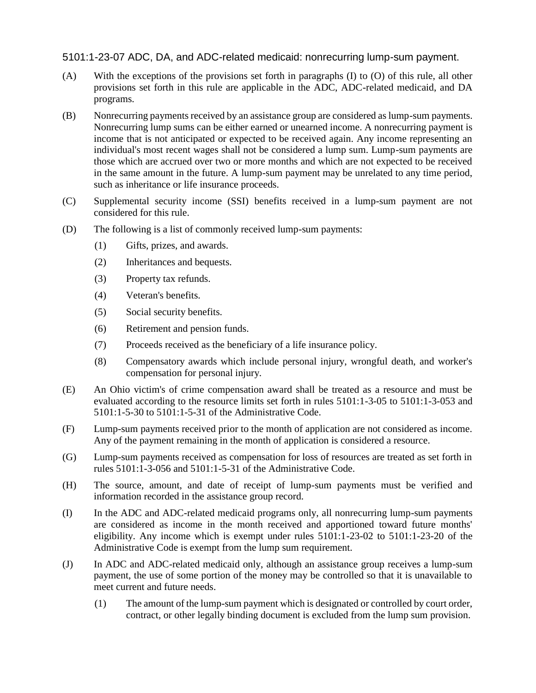5101:1-23-07 ADC, DA, and ADC-related medicaid: nonrecurring lump-sum payment.

- (A) With the exceptions of the provisions set forth in paragraphs (I) to (O) of this rule, all other provisions set forth in this rule are applicable in the ADC, ADC-related medicaid, and DA programs.
- (B) Nonrecurring payments received by an assistance group are considered as lump-sum payments. Nonrecurring lump sums can be either earned or unearned income. A nonrecurring payment is income that is not anticipated or expected to be received again. Any income representing an individual's most recent wages shall not be considered a lump sum. Lump-sum payments are those which are accrued over two or more months and which are not expected to be received in the same amount in the future. A lump-sum payment may be unrelated to any time period, such as inheritance or life insurance proceeds.
- (C) Supplemental security income (SSI) benefits received in a lump-sum payment are not considered for this rule.
- (D) The following is a list of commonly received lump-sum payments:
	- (1) Gifts, prizes, and awards.
	- (2) Inheritances and bequests.
	- (3) Property tax refunds.
	- (4) Veteran's benefits.
	- (5) Social security benefits.
	- (6) Retirement and pension funds.
	- (7) Proceeds received as the beneficiary of a life insurance policy.
	- (8) Compensatory awards which include personal injury, wrongful death, and worker's compensation for personal injury.
- (E) An Ohio victim's of crime compensation award shall be treated as a resource and must be evaluated according to the resource limits set forth in rules 5101:1-3-05 to 5101:1-3-053 and 5101:1-5-30 to 5101:1-5-31 of the Administrative Code.
- (F) Lump-sum payments received prior to the month of application are not considered as income. Any of the payment remaining in the month of application is considered a resource.
- (G) Lump-sum payments received as compensation for loss of resources are treated as set forth in rules 5101:1-3-056 and 5101:1-5-31 of the Administrative Code.
- (H) The source, amount, and date of receipt of lump-sum payments must be verified and information recorded in the assistance group record.
- (I) In the ADC and ADC-related medicaid programs only, all nonrecurring lump-sum payments are considered as income in the month received and apportioned toward future months' eligibility. Any income which is exempt under rules  $5101:1-23-02$  to  $5101:1-23-20$  of the Administrative Code is exempt from the lump sum requirement.
- (J) In ADC and ADC-related medicaid only, although an assistance group receives a lump-sum payment, the use of some portion of the money may be controlled so that it is unavailable to meet current and future needs.
	- (1) The amount of the lump-sum payment which is designated or controlled by court order, contract, or other legally binding document is excluded from the lump sum provision.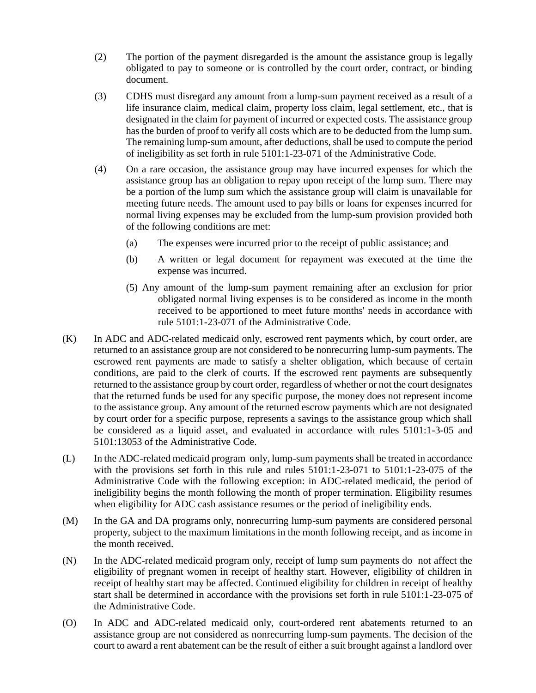- (2) The portion of the payment disregarded is the amount the assistance group is legally obligated to pay to someone or is controlled by the court order, contract, or binding document.
- (3) CDHS must disregard any amount from a lump-sum payment received as a result of a life insurance claim, medical claim, property loss claim, legal settlement, etc., that is designated in the claim for payment of incurred or expected costs. The assistance group has the burden of proof to verify all costs which are to be deducted from the lump sum. The remaining lump-sum amount, after deductions, shall be used to compute the period of ineligibility as set forth in rule 5101:1-23-071 of the Administrative Code.
- (4) On a rare occasion, the assistance group may have incurred expenses for which the assistance group has an obligation to repay upon receipt of the lump sum. There may be a portion of the lump sum which the assistance group will claim is unavailable for meeting future needs. The amount used to pay bills or loans for expenses incurred for normal living expenses may be excluded from the lump-sum provision provided both of the following conditions are met:
	- (a) The expenses were incurred prior to the receipt of public assistance; and
	- (b) A written or legal document for repayment was executed at the time the expense was incurred.
	- (5) Any amount of the lump-sum payment remaining after an exclusion for prior obligated normal living expenses is to be considered as income in the month received to be apportioned to meet future months' needs in accordance with rule 5101:1-23-071 of the Administrative Code.
- (K) In ADC and ADC-related medicaid only, escrowed rent payments which, by court order, are returned to an assistance group are not considered to be nonrecurring lump-sum payments. The escrowed rent payments are made to satisfy a shelter obligation, which because of certain conditions, are paid to the clerk of courts. If the escrowed rent payments are subsequently returned to the assistance group by court order, regardless of whether or not the court designates that the returned funds be used for any specific purpose, the money does not represent income to the assistance group. Any amount of the returned escrow payments which are not designated by court order for a specific purpose, represents a savings to the assistance group which shall be considered as a liquid asset, and evaluated in accordance with rules 5101:1-3-05 and 5101:13053 of the Administrative Code.
- (L) In the ADC-related medicaid program only, lump-sum payments shall be treated in accordance with the provisions set forth in this rule and rules 5101:1-23-071 to 5101:1-23-075 of the Administrative Code with the following exception: in ADC-related medicaid, the period of ineligibility begins the month following the month of proper termination. Eligibility resumes when eligibility for ADC cash assistance resumes or the period of ineligibility ends.
- (M) In the GA and DA programs only, nonrecurring lump-sum payments are considered personal property, subject to the maximum limitations in the month following receipt, and as income in the month received.
- (N) In the ADC-related medicaid program only, receipt of lump sum payments do not affect the eligibility of pregnant women in receipt of healthy start. However, eligibility of children in receipt of healthy start may be affected. Continued eligibility for children in receipt of healthy start shall be determined in accordance with the provisions set forth in rule 5101:1-23-075 of the Administrative Code.
- (O) In ADC and ADC-related medicaid only, court-ordered rent abatements returned to an assistance group are not considered as nonrecurring lump-sum payments. The decision of the court to award a rent abatement can be the result of either a suit brought against a landlord over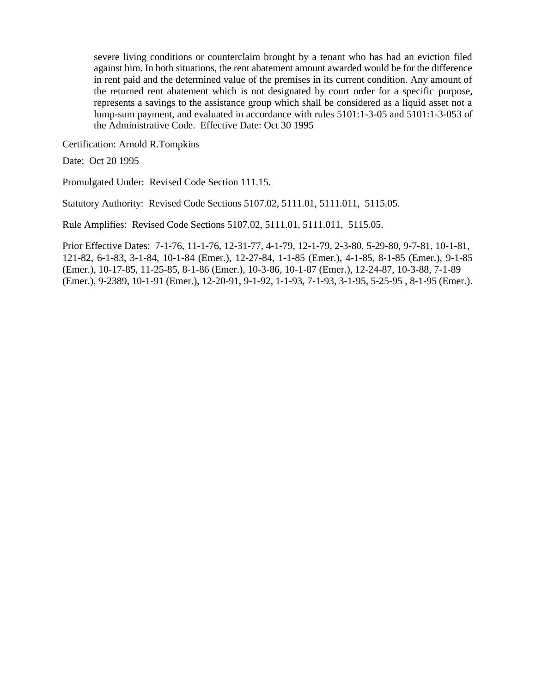severe living conditions or counterclaim brought by a tenant who has had an eviction filed against him. In both situations, the rent abatement amount awarded would be for the difference in rent paid and the determined value of the premises in its current condition. Any amount of the returned rent abatement which is not designated by court order for a specific purpose, represents a savings to the assistance group which shall be considered as a liquid asset not a lump-sum payment, and evaluated in accordance with rules 5101:1-3-05 and 5101:1-3-053 of the Administrative Code. Effective Date: Oct 30 1995

Certification: Arnold R.Tompkins

Date: Oct 20 1995

Promulgated Under: Revised Code Section 111.15.

Statutory Authority: Revised Code Sections 5107.02, 5111.01, 5111.011, 5115.05.

Rule Amplifies: Revised Code Sections 5107.02, 5111.01, 5111.011, 5115.05.

Prior Effective Dates: 7-1-76, 11-1-76, 12-31-77, 4-1-79, 12-1-79, 2-3-80, 5-29-80, 9-7-81, 10-1-81, 121-82, 6-1-83, 3-1-84, 10-1-84 (Emer.), 12-27-84, 1-1-85 (Emer.), 4-1-85, 8-1-85 (Emer.), 9-1-85 (Emer.), 10-17-85, 11-25-85, 8-1-86 (Emer.), 10-3-86, 10-1-87 (Emer.), 12-24-87, 10-3-88, 7-1-89 (Emer.), 9-2389, 10-1-91 (Emer.), 12-20-91, 9-1-92, 1-1-93, 7-1-93, 3-1-95, 5-25-95 , 8-1-95 (Emer.).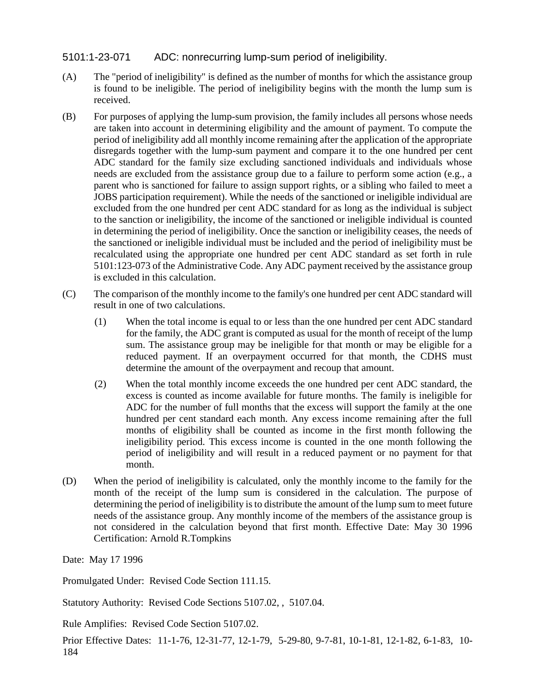# 5101:1-23-071 ADC: nonrecurring lump-sum period of ineligibility.

- (A) The "period of ineligibility" is defined as the number of months for which the assistance group is found to be ineligible. The period of ineligibility begins with the month the lump sum is received.
- (B) For purposes of applying the lump-sum provision, the family includes all persons whose needs are taken into account in determining eligibility and the amount of payment. To compute the period of ineligibility add all monthly income remaining after the application of the appropriate disregards together with the lump-sum payment and compare it to the one hundred per cent ADC standard for the family size excluding sanctioned individuals and individuals whose needs are excluded from the assistance group due to a failure to perform some action (e.g., a parent who is sanctioned for failure to assign support rights, or a sibling who failed to meet a JOBS participation requirement). While the needs of the sanctioned or ineligible individual are excluded from the one hundred per cent ADC standard for as long as the individual is subject to the sanction or ineligibility, the income of the sanctioned or ineligible individual is counted in determining the period of ineligibility. Once the sanction or ineligibility ceases, the needs of the sanctioned or ineligible individual must be included and the period of ineligibility must be recalculated using the appropriate one hundred per cent ADC standard as set forth in rule 5101:123-073 of the Administrative Code. Any ADC payment received by the assistance group is excluded in this calculation.
- (C) The comparison of the monthly income to the family's one hundred per cent ADC standard will result in one of two calculations.
	- (1) When the total income is equal to or less than the one hundred per cent ADC standard for the family, the ADC grant is computed as usual for the month of receipt of the lump sum. The assistance group may be ineligible for that month or may be eligible for a reduced payment. If an overpayment occurred for that month, the CDHS must determine the amount of the overpayment and recoup that amount.
	- (2) When the total monthly income exceeds the one hundred per cent ADC standard, the excess is counted as income available for future months. The family is ineligible for ADC for the number of full months that the excess will support the family at the one hundred per cent standard each month. Any excess income remaining after the full months of eligibility shall be counted as income in the first month following the ineligibility period. This excess income is counted in the one month following the period of ineligibility and will result in a reduced payment or no payment for that month.
- (D) When the period of ineligibility is calculated, only the monthly income to the family for the month of the receipt of the lump sum is considered in the calculation. The purpose of determining the period of ineligibility is to distribute the amount of the lump sum to meet future needs of the assistance group. Any monthly income of the members of the assistance group is not considered in the calculation beyond that first month. Effective Date: May 30 1996 Certification: Arnold R.Tompkins

Date: May 17 1996

Promulgated Under: Revised Code Section 111.15.

Statutory Authority: Revised Code Sections 5107.02, , 5107.04.

Rule Amplifies: Revised Code Section 5107.02.

Prior Effective Dates: 11-1-76, 12-31-77, 12-1-79, 5-29-80, 9-7-81, 10-1-81, 12-1-82, 6-1-83, 10- 184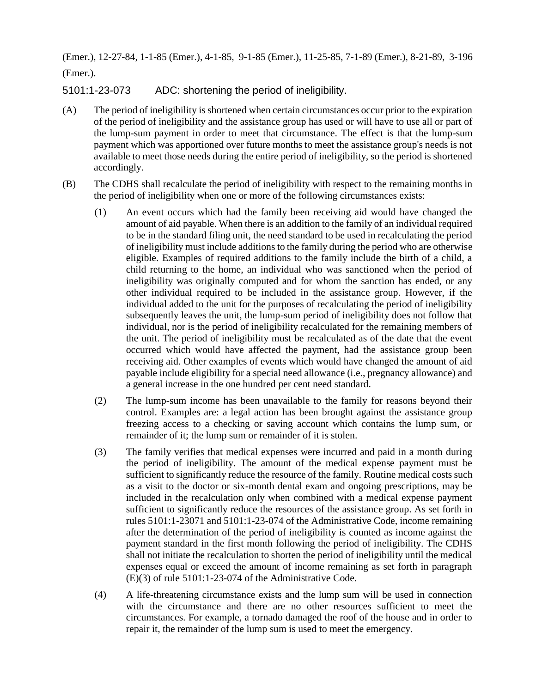(Emer.), 12-27-84, 1-1-85 (Emer.), 4-1-85, 9-1-85 (Emer.), 11-25-85, 7-1-89 (Emer.), 8-21-89, 3-196 (Emer.).

5101:1-23-073 ADC: shortening the period of ineligibility.

- (A) The period of ineligibility is shortened when certain circumstances occur prior to the expiration of the period of ineligibility and the assistance group has used or will have to use all or part of the lump-sum payment in order to meet that circumstance. The effect is that the lump-sum payment which was apportioned over future months to meet the assistance group's needs is not available to meet those needs during the entire period of ineligibility, so the period is shortened accordingly.
- (B) The CDHS shall recalculate the period of ineligibility with respect to the remaining months in the period of ineligibility when one or more of the following circumstances exists:
	- (1) An event occurs which had the family been receiving aid would have changed the amount of aid payable. When there is an addition to the family of an individual required to be in the standard filing unit, the need standard to be used in recalculating the period of ineligibility must include additions to the family during the period who are otherwise eligible. Examples of required additions to the family include the birth of a child, a child returning to the home, an individual who was sanctioned when the period of ineligibility was originally computed and for whom the sanction has ended, or any other individual required to be included in the assistance group. However, if the individual added to the unit for the purposes of recalculating the period of ineligibility subsequently leaves the unit, the lump-sum period of ineligibility does not follow that individual, nor is the period of ineligibility recalculated for the remaining members of the unit. The period of ineligibility must be recalculated as of the date that the event occurred which would have affected the payment, had the assistance group been receiving aid. Other examples of events which would have changed the amount of aid payable include eligibility for a special need allowance (i.e., pregnancy allowance) and a general increase in the one hundred per cent need standard.
	- (2) The lump-sum income has been unavailable to the family for reasons beyond their control. Examples are: a legal action has been brought against the assistance group freezing access to a checking or saving account which contains the lump sum, or remainder of it; the lump sum or remainder of it is stolen.
	- (3) The family verifies that medical expenses were incurred and paid in a month during the period of ineligibility. The amount of the medical expense payment must be sufficient to significantly reduce the resource of the family. Routine medical costs such as a visit to the doctor or six-month dental exam and ongoing prescriptions, may be included in the recalculation only when combined with a medical expense payment sufficient to significantly reduce the resources of the assistance group. As set forth in rules 5101:1-23071 and 5101:1-23-074 of the Administrative Code, income remaining after the determination of the period of ineligibility is counted as income against the payment standard in the first month following the period of ineligibility. The CDHS shall not initiate the recalculation to shorten the period of ineligibility until the medical expenses equal or exceed the amount of income remaining as set forth in paragraph (E)(3) of rule 5101:1-23-074 of the Administrative Code.
	- (4) A life-threatening circumstance exists and the lump sum will be used in connection with the circumstance and there are no other resources sufficient to meet the circumstances. For example, a tornado damaged the roof of the house and in order to repair it, the remainder of the lump sum is used to meet the emergency.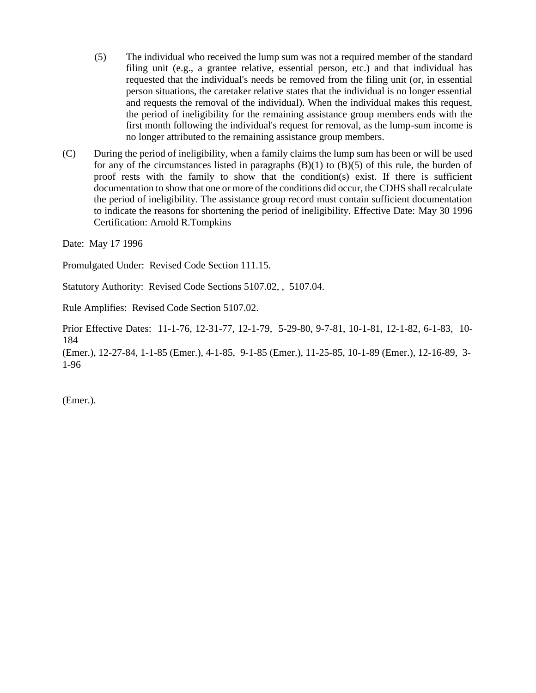- (5) The individual who received the lump sum was not a required member of the standard filing unit (e.g., a grantee relative, essential person, etc.) and that individual has requested that the individual's needs be removed from the filing unit (or, in essential person situations, the caretaker relative states that the individual is no longer essential and requests the removal of the individual). When the individual makes this request, the period of ineligibility for the remaining assistance group members ends with the first month following the individual's request for removal, as the lump-sum income is no longer attributed to the remaining assistance group members.
- (C) During the period of ineligibility, when a family claims the lump sum has been or will be used for any of the circumstances listed in paragraphs  $(B)(1)$  to  $(B)(5)$  of this rule, the burden of proof rests with the family to show that the condition(s) exist. If there is sufficient documentation to show that one or more of the conditions did occur, the CDHS shall recalculate the period of ineligibility. The assistance group record must contain sufficient documentation to indicate the reasons for shortening the period of ineligibility. Effective Date: May 30 1996 Certification: Arnold R.Tompkins

Date: May 17 1996

Promulgated Under: Revised Code Section 111.15.

Statutory Authority: Revised Code Sections 5107.02, , 5107.04.

Rule Amplifies: Revised Code Section 5107.02.

Prior Effective Dates: 11-1-76, 12-31-77, 12-1-79, 5-29-80, 9-7-81, 10-1-81, 12-1-82, 6-1-83, 10- 184

(Emer.), 12-27-84, 1-1-85 (Emer.), 4-1-85, 9-1-85 (Emer.), 11-25-85, 10-1-89 (Emer.), 12-16-89, 3- 1-96

(Emer.).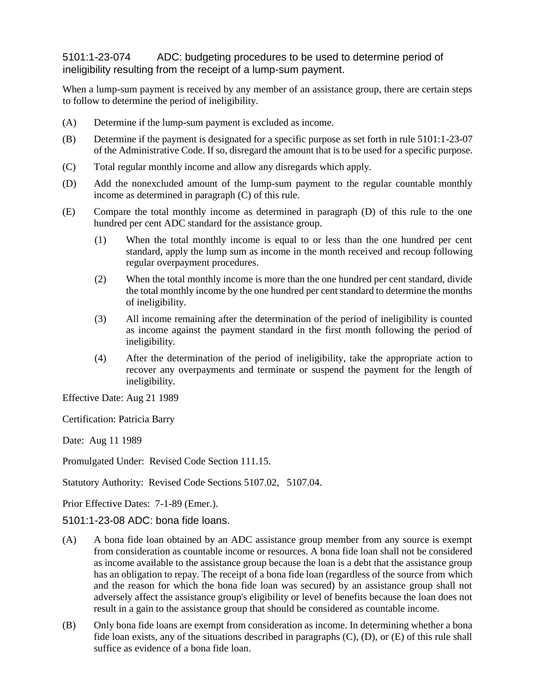# 5101:1-23-074 ADC: budgeting procedures to be used to determine period of ineligibility resulting from the receipt of a lump-sum payment.

When a lump-sum payment is received by any member of an assistance group, there are certain steps to follow to determine the period of ineligibility.

- (A) Determine if the lump-sum payment is excluded as income.
- (B) Determine if the payment is designated for a specific purpose as set forth in rule 5101:1-23-07 of the Administrative Code. If so, disregard the amount that is to be used for a specific purpose.
- (C) Total regular monthly income and allow any disregards which apply.
- (D) Add the nonexcluded amount of the lump-sum payment to the regular countable monthly income as determined in paragraph (C) of this rule.
- (E) Compare the total monthly income as determined in paragraph (D) of this rule to the one hundred per cent ADC standard for the assistance group.
	- (1) When the total monthly income is equal to or less than the one hundred per cent standard, apply the lump sum as income in the month received and recoup following regular overpayment procedures.
	- (2) When the total monthly income is more than the one hundred per cent standard, divide the total monthly income by the one hundred per cent standard to determine the months of ineligibility.
	- (3) All income remaining after the determination of the period of ineligibility is counted as income against the payment standard in the first month following the period of ineligibility.
	- (4) After the determination of the period of ineligibility, take the appropriate action to recover any overpayments and terminate or suspend the payment for the length of ineligibility.

Effective Date: Aug 21 1989

Certification: Patricia Barry

Date: Aug 11 1989

Promulgated Under: Revised Code Section 111.15.

Statutory Authority: Revised Code Sections 5107.02, 5107.04.

Prior Effective Dates: 7-1-89 (Emer.).

5101:1-23-08 ADC: bona fide loans.

- (A) A bona fide loan obtained by an ADC assistance group member from any source is exempt from consideration as countable income or resources. A bona fide loan shall not be considered as income available to the assistance group because the loan is a debt that the assistance group has an obligation to repay. The receipt of a bona fide loan (regardless of the source from which and the reason for which the bona fide loan was secured) by an assistance group shall not adversely affect the assistance group's eligibility or level of benefits because the loan does not result in a gain to the assistance group that should be considered as countable income.
- (B) Only bona fide loans are exempt from consideration as income. In determining whether a bona fide loan exists, any of the situations described in paragraphs (C), (D), or (E) of this rule shall suffice as evidence of a bona fide loan.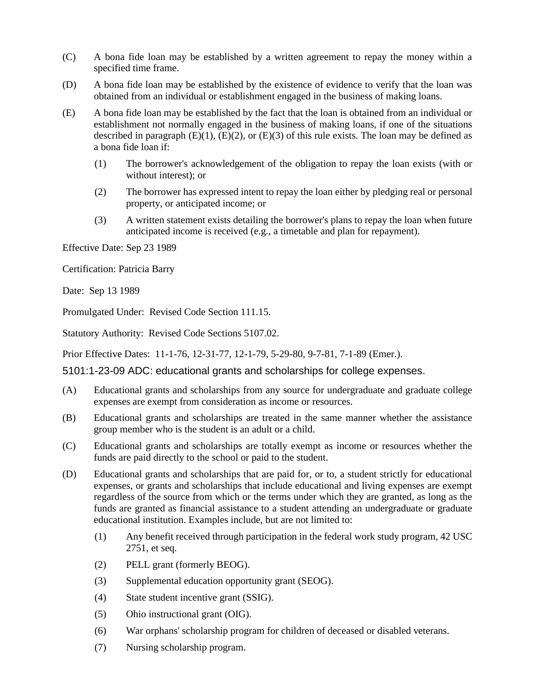- (C) A bona fide loan may be established by a written agreement to repay the money within a specified time frame.
- (D) A bona fide loan may be established by the existence of evidence to verify that the loan was obtained from an individual or establishment engaged in the business of making loans.
- (E) A bona fide loan may be established by the fact that the loan is obtained from an individual or establishment not normally engaged in the business of making loans, if one of the situations described in paragraph  $(E)(1)$ ,  $(E)(2)$ , or  $(E)(3)$  of this rule exists. The loan may be defined as a bona fide loan if:
	- (1) The borrower's acknowledgement of the obligation to repay the loan exists (with or without interest); or
	- (2) The borrower has expressed intent to repay the loan either by pledging real or personal property, or anticipated income; or
	- (3) A written statement exists detailing the borrower's plans to repay the loan when future anticipated income is received (e.g., a timetable and plan for repayment).

Effective Date: Sep 23 1989

Certification: Patricia Barry

Date: Sep 13 1989

Promulgated Under: Revised Code Section 111.15.

Statutory Authority: Revised Code Sections 5107.02.

Prior Effective Dates: 11-1-76, 12-31-77, 12-1-79, 5-29-80, 9-7-81, 7-1-89 (Emer.).

5101:1-23-09 ADC: educational grants and scholarships for college expenses.

- (A) Educational grants and scholarships from any source for undergraduate and graduate college expenses are exempt from consideration as income or resources.
- (B) Educational grants and scholarships are treated in the same manner whether the assistance group member who is the student is an adult or a child.
- (C) Educational grants and scholarships are totally exempt as income or resources whether the funds are paid directly to the school or paid to the student.
- (D) Educational grants and scholarships that are paid for, or to, a student strictly for educational expenses, or grants and scholarships that include educational and living expenses are exempt regardless of the source from which or the terms under which they are granted, as long as the funds are granted as financial assistance to a student attending an undergraduate or graduate educational institution. Examples include, but are not limited to:
	- (1) Any benefit received through participation in the federal work study program, 42 USC 2751, et seq.
	- (2) PELL grant (formerly BEOG).
	- (3) Supplemental education opportunity grant (SEOG).
	- (4) State student incentive grant (SSIG).
	- (5) Ohio instructional grant (OIG).
	- (6) War orphans' scholarship program for children of deceased or disabled veterans.
	- (7) Nursing scholarship program.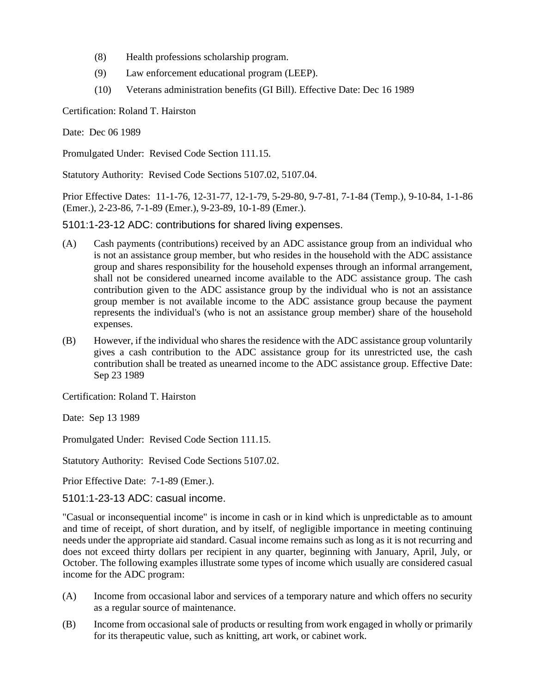- (8) Health professions scholarship program.
- (9) Law enforcement educational program (LEEP).
- (10) Veterans administration benefits (GI Bill). Effective Date: Dec 16 1989

Certification: Roland T. Hairston

Date: Dec 06 1989

Promulgated Under: Revised Code Section 111.15.

Statutory Authority: Revised Code Sections 5107.02, 5107.04.

Prior Effective Dates: 11-1-76, 12-31-77, 12-1-79, 5-29-80, 9-7-81, 7-1-84 (Temp.), 9-10-84, 1-1-86 (Emer.), 2-23-86, 7-1-89 (Emer.), 9-23-89, 10-1-89 (Emer.).

5101:1-23-12 ADC: contributions for shared living expenses.

- (A) Cash payments (contributions) received by an ADC assistance group from an individual who is not an assistance group member, but who resides in the household with the ADC assistance group and shares responsibility for the household expenses through an informal arrangement, shall not be considered unearned income available to the ADC assistance group. The cash contribution given to the ADC assistance group by the individual who is not an assistance group member is not available income to the ADC assistance group because the payment represents the individual's (who is not an assistance group member) share of the household expenses.
- (B) However, if the individual who shares the residence with the ADC assistance group voluntarily gives a cash contribution to the ADC assistance group for its unrestricted use, the cash contribution shall be treated as unearned income to the ADC assistance group. Effective Date: Sep 23 1989

Certification: Roland T. Hairston

Date: Sep 13 1989

Promulgated Under: Revised Code Section 111.15.

Statutory Authority: Revised Code Sections 5107.02.

Prior Effective Date: 7-1-89 (Emer.).

5101:1-23-13 ADC: casual income.

"Casual or inconsequential income" is income in cash or in kind which is unpredictable as to amount and time of receipt, of short duration, and by itself, of negligible importance in meeting continuing needs under the appropriate aid standard. Casual income remains such as long as it is not recurring and does not exceed thirty dollars per recipient in any quarter, beginning with January, April, July, or October. The following examples illustrate some types of income which usually are considered casual income for the ADC program:

- (A) Income from occasional labor and services of a temporary nature and which offers no security as a regular source of maintenance.
- (B) Income from occasional sale of products or resulting from work engaged in wholly or primarily for its therapeutic value, such as knitting, art work, or cabinet work.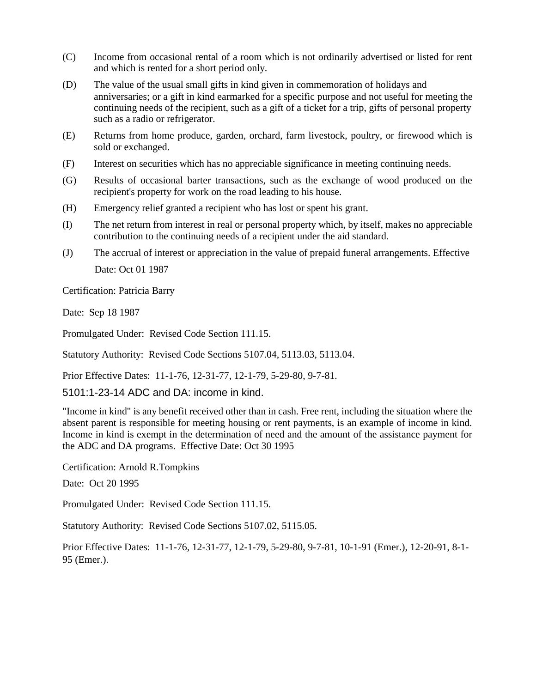- (C) Income from occasional rental of a room which is not ordinarily advertised or listed for rent and which is rented for a short period only.
- (D) The value of the usual small gifts in kind given in commemoration of holidays and anniversaries; or a gift in kind earmarked for a specific purpose and not useful for meeting the continuing needs of the recipient, such as a gift of a ticket for a trip, gifts of personal property such as a radio or refrigerator.
- (E) Returns from home produce, garden, orchard, farm livestock, poultry, or firewood which is sold or exchanged.
- (F) Interest on securities which has no appreciable significance in meeting continuing needs.
- (G) Results of occasional barter transactions, such as the exchange of wood produced on the recipient's property for work on the road leading to his house.
- (H) Emergency relief granted a recipient who has lost or spent his grant.
- (I) The net return from interest in real or personal property which, by itself, makes no appreciable contribution to the continuing needs of a recipient under the aid standard.
- (J) The accrual of interest or appreciation in the value of prepaid funeral arrangements. Effective Date: Oct 01 1987

Certification: Patricia Barry

Date: Sep 18 1987

Promulgated Under: Revised Code Section 111.15.

Statutory Authority: Revised Code Sections 5107.04, 5113.03, 5113.04.

Prior Effective Dates: 11-1-76, 12-31-77, 12-1-79, 5-29-80, 9-7-81.

5101:1-23-14 ADC and DA: income in kind.

"Income in kind" is any benefit received other than in cash. Free rent, including the situation where the absent parent is responsible for meeting housing or rent payments, is an example of income in kind. Income in kind is exempt in the determination of need and the amount of the assistance payment for the ADC and DA programs. Effective Date: Oct 30 1995

Certification: Arnold R.Tompkins

Date: Oct 20 1995

Promulgated Under: Revised Code Section 111.15.

Statutory Authority: Revised Code Sections 5107.02, 5115.05.

Prior Effective Dates: 11-1-76, 12-31-77, 12-1-79, 5-29-80, 9-7-81, 10-1-91 (Emer.), 12-20-91, 8-1- 95 (Emer.).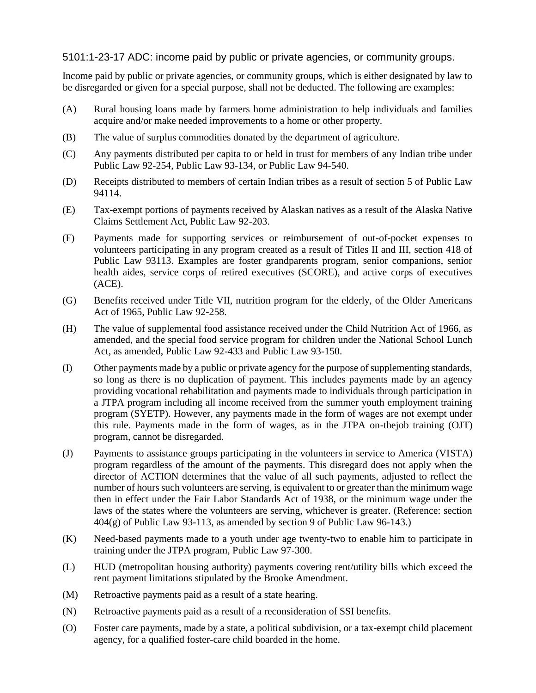# 5101:1-23-17 ADC: income paid by public or private agencies, or community groups.

Income paid by public or private agencies, or community groups, which is either designated by law to be disregarded or given for a special purpose, shall not be deducted. The following are examples:

- (A) Rural housing loans made by farmers home administration to help individuals and families acquire and/or make needed improvements to a home or other property.
- (B) The value of surplus commodities donated by the department of agriculture.
- (C) Any payments distributed per capita to or held in trust for members of any Indian tribe under Public Law 92-254, Public Law 93-134, or Public Law 94-540.
- (D) Receipts distributed to members of certain Indian tribes as a result of section 5 of Public Law 94114.
- (E) Tax-exempt portions of payments received by Alaskan natives as a result of the Alaska Native Claims Settlement Act, Public Law 92-203.
- (F) Payments made for supporting services or reimbursement of out-of-pocket expenses to volunteers participating in any program created as a result of Titles II and III, section 418 of Public Law 93113. Examples are foster grandparents program, senior companions, senior health aides, service corps of retired executives (SCORE), and active corps of executives (ACE).
- (G) Benefits received under Title VII, nutrition program for the elderly, of the Older Americans Act of 1965, Public Law 92-258.
- (H) The value of supplemental food assistance received under the Child Nutrition Act of 1966, as amended, and the special food service program for children under the National School Lunch Act, as amended, Public Law 92-433 and Public Law 93-150.
- (I) Other payments made by a public or private agency for the purpose of supplementing standards, so long as there is no duplication of payment. This includes payments made by an agency providing vocational rehabilitation and payments made to individuals through participation in a JTPA program including all income received from the summer youth employment training program (SYETP). However, any payments made in the form of wages are not exempt under this rule. Payments made in the form of wages, as in the JTPA on-thejob training (OJT) program, cannot be disregarded.
- (J) Payments to assistance groups participating in the volunteers in service to America (VISTA) program regardless of the amount of the payments. This disregard does not apply when the director of ACTION determines that the value of all such payments, adjusted to reflect the number of hours such volunteers are serving, is equivalent to or greater than the minimum wage then in effect under the Fair Labor Standards Act of 1938, or the minimum wage under the laws of the states where the volunteers are serving, whichever is greater. (Reference: section  $404(g)$  of Public Law 93-113, as amended by section 9 of Public Law 96-143.)
- (K) Need-based payments made to a youth under age twenty-two to enable him to participate in training under the JTPA program, Public Law 97-300.
- (L) HUD (metropolitan housing authority) payments covering rent/utility bills which exceed the rent payment limitations stipulated by the Brooke Amendment.
- (M) Retroactive payments paid as a result of a state hearing.
- (N) Retroactive payments paid as a result of a reconsideration of SSI benefits.
- (O) Foster care payments, made by a state, a political subdivision, or a tax-exempt child placement agency, for a qualified foster-care child boarded in the home.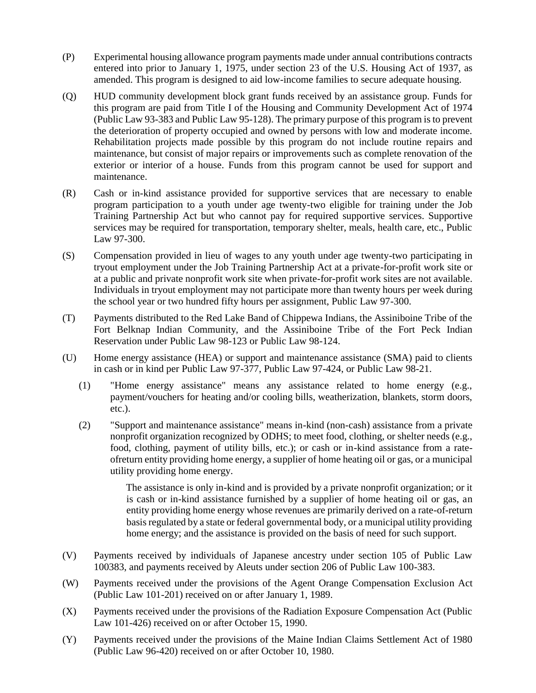- (P) Experimental housing allowance program payments made under annual contributions contracts entered into prior to January 1, 1975, under section 23 of the U.S. Housing Act of 1937, as amended. This program is designed to aid low-income families to secure adequate housing.
- (Q) HUD community development block grant funds received by an assistance group. Funds for this program are paid from Title I of the Housing and Community Development Act of 1974 (Public Law 93-383 and Public Law 95-128). The primary purpose of this program is to prevent the deterioration of property occupied and owned by persons with low and moderate income. Rehabilitation projects made possible by this program do not include routine repairs and maintenance, but consist of major repairs or improvements such as complete renovation of the exterior or interior of a house. Funds from this program cannot be used for support and maintenance.
- (R) Cash or in-kind assistance provided for supportive services that are necessary to enable program participation to a youth under age twenty-two eligible for training under the Job Training Partnership Act but who cannot pay for required supportive services. Supportive services may be required for transportation, temporary shelter, meals, health care, etc., Public Law 97-300.
- (S) Compensation provided in lieu of wages to any youth under age twenty-two participating in tryout employment under the Job Training Partnership Act at a private-for-profit work site or at a public and private nonprofit work site when private-for-profit work sites are not available. Individuals in tryout employment may not participate more than twenty hours per week during the school year or two hundred fifty hours per assignment, Public Law 97-300.
- (T) Payments distributed to the Red Lake Band of Chippewa Indians, the Assiniboine Tribe of the Fort Belknap Indian Community, and the Assiniboine Tribe of the Fort Peck Indian Reservation under Public Law 98-123 or Public Law 98-124.
- (U) Home energy assistance (HEA) or support and maintenance assistance (SMA) paid to clients in cash or in kind per Public Law 97-377, Public Law 97-424, or Public Law 98-21.
	- (1) "Home energy assistance" means any assistance related to home energy (e.g., payment/vouchers for heating and/or cooling bills, weatherization, blankets, storm doors, etc.).
	- (2) "Support and maintenance assistance" means in-kind (non-cash) assistance from a private nonprofit organization recognized by ODHS; to meet food, clothing, or shelter needs (e.g., food, clothing, payment of utility bills, etc.); or cash or in-kind assistance from a rateofreturn entity providing home energy, a supplier of home heating oil or gas, or a municipal utility providing home energy.

The assistance is only in-kind and is provided by a private nonprofit organization; or it is cash or in-kind assistance furnished by a supplier of home heating oil or gas, an entity providing home energy whose revenues are primarily derived on a rate-of-return basis regulated by a state or federal governmental body, or a municipal utility providing home energy; and the assistance is provided on the basis of need for such support.

- (V) Payments received by individuals of Japanese ancestry under section 105 of Public Law 100383, and payments received by Aleuts under section 206 of Public Law 100-383.
- (W) Payments received under the provisions of the Agent Orange Compensation Exclusion Act (Public Law 101-201) received on or after January 1, 1989.
- (X) Payments received under the provisions of the Radiation Exposure Compensation Act (Public Law 101-426) received on or after October 15, 1990.
- (Y) Payments received under the provisions of the Maine Indian Claims Settlement Act of 1980 (Public Law 96-420) received on or after October 10, 1980.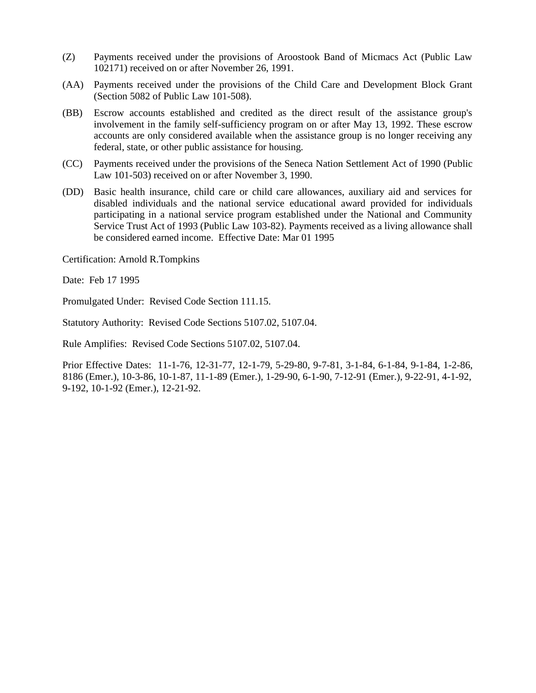- (Z) Payments received under the provisions of Aroostook Band of Micmacs Act (Public Law 102171) received on or after November 26, 1991.
- (AA) Payments received under the provisions of the Child Care and Development Block Grant (Section 5082 of Public Law 101-508).
- (BB) Escrow accounts established and credited as the direct result of the assistance group's involvement in the family self-sufficiency program on or after May 13, 1992. These escrow accounts are only considered available when the assistance group is no longer receiving any federal, state, or other public assistance for housing.
- (CC) Payments received under the provisions of the Seneca Nation Settlement Act of 1990 (Public Law 101-503) received on or after November 3, 1990.
- (DD) Basic health insurance, child care or child care allowances, auxiliary aid and services for disabled individuals and the national service educational award provided for individuals participating in a national service program established under the National and Community Service Trust Act of 1993 (Public Law 103-82). Payments received as a living allowance shall be considered earned income. Effective Date: Mar 01 1995

Certification: Arnold R.Tompkins

Date: Feb 17 1995

Promulgated Under: Revised Code Section 111.15.

Statutory Authority: Revised Code Sections 5107.02, 5107.04.

Rule Amplifies: Revised Code Sections 5107.02, 5107.04.

Prior Effective Dates: 11-1-76, 12-31-77, 12-1-79, 5-29-80, 9-7-81, 3-1-84, 6-1-84, 9-1-84, 1-2-86, 8186 (Emer.), 10-3-86, 10-1-87, 11-1-89 (Emer.), 1-29-90, 6-1-90, 7-12-91 (Emer.), 9-22-91, 4-1-92, 9-192, 10-1-92 (Emer.), 12-21-92.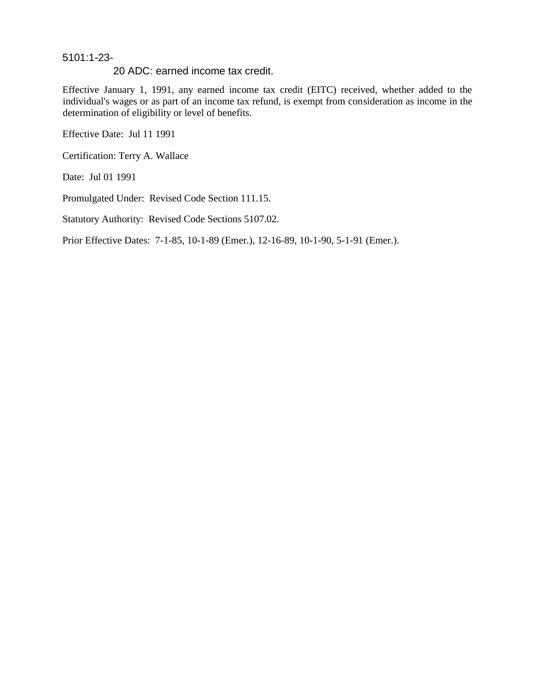### 5101:1-23-

#### 20 ADC: earned income tax credit.

Effective January 1, 1991, any earned income tax credit (EITC) received, whether added to the individual's wages or as part of an income tax refund, is exempt from consideration as income in the determination of eligibility or level of benefits.

Effective Date: Jul 11 1991

Certification: Terry A. Wallace

Date: Jul 01 1991

Promulgated Under: Revised Code Section 111.15.

Statutory Authority: Revised Code Sections 5107.02.

Prior Effective Dates: 7-1-85, 10-1-89 (Emer.), 12-16-89, 10-1-90, 5-1-91 (Emer.).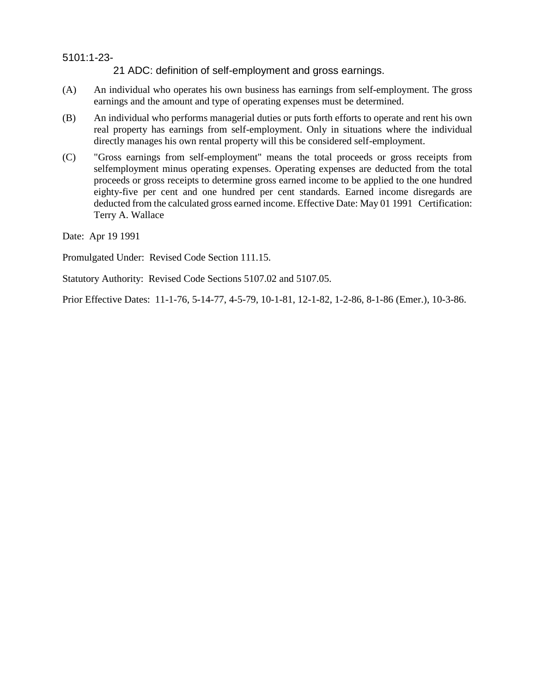21 ADC: definition of self-employment and gross earnings.

- (A) An individual who operates his own business has earnings from self-employment. The gross earnings and the amount and type of operating expenses must be determined.
- (B) An individual who performs managerial duties or puts forth efforts to operate and rent his own real property has earnings from self-employment. Only in situations where the individual directly manages his own rental property will this be considered self-employment.
- (C) "Gross earnings from self-employment" means the total proceeds or gross receipts from selfemployment minus operating expenses. Operating expenses are deducted from the total proceeds or gross receipts to determine gross earned income to be applied to the one hundred eighty-five per cent and one hundred per cent standards. Earned income disregards are deducted from the calculated gross earned income. Effective Date: May 01 1991 Certification: Terry A. Wallace

Date: Apr 19 1991

Promulgated Under: Revised Code Section 111.15.

Statutory Authority: Revised Code Sections 5107.02 and 5107.05.

Prior Effective Dates: 11-1-76, 5-14-77, 4-5-79, 10-1-81, 12-1-82, 1-2-86, 8-1-86 (Emer.), 10-3-86.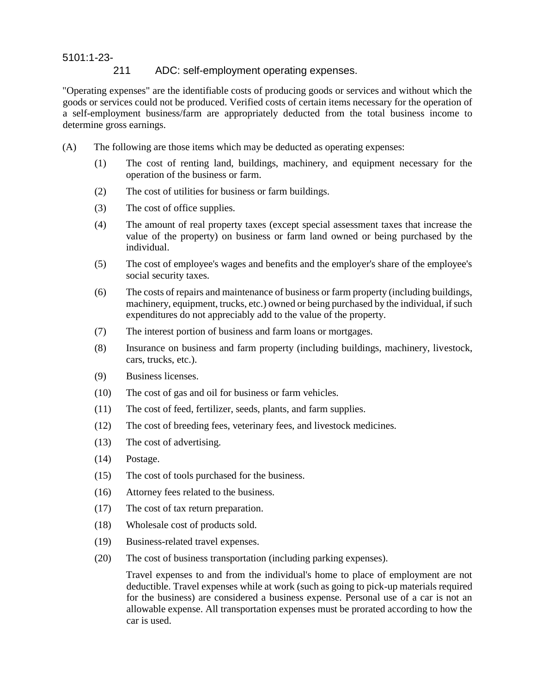## 211 ADC: self-employment operating expenses.

"Operating expenses" are the identifiable costs of producing goods or services and without which the goods or services could not be produced. Verified costs of certain items necessary for the operation of a self-employment business/farm are appropriately deducted from the total business income to determine gross earnings.

- (A) The following are those items which may be deducted as operating expenses:
	- (1) The cost of renting land, buildings, machinery, and equipment necessary for the operation of the business or farm.
	- (2) The cost of utilities for business or farm buildings.
	- (3) The cost of office supplies.
	- (4) The amount of real property taxes (except special assessment taxes that increase the value of the property) on business or farm land owned or being purchased by the individual.
	- (5) The cost of employee's wages and benefits and the employer's share of the employee's social security taxes.
	- (6) The costs of repairs and maintenance of business or farm property (including buildings, machinery, equipment, trucks, etc.) owned or being purchased by the individual, if such expenditures do not appreciably add to the value of the property.
	- (7) The interest portion of business and farm loans or mortgages.
	- (8) Insurance on business and farm property (including buildings, machinery, livestock, cars, trucks, etc.).
	- (9) Business licenses.
	- (10) The cost of gas and oil for business or farm vehicles.
	- (11) The cost of feed, fertilizer, seeds, plants, and farm supplies.
	- (12) The cost of breeding fees, veterinary fees, and livestock medicines.
	- (13) The cost of advertising.
	- (14) Postage.
	- (15) The cost of tools purchased for the business.
	- (16) Attorney fees related to the business.
	- (17) The cost of tax return preparation.
	- (18) Wholesale cost of products sold.
	- (19) Business-related travel expenses.
	- (20) The cost of business transportation (including parking expenses).

Travel expenses to and from the individual's home to place of employment are not deductible. Travel expenses while at work (such as going to pick-up materials required for the business) are considered a business expense. Personal use of a car is not an allowable expense. All transportation expenses must be prorated according to how the car is used.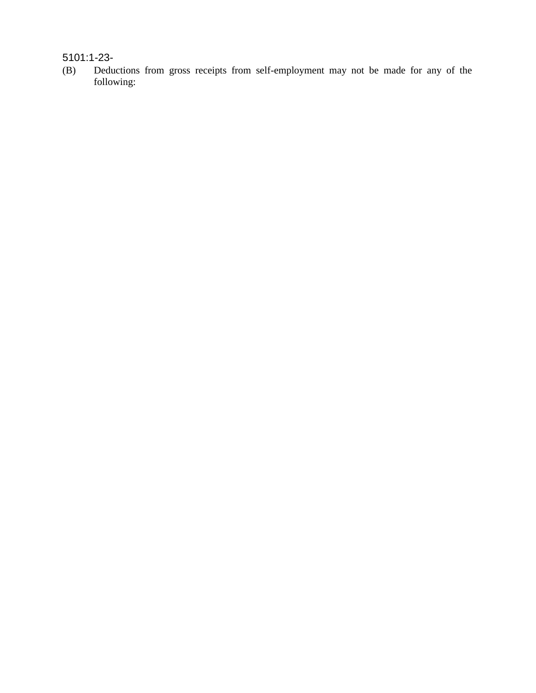(B) Deductions from gross receipts from self-employment may not be made for any of the following: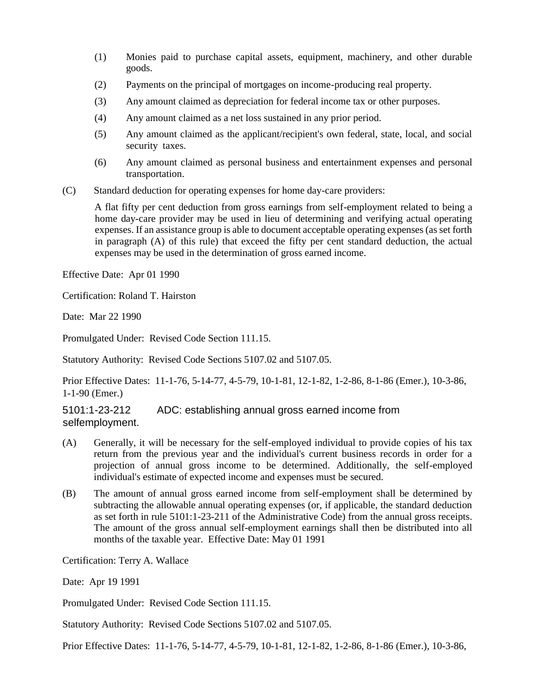- (1) Monies paid to purchase capital assets, equipment, machinery, and other durable goods.
- (2) Payments on the principal of mortgages on income-producing real property.
- (3) Any amount claimed as depreciation for federal income tax or other purposes.
- (4) Any amount claimed as a net loss sustained in any prior period.
- (5) Any amount claimed as the applicant/recipient's own federal, state, local, and social security taxes.
- (6) Any amount claimed as personal business and entertainment expenses and personal transportation.
- (C) Standard deduction for operating expenses for home day-care providers:

A flat fifty per cent deduction from gross earnings from self-employment related to being a home day-care provider may be used in lieu of determining and verifying actual operating expenses. If an assistance group is able to document acceptable operating expenses (as set forth in paragraph (A) of this rule) that exceed the fifty per cent standard deduction, the actual expenses may be used in the determination of gross earned income.

Effective Date: Apr 01 1990

Certification: Roland T. Hairston

Date: Mar 22 1990

Promulgated Under: Revised Code Section 111.15.

Statutory Authority: Revised Code Sections 5107.02 and 5107.05.

Prior Effective Dates: 11-1-76, 5-14-77, 4-5-79, 10-1-81, 12-1-82, 1-2-86, 8-1-86 (Emer.), 10-3-86, 1-1-90 (Emer.)

### 5101:1-23-212 ADC: establishing annual gross earned income from selfemployment.

- (A) Generally, it will be necessary for the self-employed individual to provide copies of his tax return from the previous year and the individual's current business records in order for a projection of annual gross income to be determined. Additionally, the self-employed individual's estimate of expected income and expenses must be secured.
- (B) The amount of annual gross earned income from self-employment shall be determined by subtracting the allowable annual operating expenses (or, if applicable, the standard deduction as set forth in rule 5101:1-23-211 of the Administrative Code) from the annual gross receipts. The amount of the gross annual self-employment earnings shall then be distributed into all months of the taxable year. Effective Date: May 01 1991

Certification: Terry A. Wallace

Date: Apr 19 1991

Promulgated Under: Revised Code Section 111.15.

Statutory Authority: Revised Code Sections 5107.02 and 5107.05.

Prior Effective Dates: 11-1-76, 5-14-77, 4-5-79, 10-1-81, 12-1-82, 1-2-86, 8-1-86 (Emer.), 10-3-86,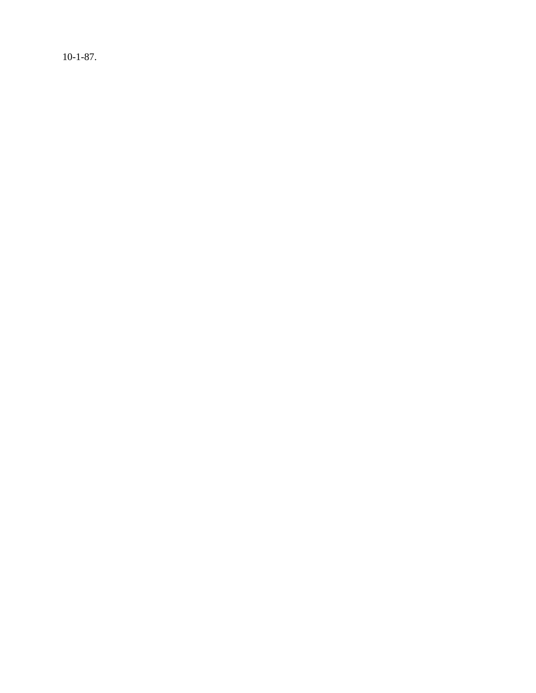10-1-87.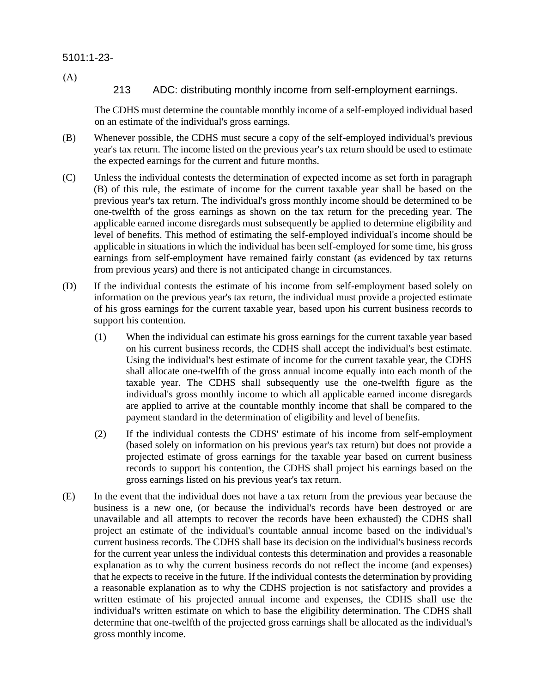(A)

## 213 ADC: distributing monthly income from self-employment earnings.

The CDHS must determine the countable monthly income of a self-employed individual based on an estimate of the individual's gross earnings.

- (B) Whenever possible, the CDHS must secure a copy of the self-employed individual's previous year's tax return. The income listed on the previous year's tax return should be used to estimate the expected earnings for the current and future months.
- (C) Unless the individual contests the determination of expected income as set forth in paragraph (B) of this rule, the estimate of income for the current taxable year shall be based on the previous year's tax return. The individual's gross monthly income should be determined to be one-twelfth of the gross earnings as shown on the tax return for the preceding year. The applicable earned income disregards must subsequently be applied to determine eligibility and level of benefits. This method of estimating the self-employed individual's income should be applicable in situations in which the individual has been self-employed for some time, his gross earnings from self-employment have remained fairly constant (as evidenced by tax returns from previous years) and there is not anticipated change in circumstances.
- (D) If the individual contests the estimate of his income from self-employment based solely on information on the previous year's tax return, the individual must provide a projected estimate of his gross earnings for the current taxable year, based upon his current business records to support his contention.
	- (1) When the individual can estimate his gross earnings for the current taxable year based on his current business records, the CDHS shall accept the individual's best estimate. Using the individual's best estimate of income for the current taxable year, the CDHS shall allocate one-twelfth of the gross annual income equally into each month of the taxable year. The CDHS shall subsequently use the one-twelfth figure as the individual's gross monthly income to which all applicable earned income disregards are applied to arrive at the countable monthly income that shall be compared to the payment standard in the determination of eligibility and level of benefits.
	- (2) If the individual contests the CDHS' estimate of his income from self-employment (based solely on information on his previous year's tax return) but does not provide a projected estimate of gross earnings for the taxable year based on current business records to support his contention, the CDHS shall project his earnings based on the gross earnings listed on his previous year's tax return.
- (E) In the event that the individual does not have a tax return from the previous year because the business is a new one, (or because the individual's records have been destroyed or are unavailable and all attempts to recover the records have been exhausted) the CDHS shall project an estimate of the individual's countable annual income based on the individual's current business records. The CDHS shall base its decision on the individual's business records for the current year unless the individual contests this determination and provides a reasonable explanation as to why the current business records do not reflect the income (and expenses) that he expects to receive in the future. If the individual contests the determination by providing a reasonable explanation as to why the CDHS projection is not satisfactory and provides a written estimate of his projected annual income and expenses, the CDHS shall use the individual's written estimate on which to base the eligibility determination. The CDHS shall determine that one-twelfth of the projected gross earnings shall be allocated as the individual's gross monthly income.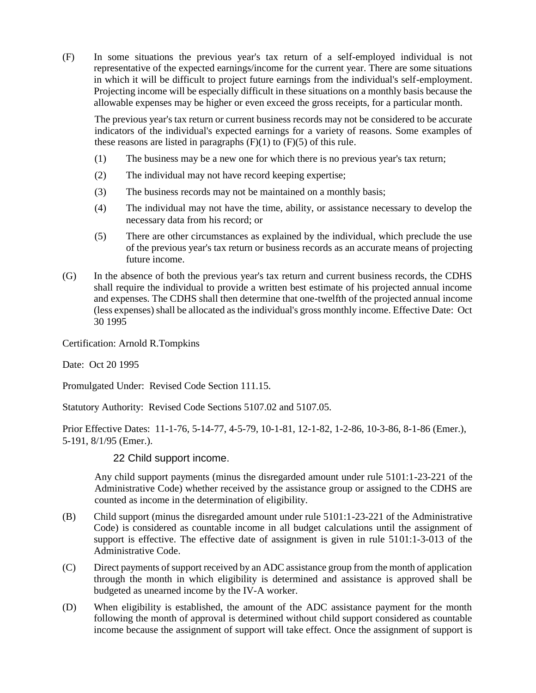(F) In some situations the previous year's tax return of a self-employed individual is not representative of the expected earnings/income for the current year. There are some situations in which it will be difficult to project future earnings from the individual's self-employment. Projecting income will be especially difficult in these situations on a monthly basis because the allowable expenses may be higher or even exceed the gross receipts, for a particular month.

The previous year's tax return or current business records may not be considered to be accurate indicators of the individual's expected earnings for a variety of reasons. Some examples of these reasons are listed in paragraphs  $(F)(1)$  to  $(F)(5)$  of this rule.

- (1) The business may be a new one for which there is no previous year's tax return;
- (2) The individual may not have record keeping expertise;
- (3) The business records may not be maintained on a monthly basis;
- (4) The individual may not have the time, ability, or assistance necessary to develop the necessary data from his record; or
- (5) There are other circumstances as explained by the individual, which preclude the use of the previous year's tax return or business records as an accurate means of projecting future income.
- (G) In the absence of both the previous year's tax return and current business records, the CDHS shall require the individual to provide a written best estimate of his projected annual income and expenses. The CDHS shall then determine that one-twelfth of the projected annual income (less expenses) shall be allocated as the individual's gross monthly income. Effective Date: Oct 30 1995

Certification: Arnold R.Tompkins

Date: Oct 20 1995

Promulgated Under: Revised Code Section 111.15.

Statutory Authority: Revised Code Sections 5107.02 and 5107.05.

Prior Effective Dates: 11-1-76, 5-14-77, 4-5-79, 10-1-81, 12-1-82, 1-2-86, 10-3-86, 8-1-86 (Emer.), 5-191, 8/1/95 (Emer.).

## 22 Child support income.

Any child support payments (minus the disregarded amount under rule 5101:1-23-221 of the Administrative Code) whether received by the assistance group or assigned to the CDHS are counted as income in the determination of eligibility.

- (B) Child support (minus the disregarded amount under rule 5101:1-23-221 of the Administrative Code) is considered as countable income in all budget calculations until the assignment of support is effective. The effective date of assignment is given in rule 5101:1-3-013 of the Administrative Code.
- (C) Direct payments of support received by an ADC assistance group from the month of application through the month in which eligibility is determined and assistance is approved shall be budgeted as unearned income by the IV-A worker.
- (D) When eligibility is established, the amount of the ADC assistance payment for the month following the month of approval is determined without child support considered as countable income because the assignment of support will take effect. Once the assignment of support is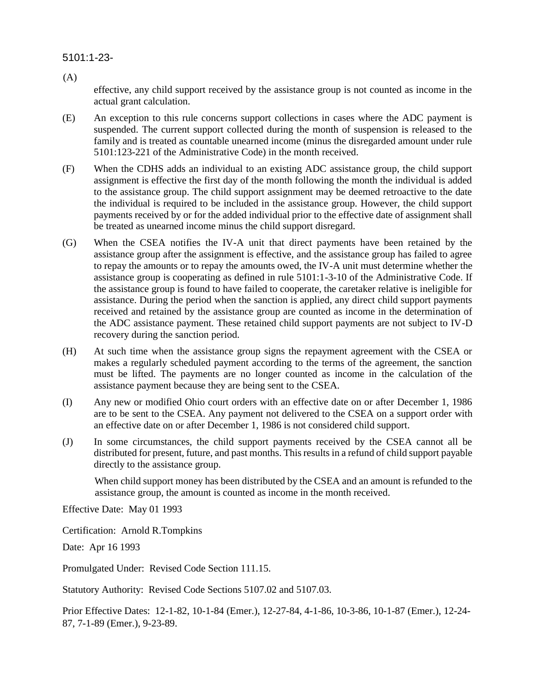(A)

effective, any child support received by the assistance group is not counted as income in the actual grant calculation.

- (E) An exception to this rule concerns support collections in cases where the ADC payment is suspended. The current support collected during the month of suspension is released to the family and is treated as countable unearned income (minus the disregarded amount under rule 5101:123-221 of the Administrative Code) in the month received.
- (F) When the CDHS adds an individual to an existing ADC assistance group, the child support assignment is effective the first day of the month following the month the individual is added to the assistance group. The child support assignment may be deemed retroactive to the date the individual is required to be included in the assistance group. However, the child support payments received by or for the added individual prior to the effective date of assignment shall be treated as unearned income minus the child support disregard.
- (G) When the CSEA notifies the IV-A unit that direct payments have been retained by the assistance group after the assignment is effective, and the assistance group has failed to agree to repay the amounts or to repay the amounts owed, the IV-A unit must determine whether the assistance group is cooperating as defined in rule 5101:1-3-10 of the Administrative Code. If the assistance group is found to have failed to cooperate, the caretaker relative is ineligible for assistance. During the period when the sanction is applied, any direct child support payments received and retained by the assistance group are counted as income in the determination of the ADC assistance payment. These retained child support payments are not subject to IV-D recovery during the sanction period.
- (H) At such time when the assistance group signs the repayment agreement with the CSEA or makes a regularly scheduled payment according to the terms of the agreement, the sanction must be lifted. The payments are no longer counted as income in the calculation of the assistance payment because they are being sent to the CSEA.
- (I) Any new or modified Ohio court orders with an effective date on or after December 1, 1986 are to be sent to the CSEA. Any payment not delivered to the CSEA on a support order with an effective date on or after December 1, 1986 is not considered child support.
- (J) In some circumstances, the child support payments received by the CSEA cannot all be distributed for present, future, and past months. This results in a refund of child support payable directly to the assistance group.

When child support money has been distributed by the CSEA and an amount is refunded to the assistance group, the amount is counted as income in the month received.

Effective Date: May 01 1993

Certification: Arnold R.Tompkins

Date: Apr 16 1993

Promulgated Under: Revised Code Section 111.15.

Statutory Authority: Revised Code Sections 5107.02 and 5107.03.

Prior Effective Dates: 12-1-82, 10-1-84 (Emer.), 12-27-84, 4-1-86, 10-3-86, 10-1-87 (Emer.), 12-24- 87, 7-1-89 (Emer.), 9-23-89.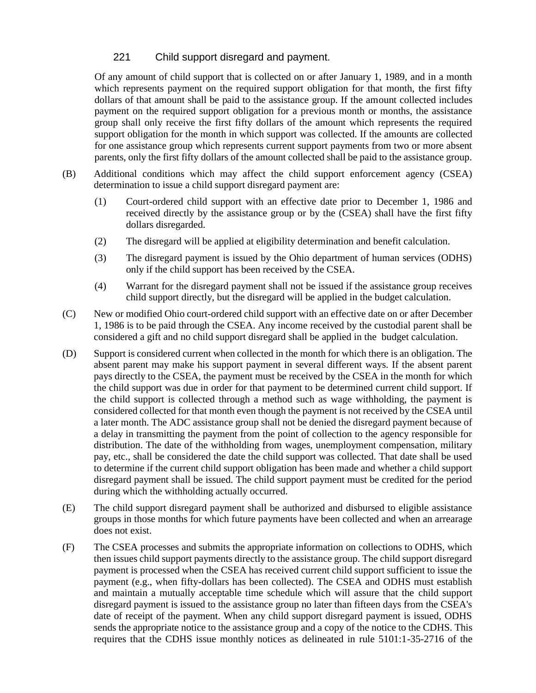## 221 Child support disregard and payment.

Of any amount of child support that is collected on or after January 1, 1989, and in a month which represents payment on the required support obligation for that month, the first fifty dollars of that amount shall be paid to the assistance group. If the amount collected includes payment on the required support obligation for a previous month or months, the assistance group shall only receive the first fifty dollars of the amount which represents the required support obligation for the month in which support was collected. If the amounts are collected for one assistance group which represents current support payments from two or more absent parents, only the first fifty dollars of the amount collected shall be paid to the assistance group.

- (B) Additional conditions which may affect the child support enforcement agency (CSEA) determination to issue a child support disregard payment are:
	- (1) Court-ordered child support with an effective date prior to December 1, 1986 and received directly by the assistance group or by the (CSEA) shall have the first fifty dollars disregarded.
	- (2) The disregard will be applied at eligibility determination and benefit calculation.
	- (3) The disregard payment is issued by the Ohio department of human services (ODHS) only if the child support has been received by the CSEA.
	- (4) Warrant for the disregard payment shall not be issued if the assistance group receives child support directly, but the disregard will be applied in the budget calculation.
- (C) New or modified Ohio court-ordered child support with an effective date on or after December 1, 1986 is to be paid through the CSEA. Any income received by the custodial parent shall be considered a gift and no child support disregard shall be applied in the budget calculation.
- (D) Support is considered current when collected in the month for which there is an obligation. The absent parent may make his support payment in several different ways. If the absent parent pays directly to the CSEA, the payment must be received by the CSEA in the month for which the child support was due in order for that payment to be determined current child support. If the child support is collected through a method such as wage withholding, the payment is considered collected for that month even though the payment is not received by the CSEA until a later month. The ADC assistance group shall not be denied the disregard payment because of a delay in transmitting the payment from the point of collection to the agency responsible for distribution. The date of the withholding from wages, unemployment compensation, military pay, etc., shall be considered the date the child support was collected. That date shall be used to determine if the current child support obligation has been made and whether a child support disregard payment shall be issued. The child support payment must be credited for the period during which the withholding actually occurred.
- (E) The child support disregard payment shall be authorized and disbursed to eligible assistance groups in those months for which future payments have been collected and when an arrearage does not exist.
- (F) The CSEA processes and submits the appropriate information on collections to ODHS, which then issues child support payments directly to the assistance group. The child support disregard payment is processed when the CSEA has received current child support sufficient to issue the payment (e.g., when fifty-dollars has been collected). The CSEA and ODHS must establish and maintain a mutually acceptable time schedule which will assure that the child support disregard payment is issued to the assistance group no later than fifteen days from the CSEA's date of receipt of the payment. When any child support disregard payment is issued, ODHS sends the appropriate notice to the assistance group and a copy of the notice to the CDHS. This requires that the CDHS issue monthly notices as delineated in rule 5101:1-35-2716 of the